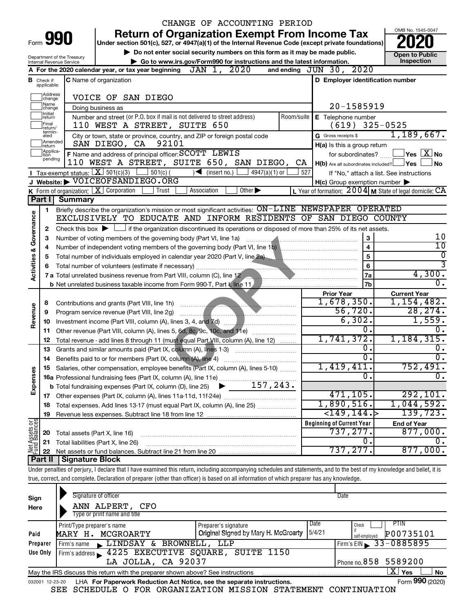|                         |                               |                                                        |                                                                                                            |          | CHANGE OF ACCOUNTING PERIOD                                                                                                                                                |            |                                                                                                                                                                                                                                                                                                                                                                             |                             |                                                                                       |
|-------------------------|-------------------------------|--------------------------------------------------------|------------------------------------------------------------------------------------------------------------|----------|----------------------------------------------------------------------------------------------------------------------------------------------------------------------------|------------|-----------------------------------------------------------------------------------------------------------------------------------------------------------------------------------------------------------------------------------------------------------------------------------------------------------------------------------------------------------------------------|-----------------------------|---------------------------------------------------------------------------------------|
|                         |                               |                                                        |                                                                                                            |          | <b>Return of Organization Exempt From Income Tax</b>                                                                                                                       |            |                                                                                                                                                                                                                                                                                                                                                                             |                             | OMB No. 1545-0047                                                                     |
|                         |                               | Form 990                                               |                                                                                                            |          | Under section 501(c), 527, or 4947(a)(1) of the Internal Revenue Code (except private foundations)                                                                         |            |                                                                                                                                                                                                                                                                                                                                                                             |                             |                                                                                       |
|                         |                               |                                                        |                                                                                                            |          | Do not enter social security numbers on this form as it may be made public.                                                                                                |            |                                                                                                                                                                                                                                                                                                                                                                             |                             | Open to Public                                                                        |
|                         |                               | Department of the Treasury<br>Internal Revenue Service |                                                                                                            |          | Go to www.irs.gov/Form990 for instructions and the latest information.                                                                                                     |            |                                                                                                                                                                                                                                                                                                                                                                             |                             | Inspection                                                                            |
|                         |                               |                                                        | A For the 2020 calendar year, or tax year beginning $JAN$ 1, $2020$                                        |          |                                                                                                                                                                            |            | and ending JUN 30, 2020                                                                                                                                                                                                                                                                                                                                                     |                             |                                                                                       |
|                         | <b>B</b> Check if applicable: |                                                        | <b>C</b> Name of organization                                                                              |          |                                                                                                                                                                            |            | D Employer identification number                                                                                                                                                                                                                                                                                                                                            |                             |                                                                                       |
|                         | Address<br>change<br>Name     |                                                        | VOICE OF SAN DIEGO                                                                                         |          |                                                                                                                                                                            |            |                                                                                                                                                                                                                                                                                                                                                                             |                             |                                                                                       |
|                         | change<br>Ilnitial            |                                                        | Doing business as                                                                                          |          |                                                                                                                                                                            |            | 20-1585919                                                                                                                                                                                                                                                                                                                                                                  |                             |                                                                                       |
|                         | return<br>Final<br>return/    |                                                        | Number and street (or P.O. box if mail is not delivered to street address)<br>110 WEST A STREET, SUITE 650 |          |                                                                                                                                                                            | Room/suite | E Telephone number<br>$(619)$ 325-0525                                                                                                                                                                                                                                                                                                                                      |                             |                                                                                       |
|                         | termin-<br>ated<br>Amended    |                                                        | SAN DIEGO, CA                                                                                              | 92101    | City or town, state or province, country, and ZIP or foreign postal code                                                                                                   |            | G Gross receipts \$                                                                                                                                                                                                                                                                                                                                                         |                             | 1,189,667.                                                                            |
|                         | Ireturn<br>Applica-<br>tion   |                                                        | F Name and address of principal officer: SCOTT LEWIS                                                       |          |                                                                                                                                                                            |            | H(a) Is this a group return<br>for subordinates?                                                                                                                                                                                                                                                                                                                            |                             | $\Box$ Yes $\Box X$ No                                                                |
|                         | pending                       |                                                        |                                                                                                            |          | 110 WEST A STREET, SUITE 650, SAN DIEGO,                                                                                                                                   | CA         | $H(b)$ Are all subordinates included? $\Box$ Yes                                                                                                                                                                                                                                                                                                                            |                             | No                                                                                    |
|                         |                               |                                                        | Tax-exempt status: $X \overline{301(c)(3)}$                                                                | 501(c) ( | $\sqrt{\bullet}$ (insert no.) $\lfloor$<br>4947(a)(1) or $\vert$                                                                                                           | 527        |                                                                                                                                                                                                                                                                                                                                                                             |                             | If "No," attach a list. See instructions                                              |
|                         |                               |                                                        | J Website: VOICEOFSANDIEGO.ORG                                                                             |          |                                                                                                                                                                            |            | $H(c)$ Group exemption number $\blacktriangleright$                                                                                                                                                                                                                                                                                                                         |                             |                                                                                       |
|                         |                               |                                                        | <b>K</b> Form of organization: $\boxed{\textbf{X}}$ Corporation                                            | Trust    | Association<br>Other $\blacktriangleright$                                                                                                                                 |            |                                                                                                                                                                                                                                                                                                                                                                             |                             | L Year of formation: $2004 \text{ m}$ State of legal domicile: $\overline{\text{CA}}$ |
|                         | Part I                        | <b>Summary</b>                                         |                                                                                                            |          |                                                                                                                                                                            |            |                                                                                                                                                                                                                                                                                                                                                                             |                             |                                                                                       |
|                         | 1                             |                                                        |                                                                                                            |          | Briefly describe the organization's mission or most significant activities: ON-LINE NEWSPAPER OPERATED<br>EXCLUSIVELY TO EDUCATE AND INFORM RESIDENTS OF SAN DIEGO COUNTY  |            |                                                                                                                                                                                                                                                                                                                                                                             |                             |                                                                                       |
|                         |                               |                                                        |                                                                                                            |          |                                                                                                                                                                            |            |                                                                                                                                                                                                                                                                                                                                                                             |                             |                                                                                       |
| Governance              | 2<br>3                        |                                                        | Number of voting members of the governing body (Part VI, line 1a)                                          |          | Check this box $\blacktriangleright$ $\Box$ if the organization discontinued its operations or disposed of more than 25% of its net assets.                                |            |                                                                                                                                                                                                                                                                                                                                                                             | 3                           | 10                                                                                    |
|                         | 4                             |                                                        |                                                                                                            |          |                                                                                                                                                                            |            | $\begin{picture}(10,10) \put(0,0){\vector(1,0){10}} \put(10,0){\vector(1,0){10}} \put(10,0){\vector(1,0){10}} \put(10,0){\vector(1,0){10}} \put(10,0){\vector(1,0){10}} \put(10,0){\vector(1,0){10}} \put(10,0){\vector(1,0){10}} \put(10,0){\vector(1,0){10}} \put(10,0){\vector(1,0){10}} \put(10,0){\vector(1,0){10}} \put(10,0){\vector(1,0){10}} \put(10,0){\vector(1$ | 4                           | $\overline{10}$                                                                       |
|                         | 5                             |                                                        |                                                                                                            |          | Total number of individuals employed in calendar year 2020 (Part V, line 2a)                                                                                               |            |                                                                                                                                                                                                                                                                                                                                                                             | 5                           | $\overline{0}$                                                                        |
| <b>Activities &amp;</b> | 6                             |                                                        |                                                                                                            |          |                                                                                                                                                                            |            |                                                                                                                                                                                                                                                                                                                                                                             | 6                           | $\overline{3}$                                                                        |
|                         |                               |                                                        |                                                                                                            |          |                                                                                                                                                                            |            |                                                                                                                                                                                                                                                                                                                                                                             | 7a                          | 4,300.                                                                                |
|                         |                               |                                                        |                                                                                                            |          |                                                                                                                                                                            |            |                                                                                                                                                                                                                                                                                                                                                                             | 7 <sub>b</sub>              | σ.                                                                                    |
|                         |                               |                                                        |                                                                                                            |          |                                                                                                                                                                            |            | <b>Prior Year</b>                                                                                                                                                                                                                                                                                                                                                           |                             | <b>Current Year</b>                                                                   |
|                         | 8                             |                                                        |                                                                                                            |          |                                                                                                                                                                            |            | 1,678,350.                                                                                                                                                                                                                                                                                                                                                                  |                             | 1,154,482.                                                                            |
|                         | 9                             |                                                        | Program service revenue (Part VIII, line 2g)                                                               |          |                                                                                                                                                                            |            | 56,720.                                                                                                                                                                                                                                                                                                                                                                     |                             | 28, 274.                                                                              |
| Revenue                 | 10                            |                                                        | Investment income (Part VIII, column (A), lines 3, 4, and 7d)                                              |          |                                                                                                                                                                            |            | 6,302.                                                                                                                                                                                                                                                                                                                                                                      |                             | 1,559.                                                                                |
|                         | 11                            |                                                        |                                                                                                            |          | Other revenue (Part VIII, column (A), lines 5, 6d, 8c, 9c, 10c, and 11e)                                                                                                   |            |                                                                                                                                                                                                                                                                                                                                                                             | 0.                          | О.                                                                                    |
|                         | 12                            |                                                        |                                                                                                            |          | Total revenue - add lines 8 through 11 (must equal Part VIII, column (A), line 12)                                                                                         |            | 1,741,372.                                                                                                                                                                                                                                                                                                                                                                  |                             | 1,184,315.                                                                            |
|                         | 13                            |                                                        |                                                                                                            |          | Grants and similar amounts paid (Part IX, column (A), lines 1-3)                                                                                                           |            |                                                                                                                                                                                                                                                                                                                                                                             | о.                          | Ο.                                                                                    |
|                         | 14                            |                                                        |                                                                                                            |          |                                                                                                                                                                            |            |                                                                                                                                                                                                                                                                                                                                                                             | $\overline{\mathfrak{o}}$ . | $\overline{0}$ .                                                                      |
|                         |                               |                                                        |                                                                                                            |          | Salaries, other compensation, employee benefits (Part IX, column (A), lines 5-10)                                                                                          |            | 1,419,411.                                                                                                                                                                                                                                                                                                                                                                  |                             | 752,491.                                                                              |
| Expenses                |                               |                                                        | 16a Professional fundraising fees (Part IX, column (A), line 11e)                                          |          | 157, 243.                                                                                                                                                                  |            | $\overline{0}$                                                                                                                                                                                                                                                                                                                                                              |                             | σ.                                                                                    |
|                         |                               |                                                        | <b>b</b> Total fundraising expenses (Part IX, column (D), line 25)                                         |          |                                                                                                                                                                            |            |                                                                                                                                                                                                                                                                                                                                                                             |                             |                                                                                       |
|                         |                               |                                                        |                                                                                                            |          |                                                                                                                                                                            |            | 471,105.<br>1,890,516.                                                                                                                                                                                                                                                                                                                                                      |                             | 292, 101.<br>1,044,592.                                                               |
|                         | 18                            |                                                        |                                                                                                            |          | Total expenses. Add lines 13-17 (must equal Part IX, column (A), line 25)                                                                                                  |            | ${<}149, 144.$                                                                                                                                                                                                                                                                                                                                                              |                             | 139, 723.                                                                             |
|                         | 19                            |                                                        |                                                                                                            |          |                                                                                                                                                                            |            | <b>Beginning of Current Year</b>                                                                                                                                                                                                                                                                                                                                            |                             | <b>End of Year</b>                                                                    |
| Net Assets or           |                               |                                                        | Total assets (Part X, line 16)                                                                             |          |                                                                                                                                                                            |            | 737,277.                                                                                                                                                                                                                                                                                                                                                                    |                             | 877,000.                                                                              |
|                         | 20<br>21                      |                                                        | Total liabilities (Part X, line 26)                                                                        |          |                                                                                                                                                                            |            | 0.                                                                                                                                                                                                                                                                                                                                                                          |                             | О.                                                                                    |
|                         | 22                            |                                                        |                                                                                                            |          |                                                                                                                                                                            |            | 737,277.                                                                                                                                                                                                                                                                                                                                                                    |                             | 877,000.                                                                              |
|                         | Part II                       | Signature Block                                        |                                                                                                            |          |                                                                                                                                                                            |            |                                                                                                                                                                                                                                                                                                                                                                             |                             |                                                                                       |
|                         |                               |                                                        |                                                                                                            |          | Under penalties of perjury, I declare that I have examined this return, including accompanying schedules and statements, and to the best of my knowledge and belief, it is |            |                                                                                                                                                                                                                                                                                                                                                                             |                             |                                                                                       |
|                         |                               |                                                        |                                                                                                            |          | true, correct, and complete. Declaration of preparer (other than officer) is based on all information of which preparer has any knowledge.                                 |            |                                                                                                                                                                                                                                                                                                                                                                             |                             |                                                                                       |
|                         |                               |                                                        |                                                                                                            |          |                                                                                                                                                                            |            |                                                                                                                                                                                                                                                                                                                                                                             |                             |                                                                                       |
| Sign                    |                               |                                                        | Signature of officer                                                                                       |          |                                                                                                                                                                            |            | Date                                                                                                                                                                                                                                                                                                                                                                        |                             |                                                                                       |
| Here                    |                               |                                                        | ANN ALPERT,<br>CFO<br>Type or print name and title                                                         |          |                                                                                                                                                                            |            |                                                                                                                                                                                                                                                                                                                                                                             |                             |                                                                                       |
|                         |                               |                                                        |                                                                                                            |          |                                                                                                                                                                            |            | Date                                                                                                                                                                                                                                                                                                                                                                        |                             | PTIN                                                                                  |
|                         |                               | Print/Type preparer's name                             |                                                                                                            |          | Preparer's signature                                                                                                                                                       |            | Check                                                                                                                                                                                                                                                                                                                                                                       |                             |                                                                                       |

|                                                                                                    | Print/Type preparer's name                                                                                   | Preparer's signature                          | Date                               | Check                  | PTIN      |  |  |  |  |
|----------------------------------------------------------------------------------------------------|--------------------------------------------------------------------------------------------------------------|-----------------------------------------------|------------------------------------|------------------------|-----------|--|--|--|--|
| Paid                                                                                               | MARY H. MCGROARTY                                                                                            | Original Signed by Mary H. McGroarty   5/4/21 |                                    | self-employed          | P00735101 |  |  |  |  |
| Preparer                                                                                           | Firm's name LINDSAY & BROWNELL, LLP                                                                          |                                               | $1$ Firm's EIN $\geq 33 - 0885895$ |                        |           |  |  |  |  |
| Use Only                                                                                           | Firm's address 4225 EXECUTIVE SQUARE, SUITE 1150                                                             |                                               |                                    |                        |           |  |  |  |  |
|                                                                                                    | LA JOLLA, CA 92037                                                                                           |                                               |                                    | I Phone no.858 5589200 |           |  |  |  |  |
| x.<br>Yes<br>May the IRS discuss this return with the preparer shown above? See instructions<br>No |                                                                                                              |                                               |                                    |                        |           |  |  |  |  |
|                                                                                                    | Form 990 (2020)<br>LHA For Paperwork Reduction Act Notice, see the separate instructions.<br>032001 12-23-20 |                                               |                                    |                        |           |  |  |  |  |

SEE SCHEDULE O FOR ORGANIZATION MISSION STATEMENT CONTINUATION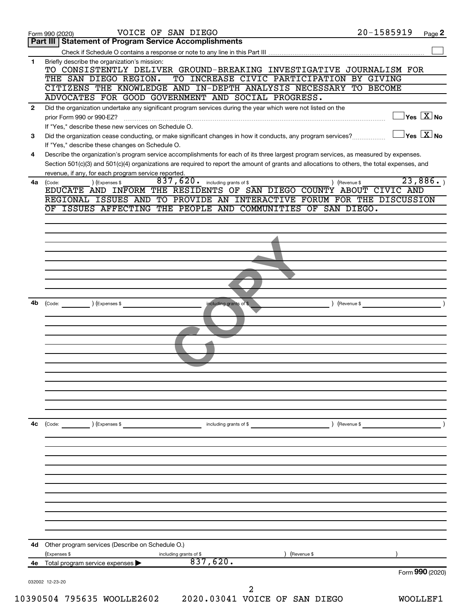|              | 20-1585919<br>VOICE OF SAN DIEGO<br>Page 2<br>Form 990 (2020)                                                                                                                                               |
|--------------|-------------------------------------------------------------------------------------------------------------------------------------------------------------------------------------------------------------|
|              | Part III   Statement of Program Service Accomplishments                                                                                                                                                     |
|              |                                                                                                                                                                                                             |
| 1            | Briefly describe the organization's mission:<br>TO CONSISTENTLY DELIVER GROUND-BREAKING INVESTIGATIVE JOURNALISM FOR                                                                                        |
|              | TO INCREASE CIVIC PARTICIPATION BY GIVING<br>THE SAN DIEGO REGION.                                                                                                                                          |
|              | CITIZENS THE KNOWLEDGE AND IN-DEPTH ANALYSIS NECESSARY TO BECOME                                                                                                                                            |
|              | ADVOCATES FOR GOOD GOVERNMENT AND SOCIAL PROGRESS.                                                                                                                                                          |
| $\mathbf{2}$ | Did the organization undertake any significant program services during the year which were not listed on the                                                                                                |
|              | $\sqrt{\mathsf{Yes}\ \mathbf{X}}$ No<br>prior Form 990 or 990-EZ?                                                                                                                                           |
| 3            | If "Yes," describe these new services on Schedule O.<br>$\exists$ Yes $\boxed{\text{X}}$ No<br>Did the organization cease conducting, or make significant changes in how it conducts, any program services? |
|              | If "Yes," describe these changes on Schedule O.                                                                                                                                                             |
| 4            | Describe the organization's program service accomplishments for each of its three largest program services, as measured by expenses.                                                                        |
|              | Section 501(c)(3) and 501(c)(4) organizations are required to report the amount of grants and allocations to others, the total expenses, and                                                                |
|              | revenue, if any, for each program service reported.                                                                                                                                                         |
| 4a           | 23,886.<br>$\overline{837}$ , $620$ . including grants of \$<br>) (Expenses \$<br>) (Revenue \$<br>(Code:<br>EDUCATE AND INFORM THE RESIDENTS OF SAN DIEGO COUNTY ABOUT CIVIC AND                           |
|              | REGIONAL ISSUES AND TO PROVIDE AN INTERACTIVE FORUM FOR THE DISCUSSION                                                                                                                                      |
|              | OF ISSUES AFFECTING THE PEOPLE AND COMMUNITIES OF SAN DIEGO.                                                                                                                                                |
|              |                                                                                                                                                                                                             |
|              |                                                                                                                                                                                                             |
|              |                                                                                                                                                                                                             |
|              |                                                                                                                                                                                                             |
|              |                                                                                                                                                                                                             |
|              |                                                                                                                                                                                                             |
|              |                                                                                                                                                                                                             |
|              |                                                                                                                                                                                                             |
| 4b           | $\left(\text{Code:} \right) \left(\text{Expenses } \$\right)$<br>including grants of \$<br>) (Revenue \$                                                                                                    |
|              |                                                                                                                                                                                                             |
|              |                                                                                                                                                                                                             |
|              |                                                                                                                                                                                                             |
|              |                                                                                                                                                                                                             |
|              |                                                                                                                                                                                                             |
|              |                                                                                                                                                                                                             |
|              |                                                                                                                                                                                                             |
|              |                                                                                                                                                                                                             |
|              |                                                                                                                                                                                                             |
|              |                                                                                                                                                                                                             |
| 4c           | (Code: ) (Expenses \$<br>including grants of \$<br>) (Revenue \$                                                                                                                                            |
|              |                                                                                                                                                                                                             |
|              |                                                                                                                                                                                                             |
|              |                                                                                                                                                                                                             |
|              |                                                                                                                                                                                                             |
|              |                                                                                                                                                                                                             |
|              |                                                                                                                                                                                                             |
|              |                                                                                                                                                                                                             |
|              |                                                                                                                                                                                                             |
|              |                                                                                                                                                                                                             |
|              |                                                                                                                                                                                                             |
|              |                                                                                                                                                                                                             |
|              |                                                                                                                                                                                                             |
|              | 4d Other program services (Describe on Schedule O.)<br>(Revenue \$<br>(Expenses \$<br>including grants of \$                                                                                                |
| 4е           | 837,620.<br>Total program service expenses<br>Form 990 (2020)                                                                                                                                               |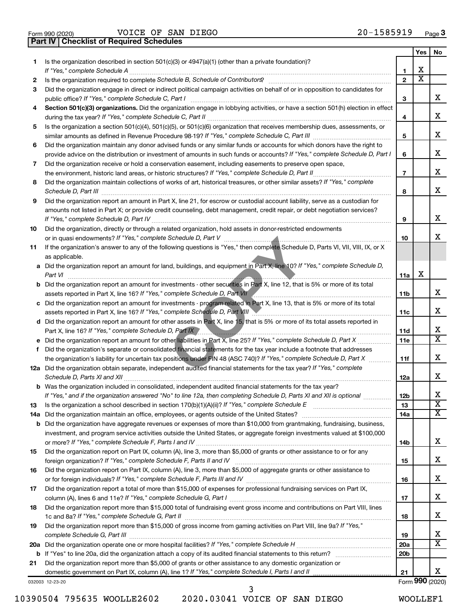|  | Form 990 (2020) |
|--|-----------------|

Form 990 (2020) Page VOICE OF SAN DIEGO 20-1585919 **Part IV Checklist of Required Schedules**

|     |                                                                                                                                                                                                                                                       |                 | Yes                     | No                                                 |
|-----|-------------------------------------------------------------------------------------------------------------------------------------------------------------------------------------------------------------------------------------------------------|-----------------|-------------------------|----------------------------------------------------|
| 1   | Is the organization described in section 501(c)(3) or 4947(a)(1) (other than a private foundation)?                                                                                                                                                   |                 |                         |                                                    |
|     |                                                                                                                                                                                                                                                       | $\mathbf{1}$    | х                       |                                                    |
| 2   |                                                                                                                                                                                                                                                       | $\mathbf{2}$    | $\overline{\textbf{x}}$ |                                                    |
| З   | Did the organization engage in direct or indirect political campaign activities on behalf of or in opposition to candidates for                                                                                                                       | 3               |                         | x                                                  |
| 4   | Section 501(c)(3) organizations. Did the organization engage in lobbying activities, or have a section 501(h) election in effect                                                                                                                      |                 |                         |                                                    |
|     |                                                                                                                                                                                                                                                       | 4               |                         | x                                                  |
| 5   | Is the organization a section 501(c)(4), 501(c)(5), or 501(c)(6) organization that receives membership dues, assessments, or                                                                                                                          |                 |                         |                                                    |
|     |                                                                                                                                                                                                                                                       | 5               |                         | X                                                  |
| 6   | Did the organization maintain any donor advised funds or any similar funds or accounts for which donors have the right to                                                                                                                             |                 |                         |                                                    |
|     | provide advice on the distribution or investment of amounts in such funds or accounts? If "Yes," complete Schedule D, Part I                                                                                                                          | 6               |                         | X                                                  |
| 7   | Did the organization receive or hold a conservation easement, including easements to preserve open space,                                                                                                                                             |                 |                         |                                                    |
|     |                                                                                                                                                                                                                                                       | $\overline{7}$  |                         | x                                                  |
| 8   | Did the organization maintain collections of works of art, historical treasures, or other similar assets? If "Yes," complete                                                                                                                          |                 |                         |                                                    |
|     |                                                                                                                                                                                                                                                       | 8               |                         | x                                                  |
| 9   | Did the organization report an amount in Part X, line 21, for escrow or custodial account liability, serve as a custodian for                                                                                                                         |                 |                         |                                                    |
|     | amounts not listed in Part X; or provide credit counseling, debt management, credit repair, or debt negotiation services?                                                                                                                             |                 |                         |                                                    |
|     |                                                                                                                                                                                                                                                       | 9               |                         | x                                                  |
| 10  | Did the organization, directly or through a related organization, hold assets in donor-restricted endowments                                                                                                                                          |                 |                         |                                                    |
|     |                                                                                                                                                                                                                                                       | 10              |                         | x                                                  |
| 11  | If the organization's answer to any of the following questions is "Yes," then complete Schedule D, Parts VI, VII, VIII, IX, or X                                                                                                                      |                 |                         |                                                    |
|     | as applicable.<br>a Did the organization report an amount for land, buildings, and equipment in Part X, line 10? If "Yes," complete Schedule D,                                                                                                       |                 |                         |                                                    |
|     |                                                                                                                                                                                                                                                       | 11a             | X                       |                                                    |
|     | <b>b</b> Did the organization report an amount for investments - other securities in Part X, line 12, that is 5% or more of its total                                                                                                                 |                 |                         |                                                    |
|     |                                                                                                                                                                                                                                                       | 11 <sub>b</sub> |                         | x                                                  |
|     | c Did the organization report an amount for investments - program related in Part X, line 13, that is 5% or more of its total                                                                                                                         |                 |                         |                                                    |
|     | assets reported in Part X, line 16? If "Yes," complete Schedule D, Part VIII MARCONCO.                                                                                                                                                                | 11c             |                         | x                                                  |
|     | d Did the organization report an amount for other assets in Part X, line 15, that is 5% or more of its total assets reported in                                                                                                                       |                 |                         |                                                    |
|     | Part X, line 16? If "Yes," complete Schedule D, Part IX                                                                                                                                                                                               | 11d             |                         | х                                                  |
|     |                                                                                                                                                                                                                                                       | 11e             |                         | $\overline{\mathtt{x}}$                            |
| f   | Did the organization's separate or consolidated financial statements for the tax year include a footnote that addresses                                                                                                                               |                 |                         |                                                    |
|     | the organization's liability for uncertain tax positions under FIN 48 (ASC 740)? If "Yes," complete Schedule D, Part X                                                                                                                                | 11f             |                         | х                                                  |
|     | 12a Did the organization obtain separate, independent audited financial statements for the tax year? If "Yes," complete                                                                                                                               |                 |                         |                                                    |
|     |                                                                                                                                                                                                                                                       | 12a             |                         | x                                                  |
|     | <b>b</b> Was the organization included in consolidated, independent audited financial statements for the tax year?                                                                                                                                    |                 |                         |                                                    |
|     | If "Yes," and if the organization answered "No" to line 12a, then completing Schedule D, Parts XI and XII is optional                                                                                                                                 | 12 <sub>b</sub> |                         | X                                                  |
| 13  |                                                                                                                                                                                                                                                       | 13              |                         | $\overline{\texttt{x}}$<br>$\overline{\mathtt{x}}$ |
| 14a |                                                                                                                                                                                                                                                       | 14a             |                         |                                                    |
| b   | Did the organization have aggregate revenues or expenses of more than \$10,000 from grantmaking, fundraising, business,<br>investment, and program service activities outside the United States, or aggregate foreign investments valued at \$100,000 |                 |                         |                                                    |
|     |                                                                                                                                                                                                                                                       | 14b             |                         | X                                                  |
| 15  | Did the organization report on Part IX, column (A), line 3, more than \$5,000 of grants or other assistance to or for any                                                                                                                             |                 |                         |                                                    |
|     |                                                                                                                                                                                                                                                       | 15              |                         | x                                                  |
| 16  | Did the organization report on Part IX, column (A), line 3, more than \$5,000 of aggregate grants or other assistance to                                                                                                                              |                 |                         |                                                    |
|     |                                                                                                                                                                                                                                                       | 16              |                         | x                                                  |
| 17  | Did the organization report a total of more than \$15,000 of expenses for professional fundraising services on Part IX,                                                                                                                               |                 |                         |                                                    |
|     |                                                                                                                                                                                                                                                       | 17              |                         | x                                                  |
| 18  | Did the organization report more than \$15,000 total of fundraising event gross income and contributions on Part VIII, lines                                                                                                                          |                 |                         |                                                    |
|     |                                                                                                                                                                                                                                                       | 18              |                         | x                                                  |
| 19  | Did the organization report more than \$15,000 of gross income from gaming activities on Part VIII, line 9a? If "Yes,"                                                                                                                                |                 |                         |                                                    |
|     |                                                                                                                                                                                                                                                       | 19              |                         | x                                                  |
| 20a |                                                                                                                                                                                                                                                       | 20a             |                         | $\overline{\mathtt{x}}$                            |
| b   |                                                                                                                                                                                                                                                       | 20 <sub>b</sub> |                         |                                                    |
| 21  | Did the organization report more than \$5,000 of grants or other assistance to any domestic organization or                                                                                                                                           |                 |                         |                                                    |
|     | domestic government on Part IX, column (A), line 1? If "Yes," complete Schedule I, Parts I and II                                                                                                                                                     | 21              |                         | x                                                  |
|     | 032003 12-23-20                                                                                                                                                                                                                                       |                 |                         | Form 990 (2020)                                    |

10390504 795635 WOOLLE2602 2020.03041 VOICE OF SAN DIEGO WOOLLEF1

3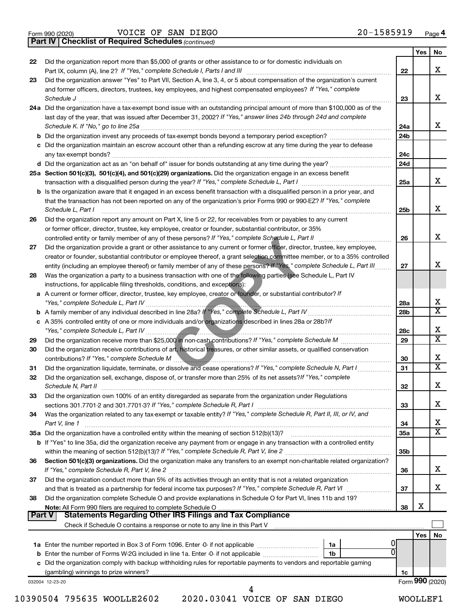|  | Form 990 (2020) |  |
|--|-----------------|--|
|  |                 |  |

Form 990 (2020) Page VOICE OF SAN DIEGO 20-1585919

*(continued)* **Part IV Checklist of Required Schedules**

|               |                                                                                                                                                                             |                 | Yes | No                           |
|---------------|-----------------------------------------------------------------------------------------------------------------------------------------------------------------------------|-----------------|-----|------------------------------|
| 22            | Did the organization report more than \$5,000 of grants or other assistance to or for domestic individuals on                                                               |                 |     |                              |
|               | Part IX, column (A), line 2? If "Yes," complete Schedule I, Parts I and III [11] [12] [12] [12] Part IX, column (A), line 2? If "Yes," complete Schedule I, Parts I and III | 22              |     | x                            |
| 23            | Did the organization answer "Yes" to Part VII, Section A, line 3, 4, or 5 about compensation of the organization's current                                                  |                 |     |                              |
|               | and former officers, directors, trustees, key employees, and highest compensated employees? If "Yes," complete                                                              |                 |     |                              |
|               | Schedule J                                                                                                                                                                  | 23              |     | x                            |
|               | 24a Did the organization have a tax-exempt bond issue with an outstanding principal amount of more than \$100,000 as of the                                                 |                 |     |                              |
|               | last day of the year, that was issued after December 31, 2002? If "Yes," answer lines 24b through 24d and complete                                                          |                 |     |                              |
|               | Schedule K. If "No," go to line 25a                                                                                                                                         | 24a             |     | x                            |
|               | <b>b</b> Did the organization invest any proceeds of tax-exempt bonds beyond a temporary period exception?                                                                  | 24 <sub>b</sub> |     |                              |
|               | c Did the organization maintain an escrow account other than a refunding escrow at any time during the year to defease                                                      |                 |     |                              |
|               | any tax-exempt bonds?                                                                                                                                                       | 24c             |     |                              |
|               |                                                                                                                                                                             | 24d             |     |                              |
|               | 25a Section 501(c)(3), 501(c)(4), and 501(c)(29) organizations. Did the organization engage in an excess benefit                                                            |                 |     |                              |
|               |                                                                                                                                                                             | 25a             |     | x                            |
|               | b Is the organization aware that it engaged in an excess benefit transaction with a disqualified person in a prior year, and                                                |                 |     |                              |
|               | that the transaction has not been reported on any of the organization's prior Forms 990 or 990-EZ? If "Yes," complete                                                       |                 |     |                              |
|               | Schedule L, Part I                                                                                                                                                          | 25b             |     | x                            |
| 26            | Did the organization report any amount on Part X, line 5 or 22, for receivables from or payables to any current                                                             |                 |     |                              |
|               | or former officer, director, trustee, key employee, creator or founder, substantial contributor, or 35%                                                                     |                 |     |                              |
|               | controlled entity or family member of any of these persons? If "Yes," complete Schedule L, Part II                                                                          | 26              |     | x                            |
| 27            | Did the organization provide a grant or other assistance to any current or former officer, director, trustee, key employee,                                                 |                 |     |                              |
|               | creator or founder, substantial contributor or employee thereof, a grant selection committee member, or to a 35% controlled                                                 |                 |     |                              |
|               | entity (including an employee thereof) or family member of any of these persons? If "Yes," complete Schedule L, Part III                                                    | 27              |     | x                            |
| 28            | Was the organization a party to a business transaction with one of the following parties (see Schedule L, Part IV                                                           |                 |     |                              |
|               | instructions, for applicable filing thresholds, conditions, and exceptions):                                                                                                |                 |     |                              |
|               | a A current or former officer, director, trustee, key employee, creator or founder, or substantial contributor? If                                                          |                 |     |                              |
|               |                                                                                                                                                                             | 28a             |     | X                            |
|               |                                                                                                                                                                             | 28b             |     | $\overline{\mathtt{x}}$      |
|               | c A 35% controlled entity of one or more individuals and/or organizations described in lines 28a or 28b?If                                                                  |                 |     |                              |
|               |                                                                                                                                                                             | 28c             |     | х                            |
| 29            |                                                                                                                                                                             | 29              |     | $\overline{\mathtt{x}}$      |
|               |                                                                                                                                                                             |                 |     |                              |
| 30            | Did the organization receive contributions of art, historical treasures, or other similar assets, or qualified conservation                                                 |                 |     | x                            |
|               | contributions? If "Yes," complete Schedule M                                                                                                                                | 30              |     | $\overline{\mathtt{x}}$      |
| 31            | Did the organization liquidate, terminate, or dissolve and cease operations? If "Yes," complete Schedule N, Part I                                                          | 31              |     |                              |
| 32            | Did the organization sell, exchange, dispose of, or transfer more than 25% of its net assets? If "Yes," complete                                                            |                 |     | X                            |
|               | Schedule N, Part II                                                                                                                                                         | 32              |     |                              |
| 33            | Did the organization own 100% of an entity disregarded as separate from the organization under Regulations                                                                  |                 |     |                              |
|               |                                                                                                                                                                             | 33              |     | х                            |
| 34            | Was the organization related to any tax-exempt or taxable entity? If "Yes," complete Schedule R, Part II, III, or IV, and                                                   |                 |     |                              |
|               | Part V, line 1                                                                                                                                                              | 34              |     | x<br>$\overline{\mathtt{x}}$ |
|               |                                                                                                                                                                             | 35a             |     |                              |
|               | b If "Yes" to line 35a, did the organization receive any payment from or engage in any transaction with a controlled entity                                                 |                 |     |                              |
|               |                                                                                                                                                                             | 35 <sub>b</sub> |     |                              |
| 36            | Section 501(c)(3) organizations. Did the organization make any transfers to an exempt non-charitable related organization?                                                  |                 |     |                              |
|               |                                                                                                                                                                             | 36              |     | x                            |
| 37            | Did the organization conduct more than 5% of its activities through an entity that is not a related organization                                                            |                 |     |                              |
|               | and that is treated as a partnership for federal income tax purposes? If "Yes," complete Schedule R, Part VI                                                                | 37              |     | x                            |
| 38            | Did the organization complete Schedule O and provide explanations in Schedule O for Part VI, lines 11b and 19?                                                              |                 |     |                              |
|               |                                                                                                                                                                             | 38              | х   |                              |
| <b>Part V</b> | Statements Regarding Other IRS Filings and Tax Compliance                                                                                                                   |                 |     |                              |
|               |                                                                                                                                                                             |                 |     |                              |
|               |                                                                                                                                                                             |                 | Yes | No                           |
|               | 1a<br>U                                                                                                                                                                     |                 |     |                              |
|               | 1b                                                                                                                                                                          |                 |     |                              |
|               | c Did the organization comply with backup withholding rules for reportable payments to vendors and reportable gaming                                                        |                 |     |                              |
|               |                                                                                                                                                                             | 1c              |     |                              |
|               | 032004 12-23-20<br>4                                                                                                                                                        |                 |     | Form 990 (2020)              |
|               |                                                                                                                                                                             |                 |     |                              |

10390504 795635 WOOLLE2602 2020.03041 VOICE OF SAN DIEGO WOOLLEF1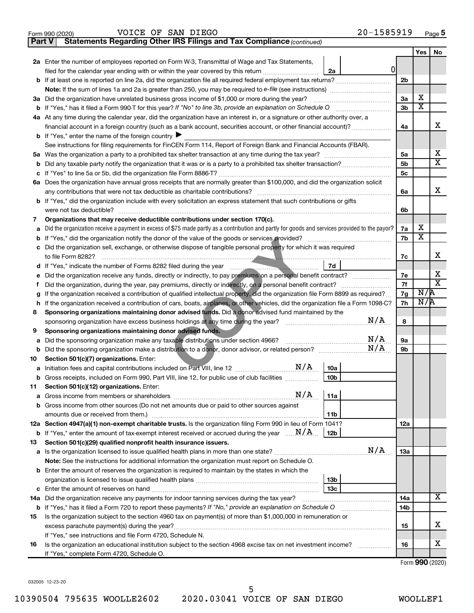| Form 990 (2020) | DIEGO<br>SAN<br>VOICE<br>ΟF | 1585919<br>$20 -$<br>Page 5 |
|-----------------|-----------------------------|-----------------------------|
|-----------------|-----------------------------|-----------------------------|

| Part V | Statements Regarding Other IRS Filings and Tax Compliance (continued)                                                                                  |     |                         |                              |
|--------|--------------------------------------------------------------------------------------------------------------------------------------------------------|-----|-------------------------|------------------------------|
|        |                                                                                                                                                        |     | Yes                     | No                           |
|        | 2a Enter the number of employees reported on Form W-3, Transmittal of Wage and Tax Statements,                                                         |     |                         |                              |
|        | 0<br>filed for the calendar year ending with or within the year covered by this return<br>2a                                                           |     |                         |                              |
|        | <b>b</b> If at least one is reported on line 2a, did the organization file all required federal employment tax returns?                                | 2b  |                         |                              |
|        | Note: If the sum of lines 1a and 2a is greater than 250, you may be required to e-file (see instructions) <i></i>                                      |     |                         |                              |
| За     | Did the organization have unrelated business gross income of \$1,000 or more during the year?                                                          | За  | х                       |                              |
| b      |                                                                                                                                                        | Зb  | $\overline{\mathbf{X}}$ |                              |
|        | 4a At any time during the calendar year, did the organization have an interest in, or a signature or other authority over, a                           |     |                         |                              |
|        |                                                                                                                                                        | 4a  |                         | х                            |
|        | <b>b</b> If "Yes," enter the name of the foreign country $\blacktriangleright$                                                                         |     |                         |                              |
|        | See instructions for filing requirements for FinCEN Form 114, Report of Foreign Bank and Financial Accounts (FBAR).                                    |     |                         |                              |
| 5a     |                                                                                                                                                        | 5a  |                         | х                            |
| b      |                                                                                                                                                        | 5b  |                         | X                            |
| с      |                                                                                                                                                        | 5c  |                         |                              |
|        | 6a Does the organization have annual gross receipts that are normally greater than \$100,000, and did the organization solicit                         |     |                         |                              |
|        |                                                                                                                                                        | 6a  |                         | x                            |
|        | <b>b</b> If "Yes," did the organization include with every solicitation an express statement that such contributions or gifts                          |     |                         |                              |
|        |                                                                                                                                                        | 6b  |                         |                              |
| 7      | Organizations that may receive deductible contributions under section 170(c).                                                                          |     |                         |                              |
| а      | Did the organization receive a payment in excess of \$75 made partly as a contribution and partly for goods and services provided to the payor?        | 7a  | х                       |                              |
| b      |                                                                                                                                                        | 7b  | $\overline{\mathbf{X}}$ |                              |
| с      | Did the organization sell, exchange, or otherwise dispose of tangible personal property for which it was required                                      |     |                         |                              |
|        |                                                                                                                                                        | 7c  |                         | х                            |
|        | 7d                                                                                                                                                     |     |                         |                              |
| е      | Did the organization receive any funds, directly or indirectly, to pay premiums on a personal benefit contract?                                        | 7е  |                         | х<br>$\overline{\texttt{x}}$ |
| f.     |                                                                                                                                                        | 7f  | N/R                     |                              |
| g      | If the organization received a contribution of qualified intellectual property, did the organization file Form 8899 as required?                       | 7g  | N/R                     |                              |
| h      | If the organization received a contribution of cars, boats, airplanes, or other vehicles, did the organization file a Form 1098-C?                     | 7h  |                         |                              |
| 8      | Sponsoring organizations maintaining donor advised funds. Did a donor advised fund maintained by the<br>N/A                                            |     |                         |                              |
| 9      |                                                                                                                                                        | 8   |                         |                              |
|        | Sponsoring organizations maintaining donor advised funds.<br>N/A<br>Did the sponsoring organization make any taxable distributions under section 4966? | 9а  |                         |                              |
| а<br>b | N/A                                                                                                                                                    | 9b  |                         |                              |
| 10     | Section 501(c)(7) organizations. Enter:                                                                                                                |     |                         |                              |
| а      | N/A<br>10a                                                                                                                                             |     |                         |                              |
|        | 10 <sub>b</sub><br>b Gross receipts, included on Form 990, Part VIII, line 12, for public use of club facilities                                       |     |                         |                              |
| 11     | Section 501(c)(12) organizations. Enter:                                                                                                               |     |                         |                              |
| а      | N/A<br>11a                                                                                                                                             |     |                         |                              |
|        | b Gross income from other sources (Do not net amounts due or paid to other sources against                                                             |     |                         |                              |
|        | 11b                                                                                                                                                    |     |                         |                              |
|        | 12a Section 4947(a)(1) non-exempt charitable trusts. Is the organization filing Form 990 in lieu of Form 1041?                                         | 12a |                         |                              |
|        | <b>b</b> If "Yes," enter the amount of tax-exempt interest received or accrued during the year $\ldots \mathbf{N}/\mathbf{A}$ .<br>12b                 |     |                         |                              |
| 13     | Section 501(c)(29) qualified nonprofit health insurance issuers.                                                                                       |     |                         |                              |
|        | N/A<br>a Is the organization licensed to issue qualified health plans in more than one state?                                                          | 1За |                         |                              |
|        | Note: See the instructions for additional information the organization must report on Schedule O.                                                      |     |                         |                              |
|        | <b>b</b> Enter the amount of reserves the organization is required to maintain by the states in which the                                              |     |                         |                              |
|        | 13b                                                                                                                                                    |     |                         |                              |
| с      | 13 <sub>c</sub>                                                                                                                                        |     |                         |                              |
| 14a    | Did the organization receive any payments for indoor tanning services during the tax year?                                                             | 14a |                         | x                            |
| b      | If "Yes," has it filed a Form 720 to report these payments? If "No," provide an explanation on Schedule O                                              | 14b |                         |                              |
| 15     | Is the organization subject to the section 4960 tax on payment(s) of more than \$1,000,000 in remuneration or                                          |     |                         |                              |
|        |                                                                                                                                                        | 15  |                         | х                            |
|        | If "Yes," see instructions and file Form 4720, Schedule N.                                                                                             |     |                         |                              |
| 16     | Is the organization an educational institution subject to the section 4968 excise tax on net investment income?                                        | 16  |                         | х                            |
|        | If "Yes," complete Form 4720, Schedule O.                                                                                                              |     |                         | $Form$ 000 (2000)            |

Form (2020) **990**

032005 12-23-20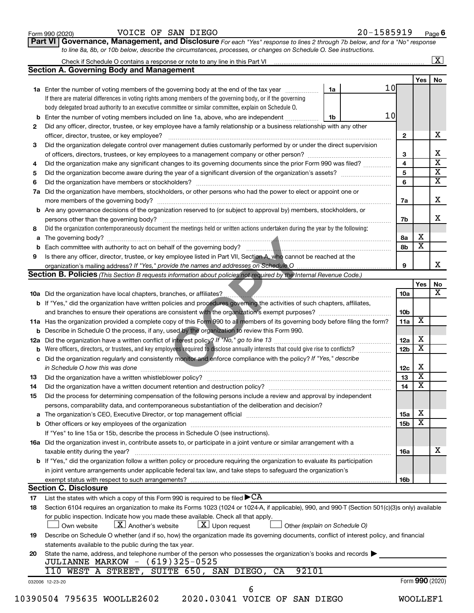| Form 990 (2020) |  |
|-----------------|--|
|-----------------|--|

### Form 990 (2020) Page VOICE OF SAN DIEGO 20-1585919

**Part VI** Governance, Management, and Disclosure For each "Yes" response to lines 2 through 7b below, and for a "No" response *to line 8a, 8b, or 10b below, describe the circumstances, processes, or changes on Schedule O. See instructions.*

|     | Check if Schedule O contains a response or note to any line in this Part VI [1] [1] [1] [1] [1] [1] [1] [1] [1                                                                                                                |    |                 |                 |                         | $\vert X \vert$                                    |
|-----|-------------------------------------------------------------------------------------------------------------------------------------------------------------------------------------------------------------------------------|----|-----------------|-----------------|-------------------------|----------------------------------------------------|
|     | <b>Section A. Governing Body and Management</b>                                                                                                                                                                               |    |                 |                 |                         |                                                    |
|     |                                                                                                                                                                                                                               |    |                 |                 | Yes                     | No                                                 |
|     | <b>1a</b> Enter the number of voting members of the governing body at the end of the tax year                                                                                                                                 | 1a | 10 <sub>l</sub> |                 |                         |                                                    |
|     | If there are material differences in voting rights among members of the governing body, or if the governing                                                                                                                   |    |                 |                 |                         |                                                    |
|     | body delegated broad authority to an executive committee or similar committee, explain on Schedule O.                                                                                                                         |    |                 |                 |                         |                                                    |
| b   | Enter the number of voting members included on line 1a, above, who are independent                                                                                                                                            | 1b | 10              |                 |                         |                                                    |
| 2   | Did any officer, director, trustee, or key employee have a family relationship or a business relationship with any other                                                                                                      |    |                 |                 |                         |                                                    |
|     | officer, director, trustee, or key employee?                                                                                                                                                                                  |    |                 | $\mathbf{2}$    |                         | х                                                  |
| 3   | Did the organization delegate control over management duties customarily performed by or under the direct supervision                                                                                                         |    |                 |                 |                         |                                                    |
|     |                                                                                                                                                                                                                               |    |                 | 3               |                         | х                                                  |
| 4   | Did the organization make any significant changes to its governing documents since the prior Form 990 was filed?                                                                                                              |    |                 | 4               |                         | $\overline{\textbf{x}}$                            |
| 5   |                                                                                                                                                                                                                               |    |                 | 5               |                         |                                                    |
| 6   |                                                                                                                                                                                                                               |    |                 | 6               |                         | $\overline{\mathbf{X}}$<br>$\overline{\mathbf{X}}$ |
| 7a  | Did the organization have members, stockholders, or other persons who had the power to elect or appoint one or                                                                                                                |    |                 |                 |                         |                                                    |
|     |                                                                                                                                                                                                                               |    |                 |                 |                         | x                                                  |
|     |                                                                                                                                                                                                                               |    |                 | 7a              |                         |                                                    |
| b   | Are any governance decisions of the organization reserved to (or subject to approval by) members, stockholders, or                                                                                                            |    |                 |                 |                         |                                                    |
|     |                                                                                                                                                                                                                               |    |                 | 7b              |                         | x                                                  |
| 8   | Did the organization contemporaneously document the meetings held or written actions undertaken during the year by the following:                                                                                             |    |                 |                 |                         |                                                    |
| а   |                                                                                                                                                                                                                               |    |                 | 8а              | х                       |                                                    |
| b   |                                                                                                                                                                                                                               |    |                 | 8b              | $\overline{\mathbf{x}}$ |                                                    |
| 9   | Is there any officer, director, trustee, or key employee listed in Part VII, Section A, who cannot be reached at the                                                                                                          |    |                 |                 |                         |                                                    |
|     |                                                                                                                                                                                                                               |    |                 | 9               |                         |                                                    |
|     | Section B. Policies (This Section B requests information about policies not required by the Internal Revenue Code.)                                                                                                           |    |                 |                 |                         |                                                    |
|     |                                                                                                                                                                                                                               |    |                 |                 | Yes                     | No                                                 |
|     | 10a Did the organization have local chapters, branches, or affiliates?                                                                                                                                                        |    |                 | 10a             |                         |                                                    |
|     | b If "Yes," did the organization have written policies and procedures governing the activities of such chapters, affiliates,                                                                                                  |    |                 |                 |                         |                                                    |
|     |                                                                                                                                                                                                                               |    |                 | 10b             |                         |                                                    |
|     | 11a Has the organization provided a complete copy of this Form 990 to all members of its governing body before filing the form?                                                                                               |    |                 | 11a             | X                       |                                                    |
|     | <b>b</b> Describe in Schedule O the process, if any, used by the organization to review this Form 990.                                                                                                                        |    |                 |                 |                         |                                                    |
| 12a |                                                                                                                                                                                                                               |    |                 | 12a             | х                       |                                                    |
| b   | Were officers, directors, or trustees, and key employees required to disclose annually interests that could give rise to conflicts?                                                                                           |    |                 | 12 <sub>b</sub> | $\overline{\textbf{x}}$ |                                                    |
| с   | Did the organization regularly and consistently monitor and enforce compliance with the policy? If "Yes," describe                                                                                                            |    |                 |                 |                         |                                                    |
|     | in Schedule O how this was done <i>manufacture and a content of the set of the set of the set of the set of the set of</i>                                                                                                    |    |                 | 12c             | Х                       |                                                    |
| 13  |                                                                                                                                                                                                                               |    |                 | 13              | $\overline{\mathbf{X}}$ |                                                    |
| 14  | Did the organization have a written document retention and destruction policy? [11] manufaction manufaction in                                                                                                                |    |                 | 14              | $\overline{\mathbf{X}}$ |                                                    |
| 15  | Did the process for determining compensation of the following persons include a review and approval by independent                                                                                                            |    |                 |                 |                         |                                                    |
|     | persons, comparability data, and contemporaneous substantiation of the deliberation and decision?                                                                                                                             |    |                 |                 |                         |                                                    |
|     |                                                                                                                                                                                                                               |    |                 |                 | х                       |                                                    |
| а   | The organization's CEO, Executive Director, or top management official [111] [11] manument content of the organization's CEO, Executive Director, or top management official [11] manument content of the organization of the |    |                 | 15a             | $\overline{\textbf{x}}$ |                                                    |
|     |                                                                                                                                                                                                                               |    |                 | 15 <sub>b</sub> |                         |                                                    |
|     | If "Yes" to line 15a or 15b, describe the process in Schedule O (see instructions).                                                                                                                                           |    |                 |                 |                         |                                                    |
|     | 16a Did the organization invest in, contribute assets to, or participate in a joint venture or similar arrangement with a                                                                                                     |    |                 |                 |                         |                                                    |
|     | taxable entity during the year?                                                                                                                                                                                               |    |                 | 16a             |                         |                                                    |
|     | b If "Yes," did the organization follow a written policy or procedure requiring the organization to evaluate its participation                                                                                                |    |                 |                 |                         |                                                    |
|     | in joint venture arrangements under applicable federal tax law, and take steps to safeguard the organization's                                                                                                                |    |                 |                 |                         |                                                    |
|     | exempt status with respect to such arrangements?                                                                                                                                                                              |    |                 | 16b             |                         |                                                    |
|     | <b>Section C. Disclosure</b>                                                                                                                                                                                                  |    |                 |                 |                         |                                                    |
| 17  | List the states with which a copy of this Form 990 is required to be filed $\blacktriangleright$ CA                                                                                                                           |    |                 |                 |                         |                                                    |
| 18  | Section 6104 requires an organization to make its Forms 1023 (1024 or 1024-A, if applicable), 990, and 990-T (Section 501(c)(3)s only) available                                                                              |    |                 |                 |                         |                                                    |
|     | for public inspection. Indicate how you made these available. Check all that apply.                                                                                                                                           |    |                 |                 |                         |                                                    |
|     | $\lfloor x \rfloor$ Upon request<br>$\lfloor X \rfloor$ Another's website<br>Own website<br>Other (explain on Schedule O)                                                                                                     |    |                 |                 |                         |                                                    |
| 19  | Describe on Schedule O whether (and if so, how) the organization made its governing documents, conflict of interest policy, and financial                                                                                     |    |                 |                 |                         |                                                    |
|     | statements available to the public during the tax year.                                                                                                                                                                       |    |                 |                 |                         |                                                    |
| 20  | State the name, address, and telephone number of the person who possesses the organization's books and records                                                                                                                |    |                 |                 |                         |                                                    |
|     | JULIANNE MARKOW - (619)325-0525                                                                                                                                                                                               |    |                 |                 |                         |                                                    |
|     | 92101<br>WEST A STREET, SUITE 650, SAN DIEGO,<br>CA<br>110                                                                                                                                                                    |    |                 |                 |                         |                                                    |
|     | 032006 12-23-20                                                                                                                                                                                                               |    |                 |                 | Form 990 (2020)         |                                                    |
|     | 6                                                                                                                                                                                                                             |    |                 |                 |                         |                                                    |
|     | 2020.03041 VOICE OF SAN DIEGO<br>10390504 795635 WOOLLE2602                                                                                                                                                                   |    |                 |                 | <b>WOOLLEF1</b>         |                                                    |
|     |                                                                                                                                                                                                                               |    |                 |                 |                         |                                                    |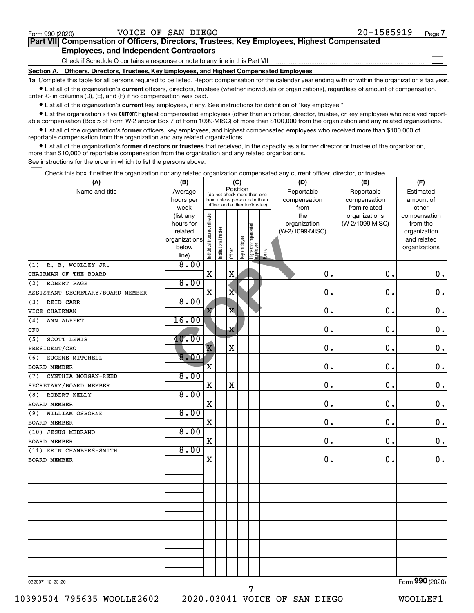$\Box$ 

| Part VII Compensation of Officers, Directors, Trustees, Key Employees, Highest Compensated |  |  |  |  |
|--------------------------------------------------------------------------------------------|--|--|--|--|
| <b>Employees, and Independent Contractors</b>                                              |  |  |  |  |

Check if Schedule O contains a response or note to any line in this Part VII

**Section A. Officers, Directors, Trustees, Key Employees, and Highest Compensated Employees**

**1a**  Complete this table for all persons required to be listed. Report compensation for the calendar year ending with or within the organization's tax year.  $\bullet$  List all of the organization's current officers, directors, trustees (whether individuals or organizations), regardless of amount of compensation.

Enter -0- in columns (D), (E), and (F) if no compensation was paid.

**•** List all of the organization's current key employees, if any. See instructions for definition of "key employee."

**•** List the organization's five *current* highest compensated employees (other than an officer, director, trustee, or key employee) who received reportable compensation (Box 5 of Form W-2 and/or Box 7 of Form 1099-MISC) of more than \$100,000 from the organization and any related organizations.

 $\bullet$  List all of the organization's former officers, key employees, and highest compensated employees who received more than \$100,000 of reportable compensation from the organization and any related organizations.

**•** List all of the organization's former directors or trustees that received, in the capacity as a former director or trustee of the organization, more than \$10,000 of reportable compensation from the organization and any related organizations.

See instructions for the order in which to list the persons above.

Check this box if neither the organization nor any related organization compensated any current officer, director, or trustee.  $\Box$ 

| (A)                              | (B)                  | (C)                            |                                                                  |                         |              |                                 |        | (D)                             | (E)             | (F)                       |  |  |
|----------------------------------|----------------------|--------------------------------|------------------------------------------------------------------|-------------------------|--------------|---------------------------------|--------|---------------------------------|-----------------|---------------------------|--|--|
| Name and title                   | Average              |                                | Position<br>(do not check more than one                          |                         |              |                                 |        | Reportable                      | Reportable      | Estimated                 |  |  |
|                                  | hours per            |                                | box, unless person is both an<br>officer and a director/trustee) |                         |              |                                 |        | compensation                    | compensation    | amount of                 |  |  |
|                                  | week                 |                                |                                                                  |                         |              |                                 |        | from                            | from related    | other                     |  |  |
|                                  | (list any            |                                |                                                                  |                         |              |                                 |        | the                             | organizations   | compensation              |  |  |
|                                  | hours for<br>related |                                |                                                                  |                         |              |                                 |        | organization<br>(W-2/1099-MISC) | (W-2/1099-MISC) | from the<br>organization  |  |  |
|                                  | organizations        |                                |                                                                  |                         |              |                                 |        |                                 |                 | and related               |  |  |
|                                  | below                |                                |                                                                  |                         |              |                                 |        |                                 |                 | organizations             |  |  |
|                                  | line)                | Individual trustee or director | Institutional trustee                                            | Officer                 | Key employee | Highest compensated<br>employee | Former |                                 |                 |                           |  |  |
| R. B. WOOLLEY JR.<br>(1)         | 8.00                 |                                |                                                                  |                         |              |                                 |        |                                 |                 |                           |  |  |
| CHAIRMAN OF THE BOARD            |                      | $\mathbf X$                    |                                                                  | $\mathbf X$             |              |                                 |        | $\mathbf 0$ .                   | 0.              | $\mathbf 0$ .             |  |  |
| ROBERT PAGE<br>(2)               | 8.00                 |                                |                                                                  |                         |              |                                 |        |                                 |                 |                           |  |  |
| ASSISTANT SECRETARY/BOARD MEMBER |                      | $\mathbf X$                    |                                                                  | $\overline{\mathbf{X}}$ |              |                                 |        | $\mathbf 0$ .                   | 0.              | $0$ .                     |  |  |
| REID CARR<br>(3)                 | 8.00                 |                                |                                                                  |                         |              |                                 |        |                                 |                 |                           |  |  |
| VICE CHAIRMAN                    |                      | X                              |                                                                  | $\overline{\mathbf{X}}$ |              |                                 |        | $\mathbf 0$ .                   | $\mathbf 0$ .   | $\mathbf 0$ .             |  |  |
| ANN ALPERT<br>(4)                | 16.00                |                                |                                                                  |                         |              |                                 |        |                                 |                 |                           |  |  |
| CFO                              |                      |                                |                                                                  | X                       |              |                                 |        | 0.                              | $\mathbf 0$ .   | $\mathbf 0$ .             |  |  |
| (5)<br>SCOTT LEWIS               | 40.00                |                                |                                                                  |                         |              |                                 |        |                                 |                 |                           |  |  |
| PRESIDENT/CEO                    |                      | $\overline{\mathbf{X}}$        |                                                                  | X                       |              |                                 |        | $\mathbf 0$ .                   | $\mathbf 0$ .   | $\mathbf 0$ .             |  |  |
| EUGENE MITCHELL<br>(6)           | 8.00                 |                                |                                                                  |                         |              |                                 |        |                                 |                 |                           |  |  |
| <b>BOARD MEMBER</b>              |                      | $\mathbf{\bar{X}}$             |                                                                  |                         |              |                                 |        | 0.                              | $\mathbf 0$ .   | $\mathbf 0$ .             |  |  |
| CYNTHIA MORGAN-REED<br>(7)       | 8.00                 |                                |                                                                  |                         |              |                                 |        |                                 |                 |                           |  |  |
| SECRETARY/BOARD MEMBER           |                      | X                              |                                                                  | X                       |              |                                 |        | $\mathbf 0$ .                   | $\mathbf 0$ .   | $\mathbf 0$ .             |  |  |
| ROBERT KELLY<br>(8)              | 8.00                 |                                |                                                                  |                         |              |                                 |        |                                 |                 |                           |  |  |
| <b>BOARD MEMBER</b>              |                      | $\mathbf X$                    |                                                                  |                         |              |                                 |        | 0.                              | $\mathbf 0$ .   | $\mathbf 0$ .             |  |  |
| WILLIAM OSBORNE<br>(9)           | 8.00                 |                                |                                                                  |                         |              |                                 |        |                                 |                 |                           |  |  |
| BOARD MEMBER                     |                      | X                              |                                                                  |                         |              |                                 |        | $\mathbf 0$ .                   | 0.              | $\mathbf 0$ .             |  |  |
| (10) JESUS MEDRANO               | 8.00                 |                                |                                                                  |                         |              |                                 |        |                                 |                 |                           |  |  |
| <b>BOARD MEMBER</b>              |                      | $\mathbf X$                    |                                                                  |                         |              |                                 |        | 0.                              | $\mathbf 0$ .   | $0$ .                     |  |  |
| (11) ERIN CHAMBERS-SMITH         | 8.00                 |                                |                                                                  |                         |              |                                 |        |                                 |                 |                           |  |  |
| BOARD MEMBER                     |                      | $\mathbf X$                    |                                                                  |                         |              |                                 |        | $\mathbf 0$ .                   | 0.              | $\mathbf 0$ .             |  |  |
|                                  |                      |                                |                                                                  |                         |              |                                 |        |                                 |                 |                           |  |  |
|                                  |                      |                                |                                                                  |                         |              |                                 |        |                                 |                 |                           |  |  |
|                                  |                      |                                |                                                                  |                         |              |                                 |        |                                 |                 |                           |  |  |
|                                  |                      |                                |                                                                  |                         |              |                                 |        |                                 |                 |                           |  |  |
|                                  |                      |                                |                                                                  |                         |              |                                 |        |                                 |                 |                           |  |  |
|                                  |                      |                                |                                                                  |                         |              |                                 |        |                                 |                 |                           |  |  |
|                                  |                      |                                |                                                                  |                         |              |                                 |        |                                 |                 |                           |  |  |
|                                  |                      |                                |                                                                  |                         |              |                                 |        |                                 |                 |                           |  |  |
|                                  |                      |                                |                                                                  |                         |              |                                 |        |                                 |                 |                           |  |  |
|                                  |                      |                                |                                                                  |                         |              |                                 |        |                                 |                 |                           |  |  |
|                                  |                      |                                |                                                                  |                         |              |                                 |        |                                 |                 |                           |  |  |
|                                  |                      |                                |                                                                  |                         |              |                                 |        |                                 |                 | $000 \times 00$<br>$\sim$ |  |  |

032007 12-23-20

7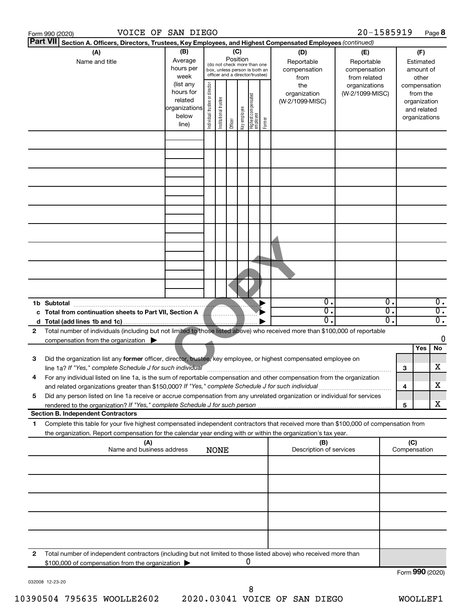|   | VOICE OF SAN DIEGO<br>Form 990 (2020)                                                                                                                                                                                             |                                                         |                                |                       |                 |              |                                                                                                 |        |                                                                                                                        | 20-1585919      |                                                 |     |                                                          | Page 8                 |
|---|-----------------------------------------------------------------------------------------------------------------------------------------------------------------------------------------------------------------------------------|---------------------------------------------------------|--------------------------------|-----------------------|-----------------|--------------|-------------------------------------------------------------------------------------------------|--------|------------------------------------------------------------------------------------------------------------------------|-----------------|-------------------------------------------------|-----|----------------------------------------------------------|------------------------|
|   | <b>Part VII</b><br>Section A. Officers, Directors, Trustees, Key Employees, and Highest Compensated Employees (continued)                                                                                                         |                                                         |                                |                       |                 |              |                                                                                                 |        |                                                                                                                        |                 |                                                 |     |                                                          |                        |
|   | (A)<br>Name and title                                                                                                                                                                                                             | (B)<br>Average<br>hours per<br>week<br>(list any        |                                |                       | (C)<br>Position |              | (do not check more than one<br>box, unless person is both an<br>officer and a director/trustee) |        | (D)<br>(E)<br>Reportable<br>Reportable<br>compensation<br>compensation<br>from related<br>from<br>the<br>organizations |                 | Estimated<br>amount of<br>other<br>compensation |     | (F)                                                      |                        |
|   |                                                                                                                                                                                                                                   | hours for<br>related<br>organizations<br>below<br>line) | Individual trustee or director | Institutional trustee | Officer         | Key employee | Highest compensated<br>  employee                                                               | Former | organization<br>(W-2/1099-MISC)                                                                                        | (W-2/1099-MISC) |                                                 |     | from the<br>organization<br>and related<br>organizations |                        |
|   |                                                                                                                                                                                                                                   |                                                         |                                |                       |                 |              |                                                                                                 |        |                                                                                                                        |                 |                                                 |     |                                                          |                        |
|   |                                                                                                                                                                                                                                   |                                                         |                                |                       |                 |              |                                                                                                 |        |                                                                                                                        |                 |                                                 |     |                                                          |                        |
|   |                                                                                                                                                                                                                                   |                                                         |                                |                       |                 |              |                                                                                                 |        |                                                                                                                        |                 |                                                 |     |                                                          |                        |
|   |                                                                                                                                                                                                                                   |                                                         |                                |                       |                 |              |                                                                                                 |        |                                                                                                                        |                 |                                                 |     |                                                          |                        |
|   |                                                                                                                                                                                                                                   |                                                         |                                |                       |                 |              |                                                                                                 |        |                                                                                                                        |                 |                                                 |     |                                                          |                        |
|   |                                                                                                                                                                                                                                   |                                                         |                                |                       |                 |              |                                                                                                 |        |                                                                                                                        |                 |                                                 |     |                                                          |                        |
|   |                                                                                                                                                                                                                                   |                                                         |                                |                       |                 |              |                                                                                                 |        |                                                                                                                        |                 |                                                 |     |                                                          |                        |
|   |                                                                                                                                                                                                                                   |                                                         |                                |                       |                 |              |                                                                                                 |        |                                                                                                                        |                 |                                                 |     |                                                          |                        |
|   | 1b Subtotal                                                                                                                                                                                                                       |                                                         |                                |                       |                 |              |                                                                                                 |        | $\overline{0}$ .<br>0.                                                                                                 |                 | 0.<br>σ.                                        |     |                                                          | 0.<br>$\overline{0}$ . |
|   | c Total from continuation sheets to Part VII, Section A Manuscript                                                                                                                                                                |                                                         |                                |                       |                 |              |                                                                                                 |        | О.                                                                                                                     |                 | σ.                                              |     |                                                          | σ.                     |
| 2 | Total number of individuals (including but not limited to those listed above) who received more than \$100,000 of reportable<br>compensation from the organization $\blacktriangleright$                                          |                                                         |                                |                       |                 |              |                                                                                                 |        |                                                                                                                        |                 |                                                 |     |                                                          | 0                      |
| З | Did the organization list any former officer, director, trustee, key employee, or highest compensated employee on                                                                                                                 |                                                         |                                |                       |                 |              |                                                                                                 |        |                                                                                                                        |                 |                                                 |     | Yes                                                      | No                     |
| 4 | line 1a? If "Yes," complete Schedule J for such individual<br>For any individual listed on line 1a, is the sum of reportable compensation and other compensation from the organization                                            |                                                         |                                |                       |                 |              |                                                                                                 |        |                                                                                                                        |                 |                                                 | З   |                                                          | х                      |
| 5 | and related organizations greater than \$150,000? If "Yes," complete Schedule J for such individual<br>Did any person listed on line 1a receive or accrue compensation from any unrelated organization or individual for services |                                                         |                                |                       |                 |              |                                                                                                 |        |                                                                                                                        |                 |                                                 | 4   |                                                          | х                      |
|   | <b>Section B. Independent Contractors</b>                                                                                                                                                                                         |                                                         |                                |                       |                 |              |                                                                                                 |        |                                                                                                                        |                 |                                                 | 5   |                                                          | x                      |
| 1 | Complete this table for your five highest compensated independent contractors that received more than \$100,000 of compensation from                                                                                              |                                                         |                                |                       |                 |              |                                                                                                 |        |                                                                                                                        |                 |                                                 |     |                                                          |                        |
|   | the organization. Report compensation for the calendar year ending with or within the organization's tax year.<br>(A)<br>Name and business address                                                                                |                                                         |                                | <b>NONE</b>           |                 |              |                                                                                                 |        | (B)<br>Description of services                                                                                         |                 |                                                 | (C) | Compensation                                             |                        |
|   |                                                                                                                                                                                                                                   |                                                         |                                |                       |                 |              |                                                                                                 |        |                                                                                                                        |                 |                                                 |     |                                                          |                        |
|   |                                                                                                                                                                                                                                   |                                                         |                                |                       |                 |              |                                                                                                 |        |                                                                                                                        |                 |                                                 |     |                                                          |                        |
|   |                                                                                                                                                                                                                                   |                                                         |                                |                       |                 |              |                                                                                                 |        |                                                                                                                        |                 |                                                 |     |                                                          |                        |
|   |                                                                                                                                                                                                                                   |                                                         |                                |                       |                 |              |                                                                                                 |        |                                                                                                                        |                 |                                                 |     |                                                          |                        |
| 2 | Total number of independent contractors (including but not limited to those listed above) who received more than                                                                                                                  |                                                         |                                |                       |                 |              |                                                                                                 |        |                                                                                                                        |                 |                                                 |     |                                                          |                        |
|   | \$100,000 of compensation from the organization                                                                                                                                                                                   |                                                         |                                |                       |                 | 0            |                                                                                                 |        |                                                                                                                        |                 |                                                 |     | Form 990 (2020)                                          |                        |

Form 990 (2020)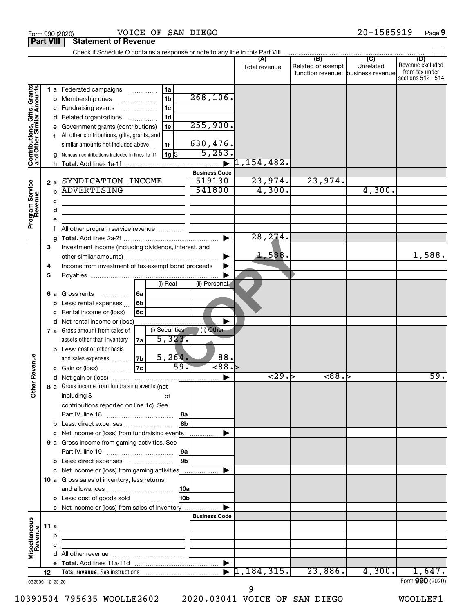|                                                           |      |             | Check if Schedule O contains a response or note to any line in this Part VIII |                 |                      |                          |                                                               |                  |                                                                 |
|-----------------------------------------------------------|------|-------------|-------------------------------------------------------------------------------|-----------------|----------------------|--------------------------|---------------------------------------------------------------|------------------|-----------------------------------------------------------------|
|                                                           |      |             |                                                                               |                 |                      | Total revenue            | (B)<br>Related or exempt<br>function revenue business revenue | (C)<br>Unrelated | (D)<br>Revenue excluded<br>from tax under<br>sections 512 - 514 |
| Contributions, Gifts, Grants<br>and Other Similar Amounts |      |             | 1 a Federated campaigns                                                       | 1a              |                      |                          |                                                               |                  |                                                                 |
|                                                           |      | b           | Membership dues                                                               | 1 <sub>b</sub>  | 268, 106.            |                          |                                                               |                  |                                                                 |
|                                                           |      | с           | Fundraising events                                                            | 1 <sub>c</sub>  |                      |                          |                                                               |                  |                                                                 |
|                                                           |      | d           | Related organizations<br>$\overline{\phantom{a}}$                             | 1 <sub>d</sub>  |                      |                          |                                                               |                  |                                                                 |
|                                                           |      |             | Government grants (contributions)                                             | 1e              | 255,900.             |                          |                                                               |                  |                                                                 |
|                                                           |      | f           | All other contributions, gifts, grants, and                                   |                 |                      |                          |                                                               |                  |                                                                 |
|                                                           |      |             | similar amounts not included above                                            | 1f              | 630,476.             |                          |                                                               |                  |                                                                 |
|                                                           |      |             | Noncash contributions included in lines 1a-1f                                 | 1g   \$         | 5, 263.              |                          |                                                               |                  |                                                                 |
|                                                           |      |             |                                                                               |                 |                      | $\overline{1}$ ,154,482. |                                                               |                  |                                                                 |
|                                                           |      |             |                                                                               |                 | <b>Business Code</b> |                          |                                                               |                  |                                                                 |
|                                                           |      | 2a          | SYNDICATION INCOME                                                            |                 | 519130               | 23,974.                  | 23,974.                                                       |                  |                                                                 |
|                                                           |      | $\mathbf b$ | <b>ADVERTISING</b>                                                            |                 | 541800               | 4,300.                   |                                                               | 4,300.           |                                                                 |
| Program Service<br>Revenue                                |      | c           |                                                                               |                 |                      |                          |                                                               |                  |                                                                 |
|                                                           |      | d           |                                                                               |                 |                      |                          |                                                               |                  |                                                                 |
|                                                           |      | е           |                                                                               |                 |                      |                          |                                                               |                  |                                                                 |
|                                                           |      | f           | All other program service revenue                                             |                 |                      |                          |                                                               |                  |                                                                 |
|                                                           |      |             |                                                                               |                 |                      | 28, 214.                 |                                                               |                  |                                                                 |
|                                                           | 3    |             | Investment income (including dividends, interest, and                         |                 |                      |                          |                                                               |                  |                                                                 |
|                                                           |      |             |                                                                               |                 |                      | 1,588.                   |                                                               |                  | 1,588.                                                          |
|                                                           | 4    |             | Income from investment of tax-exempt bond proceeds                            |                 |                      |                          |                                                               |                  |                                                                 |
|                                                           | 5    |             |                                                                               |                 |                      |                          |                                                               |                  |                                                                 |
|                                                           |      |             |                                                                               | (i) Real        | (ii) Personal        |                          |                                                               |                  |                                                                 |
|                                                           |      |             | <b>6 a</b> Gross rents<br>  6a<br>.                                           |                 |                      |                          |                                                               |                  |                                                                 |
|                                                           |      | b           | 6b<br>Less: rental expenses                                                   |                 |                      |                          |                                                               |                  |                                                                 |
|                                                           |      |             | Rental income or (loss)<br>6c                                                 |                 |                      |                          |                                                               |                  |                                                                 |
|                                                           |      | d           | Net rental income or (loss)                                                   |                 |                      |                          |                                                               |                  |                                                                 |
|                                                           |      |             | 7 a Gross amount from sales of                                                | (i) Securities  | (ii) Other           |                          |                                                               |                  |                                                                 |
|                                                           |      |             | assets other than inventory<br>7a                                             | 5,323.          |                      |                          |                                                               |                  |                                                                 |
|                                                           |      |             | <b>b</b> Less: cost or other basis                                            |                 |                      |                          |                                                               |                  |                                                                 |
|                                                           |      |             | 7b<br>and sales expenses                                                      | 5, 264.         | 88.                  |                          |                                                               |                  |                                                                 |
|                                                           |      |             | <b>7c</b><br>c Gain or (loss)                                                 | 59.             | $-88.$               |                          |                                                               |                  |                                                                 |
| <b>Cher Revenue</b>                                       |      | d           |                                                                               |                 |                      | 29.5                     | $\overline{88.}$                                              |                  | 59.                                                             |
|                                                           |      |             | 8 a Gross income from fundraising events (not                                 |                 |                      |                          |                                                               |                  |                                                                 |
|                                                           |      |             | including \$                                                                  | of              |                      |                          |                                                               |                  |                                                                 |
|                                                           |      |             | contributions reported on line 1c). See                                       |                 |                      |                          |                                                               |                  |                                                                 |
|                                                           |      |             |                                                                               | l 8a            |                      |                          |                                                               |                  |                                                                 |
|                                                           |      |             |                                                                               | 8b              |                      |                          |                                                               |                  |                                                                 |
|                                                           |      |             | c Net income or (loss) from fundraising events                                |                 | .                    |                          |                                                               |                  |                                                                 |
|                                                           |      |             | 9 a Gross income from gaming activities. See                                  |                 |                      |                          |                                                               |                  |                                                                 |
|                                                           |      |             |                                                                               | 9a              |                      |                          |                                                               |                  |                                                                 |
|                                                           |      |             | <b>b</b> Less: direct expenses <b>manually</b>                                | 9 <sub>b</sub>  |                      |                          |                                                               |                  |                                                                 |
|                                                           |      |             | c Net income or (loss) from gaming activities                                 |                 |                      |                          |                                                               |                  |                                                                 |
|                                                           |      |             | 10 a Gross sales of inventory, less returns                                   |                 |                      |                          |                                                               |                  |                                                                 |
|                                                           |      |             |                                                                               | 10a             |                      |                          |                                                               |                  |                                                                 |
|                                                           |      |             | <b>b</b> Less: cost of goods sold                                             | H <sub>0b</sub> |                      |                          |                                                               |                  |                                                                 |
|                                                           |      |             |                                                                               |                 |                      |                          |                                                               |                  |                                                                 |
|                                                           |      |             | c Net income or (loss) from sales of inventory                                |                 | <b>Business Code</b> |                          |                                                               |                  |                                                                 |
|                                                           |      |             |                                                                               |                 |                      |                          |                                                               |                  |                                                                 |
|                                                           | 11 a |             | the control of the control of the control of the control of the control of    |                 |                      |                          |                                                               |                  |                                                                 |
|                                                           |      | b           |                                                                               |                 |                      |                          |                                                               |                  |                                                                 |
| Miscellaneous<br>Revenue                                  |      | с           | the control of the control of the control of the                              |                 |                      |                          |                                                               |                  |                                                                 |
|                                                           |      | d           |                                                                               |                 |                      |                          |                                                               |                  |                                                                 |
|                                                           |      |             |                                                                               |                 |                      | 1,184,315.               | 23,886.                                                       | 4,300.           | 1,647.                                                          |
|                                                           | 12   |             |                                                                               |                 |                      |                          |                                                               |                  | Form 990 (2020)                                                 |
| 032009 12-23-20                                           |      |             |                                                                               |                 |                      |                          |                                                               |                  |                                                                 |

10390504 795635 WOOLLE2602 2020.03041 VOICE OF SAN DIEGO WOOLLEF1

9

Form 990 (2020) Page VOICE OF SAN DIEGO 20-1585919

**Part VIII Statement of Revenue**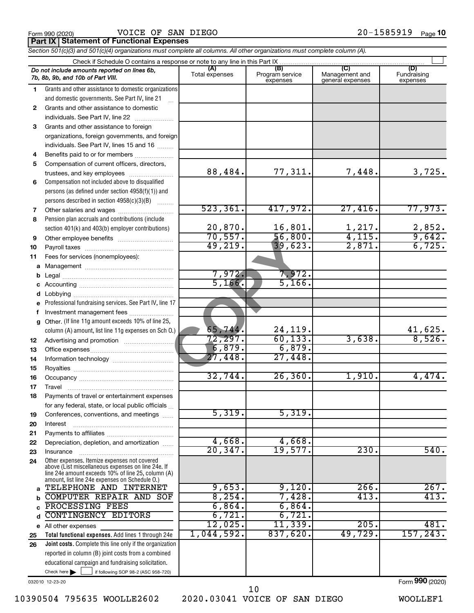|  | Form 990 (2020) |
|--|-----------------|
|  |                 |

Form 990 (2020) VOICE OF SAN DIEGO 20-1585919 <sub>Page</sub> **Part IX Statement of Functional Expenses**

 $\Box$ 

88,484. 77,311. 7,448. 3,725.

523,361. 417,972. 27,416. 77,973.

20,870. 16,801. 1,217. 2,852.<br>70,557. 56,800. 4,115. 9,642.

49,219. 39,623. 2,871. 6,725.

65,744. 24,119. 41,625. 72,297. 60,133. 3,638. 8,526.

32,744. 26,360. 1,910. 4,474.

20,347. 19,577. 230. 540.

12,025. 11,339. 205. 481. 1,044,592. 837,620. 49,729. 157,243.

 $56,800.$  4,115. 9,642.

|   | Section 501(c)(3) and 501(c)(4) organizations must complete all columns. All other organizations must complete column (A).             |                |                                    |                                           |                                |
|---|----------------------------------------------------------------------------------------------------------------------------------------|----------------|------------------------------------|-------------------------------------------|--------------------------------|
|   | Check if Schedule O contains a response or note to any line in this Part IX.                                                           |                |                                    |                                           |                                |
|   | Do not include amounts reported on lines 6b,<br>7b, 8b, 9b, and 10b of Part VIII.                                                      | Total expenses | (B)<br>Program service<br>expenses | (C)<br>Management and<br>general expenses | (D)<br>Fundraising<br>expenses |
|   | Grants and other assistance to domestic organizations<br>and domestic governments. See Part IV, line 21                                |                |                                    |                                           |                                |
| 2 | Grants and other assistance to domestic<br>individuals. See Part IV, line 22                                                           |                |                                    |                                           |                                |
| 3 | Grants and other assistance to foreign<br>organizations, foreign governments, and foreign<br>individuals. See Part IV, lines 15 and 16 |                |                                    |                                           |                                |
| 4 | Benefits paid to or for members                                                                                                        |                |                                    |                                           |                                |
| 5 | Compensation of current officers, directors,<br>trustees, and key employees                                                            | 88,484.        | 77,311.                            | 7,448.                                    | 3,7                            |
| 6 | Compensation not included above to disqualified                                                                                        |                |                                    |                                           |                                |

#### persons (as defined under section 4958(f)(1)) and persons described in section 4958(c)(3)(B) ~~~~~~~~

#### **7 8** Pension plan accruals and contributions (include section 401(k) and 403(b) employer contributions) Other salaries and wages ~~~~~~~~~~

#### **9 10 11** Other employee benefits ~~~~~~~~~~ Payroll taxes ~~~~~~~~~~~~~~~~ Fees for services (nonemployees):

#### **a** Management ~~~~~~~~~~~~~~~~ **b** Legal ~~~~~~~~~~~~~~~~~~~~

### **c d e f g 12 13** Professional fundraising services. See Part IV, line 17 Other. (If line 11g amount exceeds 10% of line 25, column (A) amount, list line 11g expenses on Sch O.) Accounting ~~~~~~~~~~~~~~~~~ Lobbying ~~~~~~~~~~~~~~~~~~ Investment management fees ........................ Advertising and promotion ........................... Office expenses ~~~~~~~~~~~~~~~ **COPY 19. 39.623**<br> **COPY 19. 39.623**<br> **COPY 19. 39.623**<br> **COPY 19. 39.623**<br> **COPY 14. 24.119**<br> **COPY 148. 27.448**<br> **COPY 148. 27.448**

#### **14 15 16 17 18 19 20 21** Information technology ~~~~~~~~~~~ Royalties ~~~~~~~~~~~~~~~~~~ Occupancy  $~\dots$   $~\dots$   $~\dots$   $~\dots$   $~\dots$   $~\dots$   $~\dots$ Travel ~~~~~~~~~~~~~~~~~~~ Payments of travel or entertainment expenses for any federal, state, or local public officials ... Conferences, conventions, and meetings Interest ~~~~~~~~~~~~~~~~~~ Payments to affiliates ~~~~~~~~~~~~

#### **22 23 24 a** Other expenses. Itemize expenses not covered above (List miscellaneous expenses on line 24e. If line 24e amount exceeds 10% of line 25, column (A) amount, list line 24e expenses on Schedule O.) Depreciation, depletion, and amortization ...... Insurance ~~~~~~~~~~~~~~~~~ TELEPHONE AND INTERNET | 9,653. 9,120. 266. 267.

#### **b c** COMPUTER REPAIR AND SOF 8,254. 7,428. 413. 413. PROCESSING FEES 6,864. 6,864.

#### **Total functional expenses.**  Add lines 1 through 24e **Joint costs.** Complete this line only if the organization **d e** All other expenses **25 26** reported in column (B) joint costs from a combined CONTINGENCY EDITORS 6,721. 6,721.

educational campaign and fundraising solicitation.

032010 12-23-20

Check here  $\blacktriangleright$ 

Check here  $\begin{array}{c} \begin{array}{|c} \hline \end{array} \end{array}$  if following SOP 98-2 (ASC 958-720)

# 10

# 10390504 795635 WOOLLE2602 2020.03041 VOICE OF SAN DIEGO WOOLLEF1

7,972. 7,972. 5,166. 5,166.

 $\boxed{6,879.}$   $\boxed{6,879.}$ 27,448. 27,448.

5,319. 5,319.

4,668. 4,668.

Form (2020) **990**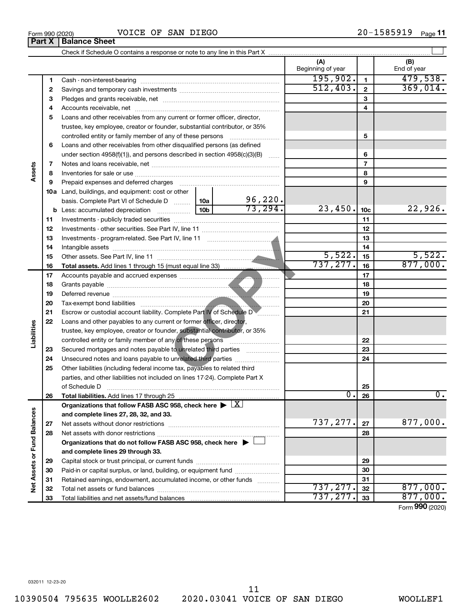**Part X Balance Sheet**

 $\overline{a}$ 

|                             |              |                                                                                                                                                            |  |          | (A)<br>Beginning of year |                         | (B)<br>End of year |
|-----------------------------|--------------|------------------------------------------------------------------------------------------------------------------------------------------------------------|--|----------|--------------------------|-------------------------|--------------------|
|                             | $\mathbf{1}$ |                                                                                                                                                            |  |          | 195,902.                 | $\mathbf{1}$            | 479,538.           |
|                             | $\mathbf{2}$ |                                                                                                                                                            |  |          | 512,403.                 | $\overline{\mathbf{2}}$ | 369,014.           |
|                             | 3            |                                                                                                                                                            |  |          |                          | 3                       |                    |
|                             | 4            |                                                                                                                                                            |  |          |                          | 4                       |                    |
|                             | 5            | Loans and other receivables from any current or former officer, director,                                                                                  |  |          |                          |                         |                    |
|                             |              | trustee, key employee, creator or founder, substantial contributor, or 35%                                                                                 |  |          |                          |                         |                    |
|                             |              | controlled entity or family member of any of these persons                                                                                                 |  |          |                          | 5                       |                    |
|                             | 6            | Loans and other receivables from other disqualified persons (as defined                                                                                    |  |          |                          |                         |                    |
|                             |              | under section $4958(f)(1)$ , and persons described in section $4958(c)(3)(B)$                                                                              |  | $\sim$   |                          | 6                       |                    |
|                             | 7            |                                                                                                                                                            |  |          |                          | $\overline{7}$          |                    |
| Assets                      | 8            |                                                                                                                                                            |  |          |                          | 8                       |                    |
|                             | 9            | Prepaid expenses and deferred charges                                                                                                                      |  |          |                          | 9                       |                    |
|                             |              | 10a Land, buildings, and equipment: cost or other                                                                                                          |  |          |                          |                         |                    |
|                             |              | basis. Complete Part VI of Schedule D  10a                                                                                                                 |  | 96,220.  |                          |                         |                    |
|                             |              |                                                                                                                                                            |  | 73, 294. | 23,450.                  | 10 <sub>c</sub>         | 22,926.            |
|                             | 11           |                                                                                                                                                            |  |          |                          | 11                      |                    |
|                             | 12           |                                                                                                                                                            |  |          |                          | 12                      |                    |
|                             | 13           |                                                                                                                                                            |  |          |                          | 13                      |                    |
|                             | 14           |                                                                                                                                                            |  |          |                          | 14                      |                    |
|                             | 15           |                                                                                                                                                            |  |          | 5,522.                   | 15                      | 5,522.             |
|                             | 16           |                                                                                                                                                            |  |          | 737, 277.                | 16                      | 877,000.           |
|                             | 17           |                                                                                                                                                            |  |          |                          | 17                      |                    |
|                             | 18           |                                                                                                                                                            |  | 18       |                          |                         |                    |
|                             | 19           |                                                                                                                                                            |  |          | 19                       |                         |                    |
|                             | 20           |                                                                                                                                                            |  |          |                          | 20                      |                    |
|                             | 21           | Escrow or custodial account liability. Complete Part IV of Schedule DV                                                                                     |  |          |                          | 21                      |                    |
| Liabilities                 | 22           | Loans and other payables to any current or former officer, director,                                                                                       |  |          |                          |                         |                    |
|                             |              | trustee, key employee, creator or founder, substantial contributor, or 35%                                                                                 |  |          |                          |                         |                    |
|                             |              | controlled entity or family member of any of these persons                                                                                                 |  |          |                          | 22                      |                    |
|                             | 23           | Secured mortgages and notes payable to unrelated third parties                                                                                             |  |          |                          | 23                      |                    |
|                             | 24           | Unsecured notes and loans payable to unrelated third parties                                                                                               |  |          |                          | 24                      |                    |
|                             | 25           | Other liabilities (including federal income tax, payables to related third<br>parties, and other liabilities not included on lines 17-24). Complete Part X |  |          |                          |                         |                    |
|                             |              |                                                                                                                                                            |  |          |                          | 25                      |                    |
|                             | 26           |                                                                                                                                                            |  |          | $\overline{0}$ .         | 26                      | $\mathbf 0$ .      |
|                             |              | Organizations that follow FASB ASC 958, check here $\blacktriangleright \lfloor \underline{X} \rfloor$                                                     |  |          |                          |                         |                    |
|                             |              | and complete lines 27, 28, 32, and 33.                                                                                                                     |  |          |                          |                         |                    |
|                             | 27           |                                                                                                                                                            |  |          | 737, 277.                | 27                      | 877,000.           |
|                             | 28           |                                                                                                                                                            |  |          |                          | 28                      |                    |
|                             |              | Organizations that do not follow FASB ASC 958, check here $\blacktriangleright$                                                                            |  |          |                          |                         |                    |
|                             |              | and complete lines 29 through 33.                                                                                                                          |  |          |                          |                         |                    |
| Net Assets or Fund Balances | 29           |                                                                                                                                                            |  |          |                          | 29                      |                    |
|                             | 30           | Paid-in or capital surplus, or land, building, or equipment fund                                                                                           |  |          |                          | 30                      |                    |
|                             | 31           | Retained earnings, endowment, accumulated income, or other funds                                                                                           |  |          |                          | 31                      |                    |
|                             | 32           |                                                                                                                                                            |  |          | 737, 277.                | 32                      | 877,000.           |
|                             | 33           |                                                                                                                                                            |  |          | 737, 277.                | 33                      | 877,000.           |
|                             |              |                                                                                                                                                            |  |          |                          |                         |                    |

Form (2020) **990**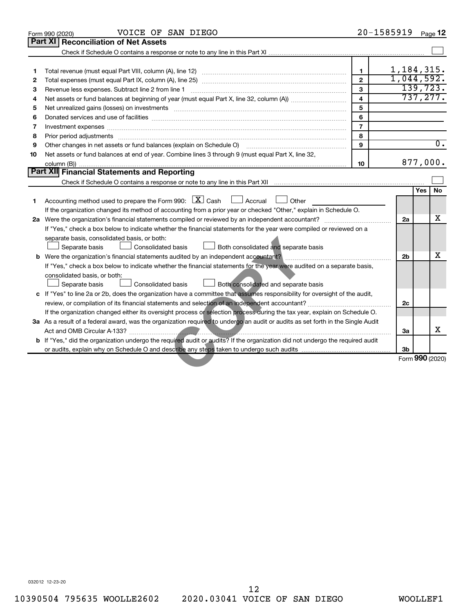|    | VOICE OF SAN DIEGO<br>Form 990 (2020)                                                                                                                                                                                          |                         | 20-1585919                    |            | Page 12   |
|----|--------------------------------------------------------------------------------------------------------------------------------------------------------------------------------------------------------------------------------|-------------------------|-------------------------------|------------|-----------|
|    | <b>Part XI</b><br><b>Reconciliation of Net Assets</b>                                                                                                                                                                          |                         |                               |            |           |
|    |                                                                                                                                                                                                                                |                         |                               |            |           |
|    |                                                                                                                                                                                                                                |                         |                               |            |           |
| 1  |                                                                                                                                                                                                                                | $\mathbf{1}$            | $\frac{1,184,315}{1,044,592}$ |            |           |
| 2  |                                                                                                                                                                                                                                | $\mathfrak{p}$          |                               |            |           |
| 3  |                                                                                                                                                                                                                                | 3                       |                               |            | 139,723.  |
| 4  |                                                                                                                                                                                                                                | $\overline{\mathbf{4}}$ |                               |            | 737, 277. |
| 5  | Net unrealized gains (losses) on investments [11] matter in the contract of the contract of the contract of the contract of the contract of the contract of the contract of the contract of the contract of the contract of th | 5                       |                               |            |           |
| 6  |                                                                                                                                                                                                                                | 6                       |                               |            |           |
| 7  | Investment expenses www.communication.com/www.communication.com/www.communication.com/www.com                                                                                                                                  | $\overline{7}$          |                               |            |           |
| 8  | Prior period adjustments www.communication.communication.com/news/communications/communications/communications                                                                                                                 | 8                       |                               |            |           |
| 9  | Other changes in net assets or fund balances (explain on Schedule O) manufactured controller changes in net assets or fund balances (explain on Schedule O)                                                                    | $\mathbf{q}$            |                               |            | 0.        |
| 10 | Net assets or fund balances at end of year. Combine lines 3 through 9 (must equal Part X, line 32,                                                                                                                             |                         |                               |            |           |
|    |                                                                                                                                                                                                                                | 10                      |                               |            | 877,000.  |
|    | Part XII Financial Statements and Reporting                                                                                                                                                                                    |                         |                               |            |           |
|    |                                                                                                                                                                                                                                |                         |                               |            |           |
|    |                                                                                                                                                                                                                                |                         |                               | <b>Yes</b> | <b>No</b> |
| 1. | Accounting method used to prepare the Form 990: $\boxed{\textbf{X}}$ Cash<br>Accrual L<br>Other                                                                                                                                |                         |                               |            |           |
|    | If the organization changed its method of accounting from a prior year or checked "Other," explain in Schedule O.                                                                                                              |                         |                               |            |           |
|    |                                                                                                                                                                                                                                |                         | 2a                            |            | x         |
|    | If "Yes," check a box below to indicate whether the financial statements for the year were compiled or reviewed on a                                                                                                           |                         |                               |            |           |
|    | separate basis, consolidated basis, or both:                                                                                                                                                                                   |                         |                               |            |           |
|    | Separate basis<br><b>Consolidated basis</b><br>$\Box$ Both consolidated and separate basis                                                                                                                                     |                         |                               |            |           |
|    | <b>b</b> Were the organization's financial statements audited by an independent accountant?                                                                                                                                    |                         | 2 <sub>b</sub>                |            | x         |
|    | If "Yes," check a box below to indicate whether the financial statements for the year were audited on a separate basis,                                                                                                        |                         |                               |            |           |
|    | consolidated basis, or both:                                                                                                                                                                                                   |                         |                               |            |           |
|    | Separate basis<br>$\Box$ Both consolidated and separate basis<br>Consolidated basis                                                                                                                                            |                         |                               |            |           |
|    | c If "Yes" to line 2a or 2b, does the organization have a committee that assumes responsibility for oversight of the audit,                                                                                                    |                         |                               |            |           |
|    |                                                                                                                                                                                                                                |                         | 2c                            |            |           |
|    | If the organization changed either its oversight process or selection process during the tax year, explain on Schedule O.                                                                                                      |                         |                               |            |           |
|    | 3a As a result of a federal award, was the organization required to undergo an audit or audits as set forth in the Single Audit                                                                                                |                         |                               |            |           |
|    |                                                                                                                                                                                                                                |                         | За                            |            | X         |
|    | b If "Yes," did the organization undergo the required audit or audits? If the organization did not undergo the required audit                                                                                                  |                         |                               |            |           |
|    |                                                                                                                                                                                                                                |                         | 3b                            |            |           |
|    |                                                                                                                                                                                                                                |                         | Form 990 (2020)               |            |           |
|    |                                                                                                                                                                                                                                |                         |                               |            |           |
|    |                                                                                                                                                                                                                                |                         |                               |            |           |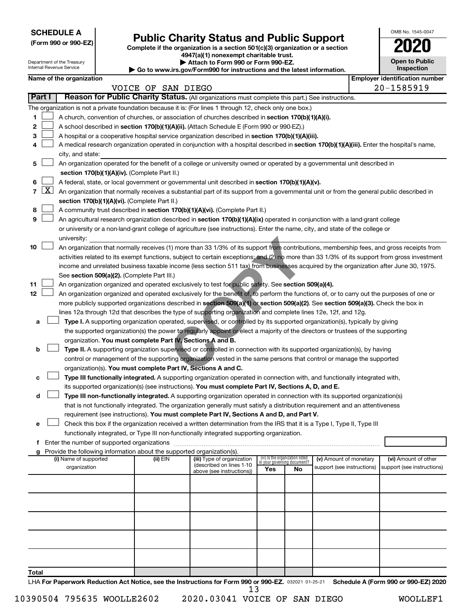**SCHEDULE A**

# **Public Charity Status and Public Support**

**(Form 990 or 990-EZ) Complete if the organization is a section 501(c)(3) organization or a section**

**4947(a)(1) nonexempt charitable trust.**

| OMB No 1545-0047                  |
|-----------------------------------|
| 2020                              |
| <b>Open to Public</b><br>enaction |

|                     |                     | Department of the Treasury<br>Internal Revenue Service |                                                                        | Attach to Form 990 or Form 990-EZ.<br>Go to www.irs.gov/Form990 for instructions and the latest information.                                                                                                                                         |                                 |                             |                            | <b>Open to Public</b><br>Inspection   |
|---------------------|---------------------|--------------------------------------------------------|------------------------------------------------------------------------|------------------------------------------------------------------------------------------------------------------------------------------------------------------------------------------------------------------------------------------------------|---------------------------------|-----------------------------|----------------------------|---------------------------------------|
|                     |                     | Name of the organization                               |                                                                        |                                                                                                                                                                                                                                                      |                                 |                             |                            | <b>Employer identification number</b> |
|                     |                     |                                                        | VOICE OF SAN DIEGO                                                     |                                                                                                                                                                                                                                                      |                                 |                             |                            | 20-1585919                            |
| Part I              |                     |                                                        |                                                                        | Reason for Public Charity Status. (All organizations must complete this part.) See instructions.                                                                                                                                                     |                                 |                             |                            |                                       |
|                     |                     |                                                        |                                                                        | The organization is not a private foundation because it is: (For lines 1 through 12, check only one box.)                                                                                                                                            |                                 |                             |                            |                                       |
| 1                   |                     |                                                        |                                                                        | A church, convention of churches, or association of churches described in section 170(b)(1)(A)(i).                                                                                                                                                   |                                 |                             |                            |                                       |
| 2                   |                     |                                                        |                                                                        | A school described in section 170(b)(1)(A)(ii). (Attach Schedule E (Form 990 or 990-EZ).)                                                                                                                                                            |                                 |                             |                            |                                       |
| 3                   |                     |                                                        |                                                                        | A hospital or a cooperative hospital service organization described in section 170(b)(1)(A)(iii).                                                                                                                                                    |                                 |                             |                            |                                       |
| 4                   |                     |                                                        |                                                                        | A medical research organization operated in conjunction with a hospital described in section 170(b)(1)(A)(iii). Enter the hospital's name,                                                                                                           |                                 |                             |                            |                                       |
|                     |                     | city, and state:                                       |                                                                        |                                                                                                                                                                                                                                                      |                                 |                             |                            |                                       |
| 5                   |                     |                                                        |                                                                        | An organization operated for the benefit of a college or university owned or operated by a governmental unit described in                                                                                                                            |                                 |                             |                            |                                       |
|                     |                     |                                                        | section 170(b)(1)(A)(iv). (Complete Part II.)                          |                                                                                                                                                                                                                                                      |                                 |                             |                            |                                       |
| 6<br>$\overline{7}$ | $\lfloor x \rfloor$ |                                                        |                                                                        | A federal, state, or local government or governmental unit described in section 170(b)(1)(A)(v).                                                                                                                                                     |                                 |                             |                            |                                       |
|                     |                     |                                                        | section 170(b)(1)(A)(vi). (Complete Part II.)                          | An organization that normally receives a substantial part of its support from a governmental unit or from the general public described in                                                                                                            |                                 |                             |                            |                                       |
| 8                   |                     |                                                        |                                                                        | A community trust described in section 170(b)(1)(A)(vi). (Complete Part II.)                                                                                                                                                                         |                                 |                             |                            |                                       |
| 9                   |                     |                                                        |                                                                        | An agricultural research organization described in section 170(b)(1)(A)(ix) operated in conjunction with a land-grant college                                                                                                                        |                                 |                             |                            |                                       |
|                     |                     |                                                        |                                                                        | or university or a non-land-grant college of agriculture (see instructions). Enter the name, city, and state of the college or                                                                                                                       |                                 |                             |                            |                                       |
|                     |                     | university:                                            |                                                                        |                                                                                                                                                                                                                                                      |                                 |                             |                            |                                       |
| 10                  |                     |                                                        |                                                                        | An organization that normally receives (1) more than 33 1/3% of its support from contributions, membership fees, and gross receipts from                                                                                                             |                                 |                             |                            |                                       |
|                     |                     |                                                        |                                                                        | activities related to its exempt functions, subject to certain exceptions; and (2) no more than 33 1/3% of its support from gross investment                                                                                                         |                                 |                             |                            |                                       |
|                     |                     |                                                        |                                                                        | income and unrelated business taxable income (less section 511 tax) from businesses acquired by the organization after June 30, 1975.                                                                                                                |                                 |                             |                            |                                       |
|                     |                     |                                                        | See section 509(a)(2). (Complete Part III.)                            |                                                                                                                                                                                                                                                      |                                 |                             |                            |                                       |
| 11                  |                     |                                                        |                                                                        | An organization organized and operated exclusively to test for public safety. See section 509(a)(4).                                                                                                                                                 |                                 |                             |                            |                                       |
| 12                  |                     |                                                        |                                                                        | An organization organized and operated exclusively for the benefit of, to perform the functions of, or to carry out the purposes of one or                                                                                                           |                                 |                             |                            |                                       |
|                     |                     |                                                        |                                                                        | more publicly supported organizations described in section 509(a)(1) or section 509(a)(2). See section 509(a)(3). Check the box in<br>lines 12a through 12d that describes the type of supporting organization and complete lines 12e, 12f, and 12g. |                                 |                             |                            |                                       |
| а                   |                     |                                                        |                                                                        | Type I. A supporting organization operated, supervised, or controlled by its supported organization(s), typically by giving                                                                                                                          |                                 |                             |                            |                                       |
|                     |                     |                                                        |                                                                        | the supported organization(s) the power to regularly appoint or elect a majority of the directors or trustees of the supporting                                                                                                                      |                                 |                             |                            |                                       |
|                     |                     |                                                        | organization. You must complete Part IV, Sections A and B.             |                                                                                                                                                                                                                                                      |                                 |                             |                            |                                       |
| b                   |                     |                                                        |                                                                        | Type II. A supporting organization supervised or controlled in connection with its supported organization(s), by having                                                                                                                              |                                 |                             |                            |                                       |
|                     |                     |                                                        |                                                                        | control or management of the supporting organization vested in the same persons that control or manage the supported                                                                                                                                 |                                 |                             |                            |                                       |
|                     |                     |                                                        | organization(s). You must complete Part IV, Sections A and C.          |                                                                                                                                                                                                                                                      |                                 |                             |                            |                                       |
| с                   |                     |                                                        |                                                                        | Type III functionally integrated. A supporting organization operated in connection with, and functionally integrated with,                                                                                                                           |                                 |                             |                            |                                       |
|                     |                     |                                                        |                                                                        | its supported organization(s) (see instructions). You must complete Part IV, Sections A, D, and E.                                                                                                                                                   |                                 |                             |                            |                                       |
| d                   |                     |                                                        |                                                                        | Type III non-functionally integrated. A supporting organization operated in connection with its supported organization(s)                                                                                                                            |                                 |                             |                            |                                       |
|                     |                     |                                                        |                                                                        | that is not functionally integrated. The organization generally must satisfy a distribution requirement and an attentiveness                                                                                                                         |                                 |                             |                            |                                       |
|                     |                     |                                                        |                                                                        | requirement (see instructions). You must complete Part IV, Sections A and D, and Part V.<br>Check this box if the organization received a written determination from the IRS that it is a Type I, Type II, Type III                                  |                                 |                             |                            |                                       |
| е                   |                     |                                                        |                                                                        | functionally integrated, or Type III non-functionally integrated supporting organization.                                                                                                                                                            |                                 |                             |                            |                                       |
|                     |                     |                                                        |                                                                        |                                                                                                                                                                                                                                                      |                                 |                             |                            |                                       |
|                     |                     |                                                        | Provide the following information about the supported organization(s). |                                                                                                                                                                                                                                                      |                                 |                             |                            |                                       |
|                     |                     | (i) Name of supported                                  | (ii) EIN                                                               | (iii) Type of organization                                                                                                                                                                                                                           | (iv) Is the organization listed | in vour aovernina document? | (v) Amount of monetary     | (vi) Amount of other                  |
|                     |                     | organization                                           |                                                                        | (described on lines 1-10<br>above (see instructions))                                                                                                                                                                                                | Yes                             | No                          | support (see instructions) | support (see instructions)            |
|                     |                     |                                                        |                                                                        |                                                                                                                                                                                                                                                      |                                 |                             |                            |                                       |
|                     |                     |                                                        |                                                                        |                                                                                                                                                                                                                                                      |                                 |                             |                            |                                       |
|                     |                     |                                                        |                                                                        |                                                                                                                                                                                                                                                      |                                 |                             |                            |                                       |
|                     |                     |                                                        |                                                                        |                                                                                                                                                                                                                                                      |                                 |                             |                            |                                       |
|                     |                     |                                                        |                                                                        |                                                                                                                                                                                                                                                      |                                 |                             |                            |                                       |
|                     |                     |                                                        |                                                                        |                                                                                                                                                                                                                                                      |                                 |                             |                            |                                       |
|                     |                     |                                                        |                                                                        |                                                                                                                                                                                                                                                      |                                 |                             |                            |                                       |
|                     |                     |                                                        |                                                                        |                                                                                                                                                                                                                                                      |                                 |                             |                            |                                       |
|                     |                     |                                                        |                                                                        |                                                                                                                                                                                                                                                      |                                 |                             |                            |                                       |
| Total               |                     |                                                        |                                                                        |                                                                                                                                                                                                                                                      |                                 |                             |                            |                                       |

LHA For Paperwork Reduction Act Notice, see the Instructions for Form 990 or 990-EZ. 032021 01-25-21 Schedule A (Form 990 or 990-EZ) 2020 13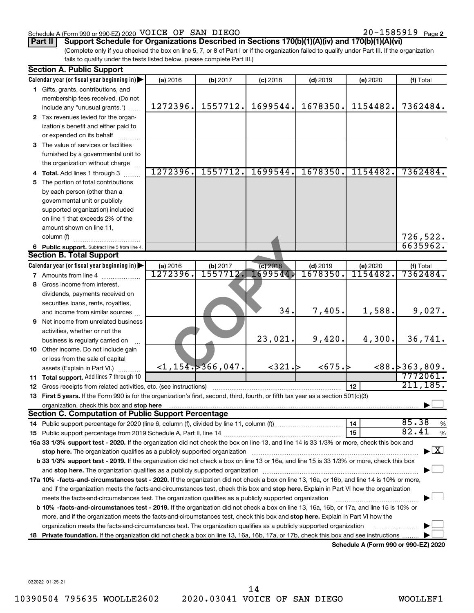### Schedule A (Form 990 or 990-EZ) 2020 Page VOICE OF SAN DIEGO 20-1585919

20-1585919 Page 2

(Complete only if you checked the box on line 5, 7, or 8 of Part I or if the organization failed to qualify under Part III. If the organization **Part II** | Support Schedule for Organizations Described in Sections 170(b)(1)(A)(iv) and 170(b)(1)(A)(vi)

fails to qualify under the tests listed below, please complete Part III.)

|    | <b>Section A. Public Support</b>                                                                                                                |          |                         |            |            |                                             |                                          |
|----|-------------------------------------------------------------------------------------------------------------------------------------------------|----------|-------------------------|------------|------------|---------------------------------------------|------------------------------------------|
|    | Calendar year (or fiscal year beginning in)                                                                                                     | (a) 2016 | (b) 2017                | $(c)$ 2018 | $(d)$ 2019 | (e) 2020                                    | (f) Total                                |
|    | 1 Gifts, grants, contributions, and                                                                                                             |          |                         |            |            |                                             |                                          |
|    | membership fees received. (Do not                                                                                                               |          |                         |            |            |                                             |                                          |
|    | include any "unusual grants.")                                                                                                                  | 1272396. | 1557712.                | 1699544.   | 1678350.   | 1154482.                                    | 7362484.                                 |
|    | 2 Tax revenues levied for the organ-                                                                                                            |          |                         |            |            |                                             |                                          |
|    | ization's benefit and either paid to                                                                                                            |          |                         |            |            |                                             |                                          |
|    | or expended on its behalf                                                                                                                       |          |                         |            |            |                                             |                                          |
|    | 3 The value of services or facilities                                                                                                           |          |                         |            |            |                                             |                                          |
|    | furnished by a governmental unit to                                                                                                             |          |                         |            |            |                                             |                                          |
|    | the organization without charge                                                                                                                 |          |                         |            |            |                                             |                                          |
|    | 4 Total. Add lines 1 through 3                                                                                                                  | 1272396. | 1557712.                | 1699544.   | 1678350    | 1154482.                                    | 7362484.                                 |
| 5. | The portion of total contributions                                                                                                              |          |                         |            |            |                                             |                                          |
|    | by each person (other than a                                                                                                                    |          |                         |            |            |                                             |                                          |
|    | governmental unit or publicly                                                                                                                   |          |                         |            |            |                                             |                                          |
|    | supported organization) included                                                                                                                |          |                         |            |            |                                             |                                          |
|    | on line 1 that exceeds 2% of the                                                                                                                |          |                         |            |            |                                             |                                          |
|    | amount shown on line 11,                                                                                                                        |          |                         |            |            |                                             |                                          |
|    | column (f)                                                                                                                                      |          |                         |            |            |                                             | 726,522.                                 |
|    | 6 Public support. Subtract line 5 from line 4.                                                                                                  |          |                         |            |            |                                             | 6635962.                                 |
|    | <b>Section B. Total Support</b>                                                                                                                 |          |                         |            |            |                                             |                                          |
|    | Calendar year (or fiscal year beginning in)                                                                                                     | (a) 2016 | (b) 2017                | (c) 2018   | $(d)$ 2019 | (e) 2020                                    | (f) Total                                |
|    | 7 Amounts from line 4                                                                                                                           | 1272396. | 1557712.                | 699544     | 1678350    | 1154482.                                    | 7362484.                                 |
|    | 8 Gross income from interest,                                                                                                                   |          |                         |            |            |                                             |                                          |
|    | dividends, payments received on                                                                                                                 |          |                         |            |            |                                             |                                          |
|    | securities loans, rents, royalties,                                                                                                             |          |                         |            |            |                                             |                                          |
|    | and income from similar sources                                                                                                                 |          |                         | 34.        | 7,405.     | 1,588.                                      | 9,027.                                   |
| 9  | Net income from unrelated business                                                                                                              |          |                         |            |            |                                             |                                          |
|    | activities, whether or not the                                                                                                                  |          |                         |            |            |                                             |                                          |
|    | business is regularly carried on                                                                                                                |          |                         | 23,021.    | 9,420.     | 4,300.                                      | 36,741.                                  |
|    | 10 Other income. Do not include gain                                                                                                            |          |                         |            |            |                                             |                                          |
|    | or loss from the sale of capital                                                                                                                |          |                         |            |            |                                             |                                          |
|    | assets (Explain in Part VI.)                                                                                                                    |          | $<$ 1,154. $>$ 366,047. | ~321.~     | <675.~b    |                                             | <88.5363, 809.                           |
|    | <b>11 Total support.</b> Add lines 7 through 10                                                                                                 |          |                         |            |            |                                             | 7772061.                                 |
| 12 | Gross receipts from related activities, etc. (see instructions)                                                                                 |          |                         |            |            | 12                                          | 211, 185.                                |
|    | 13 First 5 years. If the Form 990 is for the organization's first, second, third, fourth, or fifth tax year as a section 501(c)(3)              |          |                         |            |            |                                             |                                          |
|    | organization, check this box and stop here                                                                                                      |          |                         |            |            |                                             |                                          |
|    | <b>Section C. Computation of Public Support Percentage</b>                                                                                      |          |                         |            |            |                                             |                                          |
| 14 |                                                                                                                                                 |          |                         |            |            | 14                                          | 85.38<br>%                               |
|    |                                                                                                                                                 |          |                         |            |            | 15                                          | 82.41<br>%                               |
|    | 16a 33 1/3% support test - 2020. If the organization did not check the box on line 13, and line 14 is 33 1/3% or more, check this box and       |          |                         |            |            |                                             |                                          |
|    |                                                                                                                                                 |          |                         |            |            |                                             | $\blacktriangleright$ $\boxed{\text{X}}$ |
|    | <b>b 33 1/3% support test - 2019.</b> If the organization did not check a box on line 13 or 16a, and line 15 is 33 1/3% or more, check this box |          |                         |            |            |                                             |                                          |
|    |                                                                                                                                                 |          |                         |            |            |                                             |                                          |
|    | 17a 10% -facts-and-circumstances test - 2020. If the organization did not check a box on line 13, 16a, or 16b, and line 14 is 10% or more,      |          |                         |            |            |                                             |                                          |
|    | and if the organization meets the facts-and-circumstances test, check this box and stop here. Explain in Part VI how the organization           |          |                         |            |            |                                             |                                          |
|    | meets the facts-and-circumstances test. The organization qualifies as a publicly supported organization                                         |          |                         |            |            |                                             |                                          |
|    | <b>b 10%</b> -facts-and-circumstances test - 2019. If the organization did not check a box on line 13, 16a, 16b, or 17a, and line 15 is 10% or  |          |                         |            |            |                                             |                                          |
|    | more, and if the organization meets the facts-and-circumstances test, check this box and <b>stop here.</b> Explain in Part VI how the           |          |                         |            |            |                                             |                                          |
|    | organization meets the facts-and-circumstances test. The organization qualifies as a publicly supported organization                            |          |                         |            |            |                                             |                                          |
|    | 18 Private foundation. If the organization did not check a box on line 13, 16a, 16b, 17a, or 17b, check this box and see instructions           |          |                         |            |            |                                             |                                          |
|    |                                                                                                                                                 |          |                         |            |            | <b>Cohodulo A (Earm 000 or 000 E7) 2020</b> |                                          |

**Schedule A (Form 990 or 990-EZ) 2020**

032022 01-25-21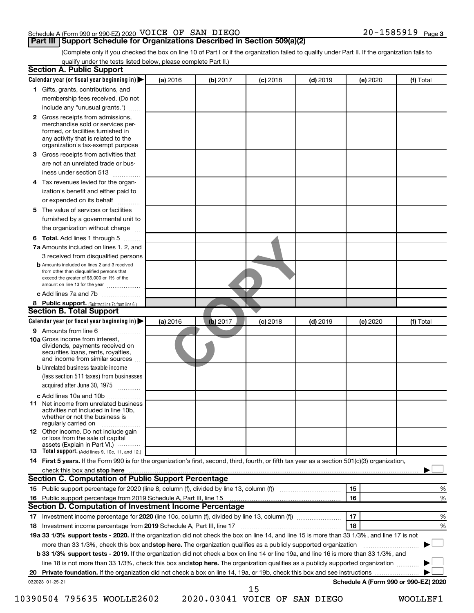### Schedule A (Form 990 or 990-EZ) 2020 Page VOICE OF SAN DIEGO 20-1585919

## **Part III | Support Schedule for Organizations Described in Section 509(a)(2)**

(Complete only if you checked the box on line 10 of Part I or if the organization failed to qualify under Part II. If the organization fails to qualify under the tests listed below, please complete Part II.)

|              | Calendar year (or fiscal year beginning in)                                                                                                                                                                                                                                     | (a) 2016 | (b) 2017                      | $(c)$ 2018 | $(d)$ 2019 |    | (e) 2020 | (f) Total                            |   |
|--------------|---------------------------------------------------------------------------------------------------------------------------------------------------------------------------------------------------------------------------------------------------------------------------------|----------|-------------------------------|------------|------------|----|----------|--------------------------------------|---|
|              | 1 Gifts, grants, contributions, and                                                                                                                                                                                                                                             |          |                               |            |            |    |          |                                      |   |
|              | membership fees received. (Do not                                                                                                                                                                                                                                               |          |                               |            |            |    |          |                                      |   |
|              | include any "unusual grants.")                                                                                                                                                                                                                                                  |          |                               |            |            |    |          |                                      |   |
| $\mathbf{2}$ | Gross receipts from admissions,<br>merchandise sold or services per-<br>formed, or facilities furnished in<br>any activity that is related to the<br>organization's tax-exempt purpose                                                                                          |          |                               |            |            |    |          |                                      |   |
| 3.           |                                                                                                                                                                                                                                                                                 |          |                               |            |            |    |          |                                      |   |
|              | Gross receipts from activities that                                                                                                                                                                                                                                             |          |                               |            |            |    |          |                                      |   |
|              | are not an unrelated trade or bus-<br>iness under section 513                                                                                                                                                                                                                   |          |                               |            |            |    |          |                                      |   |
| 4            | Tax revenues levied for the organ-                                                                                                                                                                                                                                              |          |                               |            |            |    |          |                                      |   |
|              | ization's benefit and either paid to<br>or expended on its behalf<br>.                                                                                                                                                                                                          |          |                               |            |            |    |          |                                      |   |
| 5            | The value of services or facilities                                                                                                                                                                                                                                             |          |                               |            |            |    |          |                                      |   |
|              | furnished by a governmental unit to<br>the organization without charge                                                                                                                                                                                                          |          |                               |            |            |    |          |                                      |   |
|              |                                                                                                                                                                                                                                                                                 |          |                               |            |            |    |          |                                      |   |
| 6            | Total. Add lines 1 through 5<br>7a Amounts included on lines 1, 2, and                                                                                                                                                                                                          |          |                               |            |            |    |          |                                      |   |
|              |                                                                                                                                                                                                                                                                                 |          |                               |            |            |    |          |                                      |   |
|              | 3 received from disqualified persons<br><b>b</b> Amounts included on lines 2 and 3 received                                                                                                                                                                                     |          |                               |            |            |    |          |                                      |   |
|              | from other than disqualified persons that<br>exceed the greater of \$5,000 or 1% of the<br>amount on line 13 for the year                                                                                                                                                       |          |                               |            |            |    |          |                                      |   |
|              | c Add lines 7a and 7b                                                                                                                                                                                                                                                           |          |                               |            |            |    |          |                                      |   |
|              | 8 Public support. (Subtract line 7c from line 6.)                                                                                                                                                                                                                               |          |                               |            |            |    |          |                                      |   |
|              | <b>Section B. Total Support</b>                                                                                                                                                                                                                                                 |          |                               |            |            |    |          |                                      |   |
|              | Calendar year (or fiscal year beginning in)                                                                                                                                                                                                                                     | (a) 2016 | (b) 2017                      | $(c)$ 2018 | $(d)$ 2019 |    | (e) 2020 | (f) Total                            |   |
|              | 9 Amounts from line 6                                                                                                                                                                                                                                                           |          |                               |            |            |    |          |                                      |   |
|              | <b>10a</b> Gross income from interest,<br>dividends, payments received on<br>securities loans, rents, royalties,<br>and income from similar sources                                                                                                                             |          |                               |            |            |    |          |                                      |   |
|              | <b>b</b> Unrelated business taxable income                                                                                                                                                                                                                                      |          |                               |            |            |    |          |                                      |   |
|              | (less section 511 taxes) from businesses<br>acquired after June 30, 1975                                                                                                                                                                                                        |          |                               |            |            |    |          |                                      |   |
|              | c Add lines 10a and 10b                                                                                                                                                                                                                                                         |          |                               |            |            |    |          |                                      |   |
|              | 11 Net income from unrelated business<br>activities not included in line 10b.<br>whether or not the business is<br>regularly carried on                                                                                                                                         |          |                               |            |            |    |          |                                      |   |
|              | <b>12</b> Other income. Do not include gain<br>or loss from the sale of capital<br>assets (Explain in Part VI.)                                                                                                                                                                 |          |                               |            |            |    |          |                                      |   |
|              | <b>13</b> Total support. (Add lines 9, 10c, 11, and 12.)                                                                                                                                                                                                                        |          |                               |            |            |    |          |                                      |   |
|              | 14 First 5 years. If the Form 990 is for the organization's first, second, third, fourth, or fifth tax year as a section 501(c)(3) organization,                                                                                                                                |          |                               |            |            |    |          |                                      |   |
|              | check this box and stop here measurement and the contract of the state of the contract of the state of the contract of the contract of the contract of the contract of the contract of the contract of the contract of the con                                                  |          |                               |            |            |    |          |                                      |   |
|              | <b>Section C. Computation of Public Support Percentage</b>                                                                                                                                                                                                                      |          |                               |            |            |    |          |                                      |   |
|              |                                                                                                                                                                                                                                                                                 |          |                               |            |            | 15 |          |                                      | % |
|              |                                                                                                                                                                                                                                                                                 |          |                               |            |            | 16 |          |                                      | % |
|              | Section D. Computation of Investment Income Percentage                                                                                                                                                                                                                          |          |                               |            |            |    |          |                                      |   |
|              |                                                                                                                                                                                                                                                                                 |          |                               |            |            | 17 |          |                                      | % |
|              |                                                                                                                                                                                                                                                                                 |          |                               |            |            | 18 |          |                                      | % |
|              | 19a 33 1/3% support tests - 2020. If the organization did not check the box on line 14, and line 15 is more than 33 1/3%, and line 17 is not                                                                                                                                    |          |                               |            |            |    |          |                                      |   |
|              | more than 33 1/3%, check this box and stop here. The organization qualifies as a publicly supported organization                                                                                                                                                                |          |                               |            |            |    |          |                                      |   |
|              | <b>b 33 1/3% support tests - 2019.</b> If the organization did not check a box on line 14 or line 19a, and line 16 is more than 33 1/3%, and<br>line 18 is not more than 33 1/3%, check this box and stop here. The organization qualifies as a publicly supported organization |          |                               |            |            |    |          |                                      |   |
|              |                                                                                                                                                                                                                                                                                 |          |                               |            |            |    |          |                                      |   |
|              | 032023 01-25-21                                                                                                                                                                                                                                                                 |          |                               |            |            |    |          | Schedule A (Form 990 or 990-EZ) 2020 |   |
|              |                                                                                                                                                                                                                                                                                 |          |                               | 15         |            |    |          |                                      |   |
|              | 10390504 795635 WOOLLE2602                                                                                                                                                                                                                                                      |          | 2020.03041 VOICE OF SAN DIEGO |            |            |    |          | <b>WOOLLEF1</b>                      |   |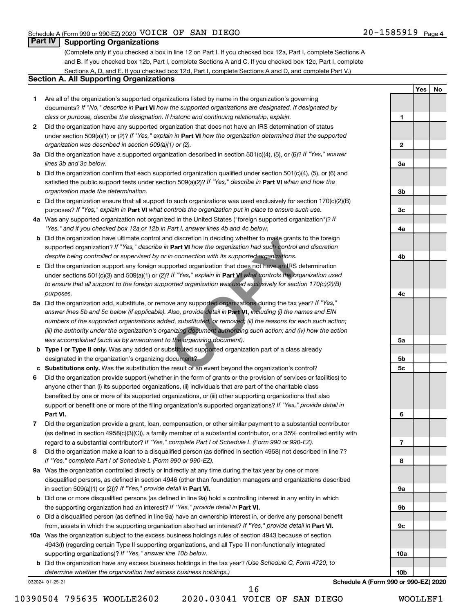**1**

**2**

**3a**

**3b**

**3c**

**4a**

**4b**

**4c**

**5a**

**5b 5c**

**6**

**7**

**8**

**9a**

**9b**

**9c**

**10a**

**10b**

**Yes No**

## **Part IV Supporting Organizations**

(Complete only if you checked a box in line 12 on Part I. If you checked box 12a, Part I, complete Sections A and B. If you checked box 12b, Part I, complete Sections A and C. If you checked box 12c, Part I, complete Sections A, D, and E. If you checked box 12d, Part I, complete Sections A and D, and complete Part V.)

## **Section A. All Supporting Organizations**

- **1** Are all of the organization's supported organizations listed by name in the organization's governing documents? If "No," describe in Part VI how the supported organizations are designated. If designated by *class or purpose, describe the designation. If historic and continuing relationship, explain.*
- **2** Did the organization have any supported organization that does not have an IRS determination of status under section 509(a)(1) or (2)? If "Yes," explain in Part **VI** how the organization determined that the supported *organization was described in section 509(a)(1) or (2).*
- **3a** Did the organization have a supported organization described in section 501(c)(4), (5), or (6)? If "Yes," answer *lines 3b and 3c below.*
- **b** Did the organization confirm that each supported organization qualified under section 501(c)(4), (5), or (6) and satisfied the public support tests under section 509(a)(2)? If "Yes," describe in Part VI when and how the *organization made the determination.*
- **c** Did the organization ensure that all support to such organizations was used exclusively for section 170(c)(2)(B) purposes? If "Yes," explain in Part VI what controls the organization put in place to ensure such use.
- **4 a** *If* Was any supported organization not organized in the United States ("foreign supported organization")? *"Yes," and if you checked box 12a or 12b in Part I, answer lines 4b and 4c below.*
- **b** Did the organization have ultimate control and discretion in deciding whether to make grants to the foreign supported organization? If "Yes," describe in Part VI how the organization had such control and discretion *despite being controlled or supervised by or in connection with its supported organizations.*
- **c** Did the organization support any foreign supported organization that does not have an IRS determination under sections 501(c)(3) and 509(a)(1) or (2)? If "Yes," explain in Part VI what controls the organization used *to ensure that all support to the foreign supported organization was used exclusively for section 170(c)(2)(B) purposes.*
- **5a** Did the organization add, substitute, or remove any supported organizations during the tax year? If "Yes," answer lines 5b and 5c below (if applicable). Also, provide detail in **Part VI,** including (i) the names and EIN *numbers of the supported organizations added, substituted, or removed; (ii) the reasons for each such action; (iii) the authority under the organization's organizing document authorizing such action; and (iv) how the action was accomplished (such as by amendment to the organizing document).* identical discretion in deciding whether to make grants to **Part VI** how the organization had such control and in connection with its supported organizations.<br>Supported organization that does not have an IRS depthered orga
- **b** Type I or Type II only. Was any added or substituted supported organization part of a class already designated in the organization's organizing document?
- **c Substitutions only.**  Was the substitution the result of an event beyond the organization's control?
- **6** Did the organization provide support (whether in the form of grants or the provision of services or facilities) to **Part VI.** support or benefit one or more of the filing organization's supported organizations? If "Yes," provide detail in anyone other than (i) its supported organizations, (ii) individuals that are part of the charitable class benefited by one or more of its supported organizations, or (iii) other supporting organizations that also
- **7** Did the organization provide a grant, loan, compensation, or other similar payment to a substantial contributor regard to a substantial contributor? If "Yes," complete Part I of Schedule L (Form 990 or 990-EZ). (as defined in section 4958(c)(3)(C)), a family member of a substantial contributor, or a 35% controlled entity with
- **8** Did the organization make a loan to a disqualified person (as defined in section 4958) not described in line 7? *If "Yes," complete Part I of Schedule L (Form 990 or 990-EZ).*
- **9 a** Was the organization controlled directly or indirectly at any time during the tax year by one or more in section 509(a)(1) or (2))? If "Yes," provide detail in **Part VI.** disqualified persons, as defined in section 4946 (other than foundation managers and organizations described
- **b** Did one or more disqualified persons (as defined in line 9a) hold a controlling interest in any entity in which the supporting organization had an interest? If "Yes," provide detail in Part VI.
- **c** Did a disqualified person (as defined in line 9a) have an ownership interest in, or derive any personal benefit from, assets in which the supporting organization also had an interest? If "Yes," provide detail in Part VI.
- **10 a** Was the organization subject to the excess business holdings rules of section 4943 because of section supporting organizations)? If "Yes," answer line 10b below. 4943(f) (regarding certain Type II supporting organizations, and all Type III non-functionally integrated
	- **b** Did the organization have any excess business holdings in the tax year? (Use Schedule C, Form 4720, to *determine whether the organization had excess business holdings.)*

032024 01-25-21

**Schedule A (Form 990 or 990-EZ) 2020**

16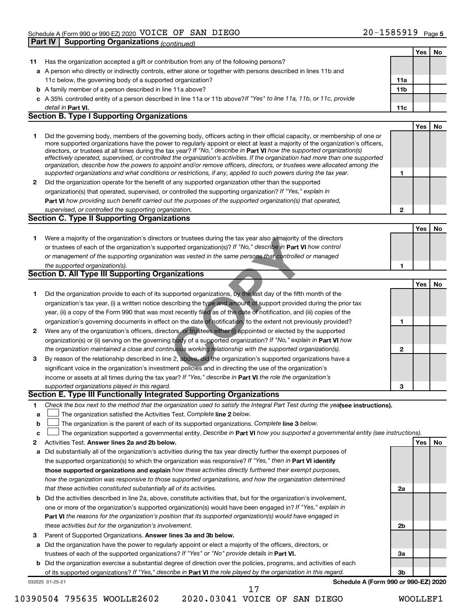|    |                                                                                                                                   |              | Yes | No |
|----|-----------------------------------------------------------------------------------------------------------------------------------|--------------|-----|----|
| 11 | Has the organization accepted a gift or contribution from any of the following persons?                                           |              |     |    |
|    | a A person who directly or indirectly controls, either alone or together with persons described in lines 11b and                  |              |     |    |
|    | 11c below, the governing body of a supported organization?                                                                        | 11a          |     |    |
|    | <b>b</b> A family member of a person described in line 11a above?                                                                 | 11b          |     |    |
|    | c A 35% controlled entity of a person described in line 11a or 11b above? If "Yes" to line 11a, 11b, or 11c, provide              |              |     |    |
|    | detail in Part VI.                                                                                                                | 11c          |     |    |
|    | <b>Section B. Type I Supporting Organizations</b>                                                                                 |              |     |    |
|    |                                                                                                                                   |              | Yes | No |
| 1  | Did the governing body, members of the governing body, officers acting in their official capacity, or membership of one or        |              |     |    |
|    | more supported organizations have the power to regularly appoint or elect at least a majority of the organization's officers,     |              |     |    |
|    | directors, or trustees at all times during the tax year? If "No," describe in Part VI how the supported organization(s)           |              |     |    |
|    | effectively operated, supervised, or controlled the organization's activities. If the organization had more than one supported    |              |     |    |
|    | organization, describe how the powers to appoint and/or remove officers, directors, or trustees were allocated among the          |              |     |    |
|    | supported organizations and what conditions or restrictions, if any, applied to such powers during the tax year.                  | 1            |     |    |
| 2  | Did the organization operate for the benefit of any supported organization other than the supported                               |              |     |    |
|    | organization(s) that operated, supervised, or controlled the supporting organization? If "Yes," explain in                        |              |     |    |
|    | Part VI how providing such benefit carried out the purposes of the supported organization(s) that operated,                       |              |     |    |
|    | supervised, or controlled the supporting organization.                                                                            | $\mathbf{2}$ |     |    |
|    | <b>Section C. Type II Supporting Organizations</b>                                                                                |              |     |    |
|    |                                                                                                                                   |              | Yes | No |
| 1  | Were a majority of the organization's directors or trustees during the tax year also a majority of the directors                  |              |     |    |
|    | or trustees of each of the organization's supported organization(s)? If "No," describe in Part VI how control                     |              |     |    |
|    | or management of the supporting organization was vested in the same persons that controlled or managed                            |              |     |    |
|    | the supported organization(s).                                                                                                    | 1            |     |    |
|    | Section D. All Type III Supporting Organizations                                                                                  |              |     |    |
|    |                                                                                                                                   |              | Yes | No |
| 1  | Did the organization provide to each of its supported organizations, by the last day of the fifth month of the                    |              |     |    |
|    | organization's tax year, (i) a written notice describing the type and amount of support provided during the prior tax             |              |     |    |
|    | year, (ii) a copy of the Form 990 that was most recently filed as of the date of notification, and (iii) copies of the            |              |     |    |
|    | organization's governing documents in effect on the date of notification, to the extent not previously provided?                  | 1            |     |    |
| 2  | Were any of the organization's officers, directors, or trustees either (i) appointed or elected by the supported                  |              |     |    |
|    | organization(s) or (ii) serving on the governing body of a supported organization? If "No," explain in Part VI how                |              |     |    |
|    | the organization maintained a close and continuous working relationship with the supported organization(s).                       | 2            |     |    |
| 3  | By reason of the relationship described in line 2, above, did the organization's supported organizations have a                   |              |     |    |
|    | significant voice in the organization's investment policies and in directing the use of the organization's                        |              |     |    |
|    | income or assets at all times during the tax year? If "Yes," describe in Part VI the role the organization's                      |              |     |    |
|    | supported organizations played in this regard.                                                                                    | 3            |     |    |
|    | Section E. Type III Functionally Integrated Supporting Organizations                                                              |              |     |    |
| 1  | Check the box next to the method that the organization used to satisfy the Integral Part Test during the yealsee instructions).   |              |     |    |
| a  | The organization satisfied the Activities Test. Complete line 2 below.                                                            |              |     |    |
| b  | The organization is the parent of each of its supported organizations. Complete line 3 below.                                     |              |     |    |
| с  | The organization supported a governmental entity. Describe in Part VI how you supported a governmental entity (see instructions). |              |     |    |
| 2  | Activities Test. Answer lines 2a and 2b below.                                                                                    |              | Yes | No |
| а  | Did substantially all of the organization's activities during the tax year directly further the exempt purposes of                |              |     |    |
|    | the supported organization(s) to which the organization was responsive? If "Yes," then in Part VI identify                        |              |     |    |
|    | those supported organizations and explain how these activities directly furthered their exempt purposes,                          |              |     |    |
|    | how the organization was responsive to those supported organizations, and how the organization determined                         |              |     |    |
|    | that these activities constituted substantially all of its activities.                                                            | 2a           |     |    |
|    | <b>b</b> Did the activities described in line 2a, above, constitute activities that, but for the organization's involvement,      |              |     |    |
|    | one or more of the organization's supported organization(s) would have been engaged in? If "Yes," explain in                      |              |     |    |
|    | Part VI the reasons for the organization's position that its supported organization(s) would have engaged in                      |              |     |    |
|    | these activities but for the organization's involvement.                                                                          | 2b           |     |    |
| З  | Parent of Supported Organizations. Answer lines 3a and 3b below.                                                                  |              |     |    |
|    | a Did the organization have the power to regularly appoint or elect a majority of the officers, directors, or                     |              |     |    |
|    | trustees of each of the supported organizations? If "Yes" or "No" provide details in Part VI.                                     | За           |     |    |
|    | <b>b</b> Did the organization exercise a substantial degree of direction over the policies, programs, and activities of each      |              |     |    |
|    | of its supported organizations? If "Yes," describe in Part VI the role played by the organization in this regard.                 | Зb           |     |    |
|    | Schedule A (Form 990 or 990-EZ) 2020<br>032025 01-25-21                                                                           |              |     |    |
|    | 17                                                                                                                                |              |     |    |

10390504 795635 WOOLLE2602 2020.03041 VOICE OF SAN DIEGO WOOLLEF1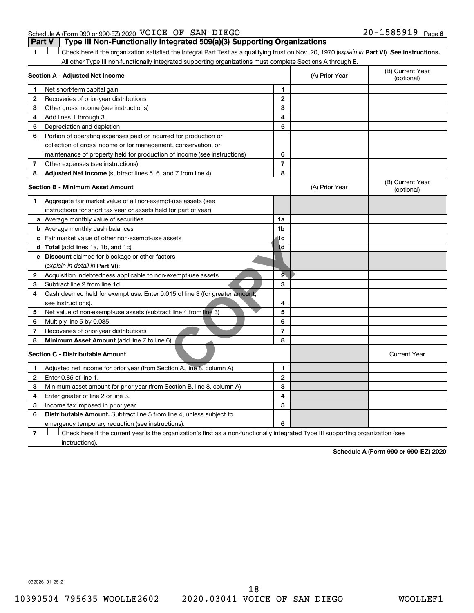### Schedule A (Form 990 or 990-EZ) 2020 Page VOICE OF SAN DIEGO 20-1585919 **Part V** | Type III Non-Functionally Integrated 509(a)(3) Supporting Organizations

1 **I** Check here if the organization satisfied the Integral Part Test as a qualifying trust on Nov. 20, 1970 (explain in Part VI). See instructions. All other Type III non-functionally integrated supporting organizations must complete Sections A through E.

|   | Section A - Adjusted Net Income                                                                                                   |                | (A) Prior Year | (B) Current Year<br>(optional) |
|---|-----------------------------------------------------------------------------------------------------------------------------------|----------------|----------------|--------------------------------|
| 1 | Net short-term capital gain                                                                                                       | 1              |                |                                |
| 2 | Recoveries of prior-year distributions                                                                                            | $\mathbf{2}$   |                |                                |
| 3 | Other gross income (see instructions)                                                                                             | 3              |                |                                |
| 4 | Add lines 1 through 3.                                                                                                            | 4              |                |                                |
| 5 | Depreciation and depletion                                                                                                        | 5              |                |                                |
| 6 | Portion of operating expenses paid or incurred for production or                                                                  |                |                |                                |
|   | collection of gross income or for management, conservation, or                                                                    |                |                |                                |
|   | maintenance of property held for production of income (see instructions)                                                          | 6              |                |                                |
| 7 | Other expenses (see instructions)                                                                                                 | $\overline{7}$ |                |                                |
| 8 | Adjusted Net Income (subtract lines 5, 6, and 7 from line 4)                                                                      | 8              |                |                                |
|   | <b>Section B - Minimum Asset Amount</b>                                                                                           |                | (A) Prior Year | (B) Current Year<br>(optional) |
| 1 | Aggregate fair market value of all non-exempt-use assets (see                                                                     |                |                |                                |
|   | instructions for short tax year or assets held for part of year):                                                                 |                |                |                                |
|   | a Average monthly value of securities                                                                                             | 1a             |                |                                |
|   | <b>b</b> Average monthly cash balances                                                                                            | 1 <sub>b</sub> |                |                                |
|   | c Fair market value of other non-exempt-use assets                                                                                | liic           |                |                                |
|   | d Total (add lines 1a, 1b, and 1c)                                                                                                | 1 <sub>d</sub> |                |                                |
|   | e Discount claimed for blockage or other factors                                                                                  |                |                |                                |
|   | (explain in detail in <b>Part VI</b> ):                                                                                           |                |                |                                |
| 2 | Acquisition indebtedness applicable to non-exempt-use assets                                                                      | $\overline{2}$ |                |                                |
| 3 | Subtract line 2 from line 1d.                                                                                                     | 3              |                |                                |
| 4 | Cash deemed held for exempt use. Enter 0.015 of line 3 (for greater amount,                                                       |                |                |                                |
|   | see instructions).                                                                                                                | 4              |                |                                |
| 5 | Net value of non-exempt-use assets (subtract line 4 from line 3)                                                                  | 5              |                |                                |
| 6 | Multiply line 5 by 0.035.                                                                                                         | 6              |                |                                |
| 7 | Recoveries of prior-year distributions                                                                                            | $\overline{7}$ |                |                                |
| 8 | <b>Minimum Asset Amount (add line 7 to line 6)</b>                                                                                | 8              |                |                                |
|   | <b>Section C - Distributable Amount</b>                                                                                           |                |                | <b>Current Year</b>            |
| 1 | Adjusted net income for prior year (from Section A, line 8, column A)                                                             | $\mathbf{1}$   |                |                                |
| 2 | Enter 0.85 of line 1.                                                                                                             | $\mathbf{2}$   |                |                                |
| з | Minimum asset amount for prior year (from Section B, line 8, column A)                                                            | 3              |                |                                |
| 4 | Enter greater of line 2 or line 3.                                                                                                | 4              |                |                                |
| 5 | Income tax imposed in prior year                                                                                                  | 5              |                |                                |
| 6 | <b>Distributable Amount.</b> Subtract line 5 from line 4, unless subject to                                                       |                |                |                                |
|   | emergency temporary reduction (see instructions).                                                                                 | 6              |                |                                |
| 7 | Check here if the current year is the organization's first as a non-functionally integrated Type III supporting organization (see |                |                |                                |

instructions).

**Schedule A (Form 990 or 990-EZ) 2020**

032026 01-25-21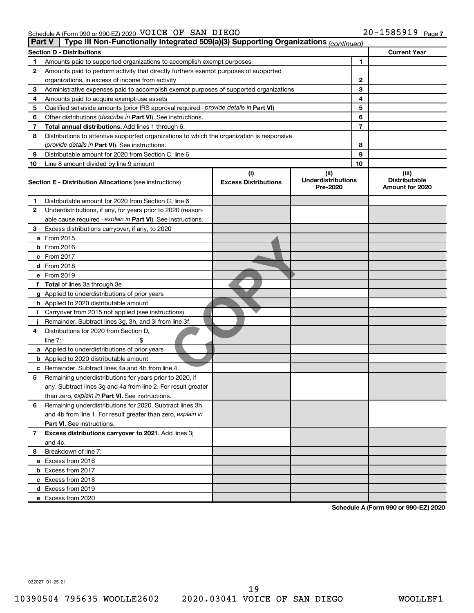| Part V | Type III Non-Functionally Integrated 509(a)(3) Supporting Organizations (continued)        |                                    |                                               |    |                                                  |
|--------|--------------------------------------------------------------------------------------------|------------------------------------|-----------------------------------------------|----|--------------------------------------------------|
|        | <b>Section D - Distributions</b>                                                           |                                    |                                               |    | <b>Current Year</b>                              |
| 1      | Amounts paid to supported organizations to accomplish exempt purposes                      |                                    |                                               | 1  |                                                  |
| 2      | Amounts paid to perform activity that directly furthers exempt purposes of supported       |                                    |                                               |    |                                                  |
|        | organizations, in excess of income from activity                                           |                                    | 2                                             |    |                                                  |
| 3      | Administrative expenses paid to accomplish exempt purposes of supported organizations      |                                    |                                               | 3  |                                                  |
| 4      | Amounts paid to acquire exempt-use assets                                                  |                                    |                                               | 4  |                                                  |
| 5      | Qualified set-aside amounts (prior IRS approval required - provide details in Part VI)     |                                    |                                               | 5  |                                                  |
| 6      | Other distributions ( <i>describe in Part VI</i> ). See instructions.                      |                                    |                                               | 6  |                                                  |
| 7      | Total annual distributions. Add lines 1 through 6.                                         |                                    | 7                                             |    |                                                  |
| 8      | Distributions to attentive supported organizations to which the organization is responsive |                                    |                                               |    |                                                  |
|        | ( <i>provide details in Part VI</i> ). See instructions.                                   |                                    | 8                                             |    |                                                  |
| 9      | Distributable amount for 2020 from Section C, line 6                                       |                                    |                                               | 9  |                                                  |
| 10     | Line 8 amount divided by line 9 amount                                                     |                                    |                                               | 10 |                                                  |
|        | <b>Section E - Distribution Allocations (see instructions)</b>                             | (i)<br><b>Excess Distributions</b> | (ii)<br><b>Underdistributions</b><br>Pre-2020 |    | (iii)<br><b>Distributable</b><br>Amount for 2020 |
| 1      | Distributable amount for 2020 from Section C, line 6                                       |                                    |                                               |    |                                                  |
| 2      | Underdistributions, if any, for years prior to 2020 (reason-                               |                                    |                                               |    |                                                  |
|        | able cause required - explain in Part VI). See instructions.                               |                                    |                                               |    |                                                  |
| З      | Excess distributions carryover, if any, to 2020                                            |                                    |                                               |    |                                                  |
|        | a From 2015                                                                                |                                    |                                               |    |                                                  |
|        | $b$ From 2016                                                                              |                                    |                                               |    |                                                  |
|        | c From 2017                                                                                |                                    |                                               |    |                                                  |
|        | <b>d</b> From 2018                                                                         |                                    |                                               |    |                                                  |
|        | e From 2019                                                                                |                                    |                                               |    |                                                  |
|        | f Total of lines 3a through 3e                                                             |                                    |                                               |    |                                                  |
|        | g Applied to underdistributions of prior years                                             |                                    |                                               |    |                                                  |
|        | <b>h</b> Applied to 2020 distributable amount                                              |                                    |                                               |    |                                                  |
| j.     | Carryover from 2015 not applied (see instructions)                                         |                                    |                                               |    |                                                  |
|        | Remainder. Subtract lines 3g, 3h, and 3i from line 3f.                                     |                                    |                                               |    |                                                  |
| 4      | Distributions for 2020 from Section D,                                                     |                                    |                                               |    |                                                  |
|        | line $7:$                                                                                  |                                    |                                               |    |                                                  |
|        | a Applied to underdistributions of prior years                                             |                                    |                                               |    |                                                  |
|        | <b>b</b> Applied to 2020 distributable amount                                              |                                    |                                               |    |                                                  |
|        | c Remainder. Subtract lines 4a and 4b from line 4.                                         |                                    |                                               |    |                                                  |
| 5      | Remaining underdistributions for years prior to 2020, if                                   |                                    |                                               |    |                                                  |
|        | any. Subtract lines 3g and 4a from line 2. For result greater                              |                                    |                                               |    |                                                  |
|        | than zero, explain in Part VI. See instructions.                                           |                                    |                                               |    |                                                  |
| 6      | Remaining underdistributions for 2020. Subtract lines 3h                                   |                                    |                                               |    |                                                  |
|        | and 4b from line 1. For result greater than zero, explain in                               |                                    |                                               |    |                                                  |
|        | <b>Part VI.</b> See instructions.                                                          |                                    |                                               |    |                                                  |
| 7      | Excess distributions carryover to 2021. Add lines 3j                                       |                                    |                                               |    |                                                  |
|        | and 4c.                                                                                    |                                    |                                               |    |                                                  |
| 8      | Breakdown of line 7:                                                                       |                                    |                                               |    |                                                  |
|        | a Excess from 2016                                                                         |                                    |                                               |    |                                                  |
|        | <b>b</b> Excess from 2017                                                                  |                                    |                                               |    |                                                  |
|        | c Excess from 2018                                                                         |                                    |                                               |    |                                                  |
|        | d Excess from 2019                                                                         |                                    |                                               |    |                                                  |
|        | e Excess from 2020                                                                         |                                    |                                               |    |                                                  |

**Schedule A (Form 990 or 990-EZ) 2020**

032027 01-25-21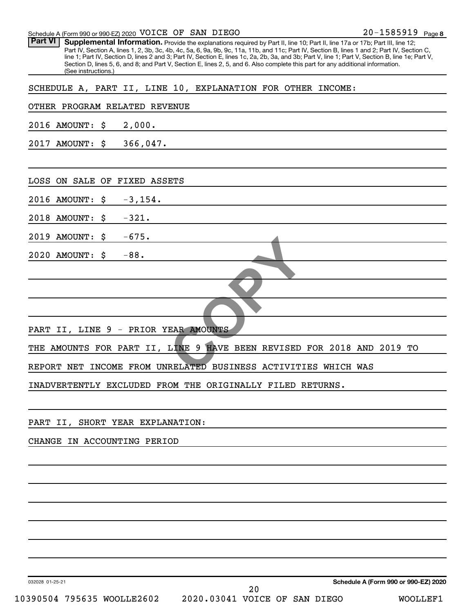| Schedule A (Form 990 or 990-EZ) 2020 VOICE OF SAN DIEGO                                                                                                                                                                                                                                                                                                                                                                                                                                                                                                                                                       | 20-1585919 Page 8                    |
|---------------------------------------------------------------------------------------------------------------------------------------------------------------------------------------------------------------------------------------------------------------------------------------------------------------------------------------------------------------------------------------------------------------------------------------------------------------------------------------------------------------------------------------------------------------------------------------------------------------|--------------------------------------|
| <b>Part VI</b><br>Supplemental Information. Provide the explanations required by Part II, line 10; Part II, line 17a or 17b; Part III, line 12;<br>Part IV, Section A, lines 1, 2, 3b, 3c, 4b, 4c, 5a, 6, 9a, 9b, 9c, 11a, 11b, and 11c; Part IV, Section B, lines 1 and 2; Part IV, Section C,<br>line 1; Part IV, Section D, lines 2 and 3; Part IV, Section E, lines 1c, 2a, 2b, 3a, and 3b; Part V, line 1; Part V, Section B, line 1e; Part V,<br>Section D, lines 5, 6, and 8; and Part V, Section E, lines 2, 5, and 6. Also complete this part for any additional information.<br>(See instructions.) |                                      |
| SCHEDULE A, PART II, LINE 10, EXPLANATION FOR OTHER INCOME:                                                                                                                                                                                                                                                                                                                                                                                                                                                                                                                                                   |                                      |
| OTHER PROGRAM RELATED REVENUE                                                                                                                                                                                                                                                                                                                                                                                                                                                                                                                                                                                 |                                      |
| 2016 AMOUNT:<br>2,000.<br>\$                                                                                                                                                                                                                                                                                                                                                                                                                                                                                                                                                                                  |                                      |
| 366,047.<br>2017 AMOUNT:<br>\$                                                                                                                                                                                                                                                                                                                                                                                                                                                                                                                                                                                |                                      |
| LOSS<br>ON SALE OF FIXED ASSETS                                                                                                                                                                                                                                                                                                                                                                                                                                                                                                                                                                               |                                      |
| $-3, 154.$<br>2016 AMOUNT:<br>\$                                                                                                                                                                                                                                                                                                                                                                                                                                                                                                                                                                              |                                      |
| 2018 AMOUNT:<br>$-321.$<br>\$                                                                                                                                                                                                                                                                                                                                                                                                                                                                                                                                                                                 |                                      |
| $-675.$<br>2019 AMOUNT:<br>\$                                                                                                                                                                                                                                                                                                                                                                                                                                                                                                                                                                                 |                                      |
| 2020 AMOUNT:<br>$-88.$<br>\$                                                                                                                                                                                                                                                                                                                                                                                                                                                                                                                                                                                  |                                      |
|                                                                                                                                                                                                                                                                                                                                                                                                                                                                                                                                                                                                               |                                      |
| PART II, LINE 9 - PRIOR YEAR AMOUNTS                                                                                                                                                                                                                                                                                                                                                                                                                                                                                                                                                                          |                                      |
| THE AMOUNTS FOR PART II, LINE 9 HAVE BEEN REVISED FOR 2018 AND 2019 TO                                                                                                                                                                                                                                                                                                                                                                                                                                                                                                                                        |                                      |
| REPORT NET INCOME FROM UNRELATED BUSINESS ACTIVITIES WHICH WAS                                                                                                                                                                                                                                                                                                                                                                                                                                                                                                                                                |                                      |
| INADVERTENTLY EXCLUDED FROM THE ORIGINALLY FILED RETURNS.                                                                                                                                                                                                                                                                                                                                                                                                                                                                                                                                                     |                                      |
|                                                                                                                                                                                                                                                                                                                                                                                                                                                                                                                                                                                                               |                                      |
| PART II, SHORT YEAR EXPLANATION:                                                                                                                                                                                                                                                                                                                                                                                                                                                                                                                                                                              |                                      |
| CHANGE IN ACCOUNTING PERIOD                                                                                                                                                                                                                                                                                                                                                                                                                                                                                                                                                                                   |                                      |
|                                                                                                                                                                                                                                                                                                                                                                                                                                                                                                                                                                                                               |                                      |
|                                                                                                                                                                                                                                                                                                                                                                                                                                                                                                                                                                                                               |                                      |
|                                                                                                                                                                                                                                                                                                                                                                                                                                                                                                                                                                                                               |                                      |
|                                                                                                                                                                                                                                                                                                                                                                                                                                                                                                                                                                                                               |                                      |
|                                                                                                                                                                                                                                                                                                                                                                                                                                                                                                                                                                                                               |                                      |
|                                                                                                                                                                                                                                                                                                                                                                                                                                                                                                                                                                                                               |                                      |
|                                                                                                                                                                                                                                                                                                                                                                                                                                                                                                                                                                                                               |                                      |
| 032028 01-25-21<br>20                                                                                                                                                                                                                                                                                                                                                                                                                                                                                                                                                                                         | Schedule A (Form 990 or 990-EZ) 2020 |
| 10390504 795635 WOOLLE2602<br>2020.03041 VOICE OF SAN DIEGO                                                                                                                                                                                                                                                                                                                                                                                                                                                                                                                                                   | WOOLLEF1                             |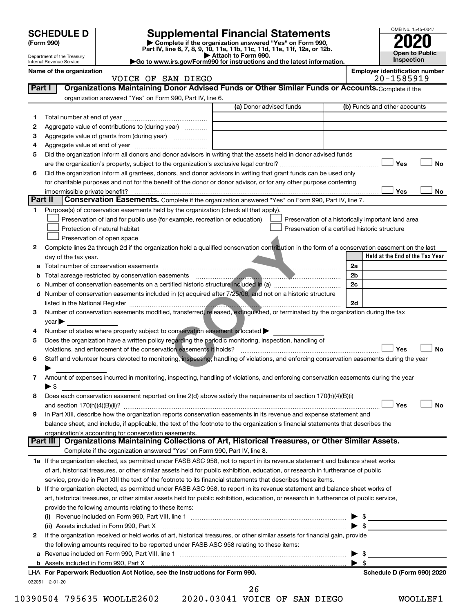|         | <b>SCHEDULE D</b>              |                                                                                                                                                                                                              | <b>Supplemental Financial Statements</b>                                                        |                                                |                                 | OMB No. 1545-0047                                   |
|---------|--------------------------------|--------------------------------------------------------------------------------------------------------------------------------------------------------------------------------------------------------------|-------------------------------------------------------------------------------------------------|------------------------------------------------|---------------------------------|-----------------------------------------------------|
|         | (Form 990)                     |                                                                                                                                                                                                              | Complete if the organization answered "Yes" on Form 990,                                        |                                                |                                 |                                                     |
|         | Department of the Treasury     |                                                                                                                                                                                                              | Part IV, line 6, 7, 8, 9, 10, 11a, 11b, 11c, 11d, 11e, 11f, 12a, or 12b.<br>Attach to Form 990. |                                                |                                 | <b>Open to Public</b>                               |
|         | Internal Revenue Service       |                                                                                                                                                                                                              | Go to www.irs.gov/Form990 for instructions and the latest information.                          |                                                |                                 | Inspection                                          |
|         | Name of the organization       | VOICE OF SAN DIEGO                                                                                                                                                                                           |                                                                                                 |                                                |                                 | <b>Employer identification number</b><br>20-1585919 |
| Part I  |                                | Organizations Maintaining Donor Advised Funds or Other Similar Funds or Accounts. Complete if the                                                                                                            |                                                                                                 |                                                |                                 |                                                     |
|         |                                | organization answered "Yes" on Form 990, Part IV, line 6.                                                                                                                                                    |                                                                                                 |                                                |                                 |                                                     |
|         |                                |                                                                                                                                                                                                              | (a) Donor advised funds                                                                         |                                                |                                 | (b) Funds and other accounts                        |
| 1       |                                |                                                                                                                                                                                                              |                                                                                                 |                                                |                                 |                                                     |
| 2       |                                | Aggregate value of contributions to (during year)                                                                                                                                                            |                                                                                                 |                                                |                                 |                                                     |
| 3       |                                |                                                                                                                                                                                                              |                                                                                                 |                                                |                                 |                                                     |
| 4       |                                |                                                                                                                                                                                                              |                                                                                                 |                                                |                                 |                                                     |
| 5       |                                | Did the organization inform all donors and donor advisors in writing that the assets held in donor advised funds                                                                                             |                                                                                                 |                                                |                                 | Yes<br><b>No</b>                                    |
| 6       |                                | Did the organization inform all grantees, donors, and donor advisors in writing that grant funds can be used only                                                                                            |                                                                                                 |                                                |                                 |                                                     |
|         |                                | for charitable purposes and not for the benefit of the donor or donor advisor, or for any other purpose conferring                                                                                           |                                                                                                 |                                                |                                 |                                                     |
|         | impermissible private benefit? |                                                                                                                                                                                                              |                                                                                                 |                                                |                                 | Yes<br>No                                           |
| Part II |                                | Conservation Easements. Complete if the organization answered "Yes" on Form 990, Part IV, line 7.                                                                                                            |                                                                                                 |                                                |                                 |                                                     |
| 1.      |                                | Purpose(s) of conservation easements held by the organization (check all that apply).                                                                                                                        |                                                                                                 |                                                |                                 |                                                     |
|         |                                | Preservation of land for public use (for example, recreation or education)                                                                                                                                   |                                                                                                 |                                                |                                 | Preservation of a historically important land area  |
|         |                                | Protection of natural habitat                                                                                                                                                                                |                                                                                                 | Preservation of a certified historic structure |                                 |                                                     |
|         |                                | Preservation of open space                                                                                                                                                                                   |                                                                                                 |                                                |                                 |                                                     |
| 2       |                                | Complete lines 2a through 2d if the organization held a qualified conservation contribution in the form of a conservation easement on the last                                                               |                                                                                                 |                                                |                                 |                                                     |
|         | day of the tax year.           |                                                                                                                                                                                                              |                                                                                                 |                                                | 2a                              | Held at the End of the Tax Year                     |
| b       |                                |                                                                                                                                                                                                              |                                                                                                 |                                                | 2b                              |                                                     |
|         |                                | Number of conservation easements on a certified historic structure included in (a) manufacture included in (a)                                                                                               |                                                                                                 |                                                | 2c                              |                                                     |
|         |                                | d Number of conservation easements included in (c) acquired after 7/25/06, and not on a historic structure                                                                                                   |                                                                                                 |                                                |                                 |                                                     |
|         |                                |                                                                                                                                                                                                              |                                                                                                 |                                                | 2d                              |                                                     |
| 3       |                                | Number of conservation easements modified, transferred released, extinguished, or terminated by the organization during the tax                                                                              |                                                                                                 |                                                |                                 |                                                     |
|         | year                           |                                                                                                                                                                                                              |                                                                                                 |                                                |                                 |                                                     |
| 4       |                                | Number of states where property subject to conservation easement is located                                                                                                                                  |                                                                                                 |                                                |                                 |                                                     |
| 5       |                                | Does the organization have a written policy regarding the periodic monitoring, inspection, handling of                                                                                                       |                                                                                                 |                                                |                                 |                                                     |
|         |                                | violations, and enforcement of the conservation easements it holds?                                                                                                                                          |                                                                                                 |                                                |                                 | <b>No</b><br>Yes                                    |
| 6       |                                | Staff and volunteer hours devoted to monitoring, inspecting, handling of violations, and enforcing conservation easements during the year                                                                    |                                                                                                 |                                                |                                 |                                                     |
| 7       |                                | Amount of expenses incurred in monitoring, inspecting, handling of violations, and enforcing conservation easements during the year                                                                          |                                                                                                 |                                                |                                 |                                                     |
|         | $\blacktriangleright$ \$       |                                                                                                                                                                                                              |                                                                                                 |                                                |                                 |                                                     |
| 8       |                                | Does each conservation easement reported on line 2(d) above satisfy the requirements of section 170(h)(4)(B)(i)                                                                                              |                                                                                                 |                                                |                                 |                                                     |
|         |                                |                                                                                                                                                                                                              |                                                                                                 |                                                |                                 | Yes<br>No                                           |
| 9       |                                | In Part XIII, describe how the organization reports conservation easements in its revenue and expense statement and                                                                                          |                                                                                                 |                                                |                                 |                                                     |
|         |                                | balance sheet, and include, if applicable, the text of the footnote to the organization's financial statements that describes the                                                                            |                                                                                                 |                                                |                                 |                                                     |
|         |                                | organization's accounting for conservation easements.                                                                                                                                                        |                                                                                                 |                                                |                                 |                                                     |
|         | Part III                       | Organizations Maintaining Collections of Art, Historical Treasures, or Other Similar Assets.                                                                                                                 |                                                                                                 |                                                |                                 |                                                     |
|         |                                | Complete if the organization answered "Yes" on Form 990, Part IV, line 8.<br>1a If the organization elected, as permitted under FASB ASC 958, not to report in its revenue statement and balance sheet works |                                                                                                 |                                                |                                 |                                                     |
|         |                                | of art, historical treasures, or other similar assets held for public exhibition, education, or research in furtherance of public                                                                            |                                                                                                 |                                                |                                 |                                                     |
|         |                                | service, provide in Part XIII the text of the footnote to its financial statements that describes these items.                                                                                               |                                                                                                 |                                                |                                 |                                                     |
|         |                                | <b>b</b> If the organization elected, as permitted under FASB ASC 958, to report in its revenue statement and balance sheet works of                                                                         |                                                                                                 |                                                |                                 |                                                     |
|         |                                | art, historical treasures, or other similar assets held for public exhibition, education, or research in furtherance of public service,                                                                      |                                                                                                 |                                                |                                 |                                                     |
|         |                                | provide the following amounts relating to these items:                                                                                                                                                       |                                                                                                 |                                                |                                 |                                                     |
|         |                                | Revenue included on Form 990, Part VIII, line 1 [2000] [2000] [2000] [2000] [2000] [2000] [2000] [2000] [2000                                                                                                |                                                                                                 |                                                | $\blacktriangleright$ s         |                                                     |
|         |                                | (ii) Assets included in Form 990, Part X                                                                                                                                                                     |                                                                                                 |                                                | $\blacktriangleright$ \$        |                                                     |
| 2       |                                | If the organization received or held works of art, historical treasures, or other similar assets for financial gain, provide                                                                                 |                                                                                                 |                                                |                                 |                                                     |
|         |                                | the following amounts required to be reported under FASB ASC 958 relating to these items:                                                                                                                    |                                                                                                 |                                                |                                 |                                                     |
|         |                                |                                                                                                                                                                                                              |                                                                                                 |                                                | - \$<br>$\blacktriangleright$ s |                                                     |
|         |                                | LHA For Paperwork Reduction Act Notice, see the Instructions for Form 990.                                                                                                                                   |                                                                                                 |                                                |                                 | Schedule D (Form 990) 2020                          |
|         | 032051 12-01-20                |                                                                                                                                                                                                              |                                                                                                 |                                                |                                 |                                                     |
|         |                                |                                                                                                                                                                                                              | 26                                                                                              |                                                |                                 |                                                     |

10390504 795635 WOOLLE2602 2020.03041 VOICE OF SAN DIEGO WOOLLEF1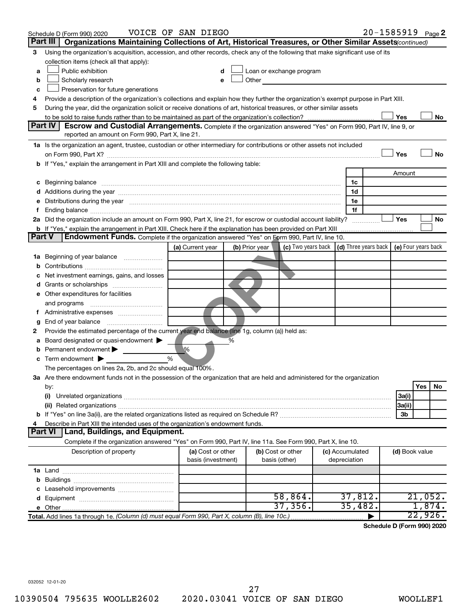|               | Schedule D (Form 990) 2020                                                                                                                                                                                                     | VOICE OF SAN DIEGO |                |                                                                                                                                                                                                                               |                 | 20-1585919 Page 2                                                           |           |
|---------------|--------------------------------------------------------------------------------------------------------------------------------------------------------------------------------------------------------------------------------|--------------------|----------------|-------------------------------------------------------------------------------------------------------------------------------------------------------------------------------------------------------------------------------|-----------------|-----------------------------------------------------------------------------|-----------|
|               | Part III<br>Organizations Maintaining Collections of Art, Historical Treasures, or Other Similar Assets (continued)                                                                                                            |                    |                |                                                                                                                                                                                                                               |                 |                                                                             |           |
| 3             | Using the organization's acquisition, accession, and other records, check any of the following that make significant use of its                                                                                                |                    |                |                                                                                                                                                                                                                               |                 |                                                                             |           |
|               | collection items (check all that apply):                                                                                                                                                                                       |                    |                |                                                                                                                                                                                                                               |                 |                                                                             |           |
| a             | Public exhibition                                                                                                                                                                                                              |                    |                | Loan or exchange program                                                                                                                                                                                                      |                 |                                                                             |           |
| b             | Scholarly research                                                                                                                                                                                                             |                    |                | Other and the contract of the contract of the contract of the contract of the contract of the contract of the contract of the contract of the contract of the contract of the contract of the contract of the contract of the |                 |                                                                             |           |
| с             | Preservation for future generations                                                                                                                                                                                            |                    |                |                                                                                                                                                                                                                               |                 |                                                                             |           |
| 4             | Provide a description of the organization's collections and explain how they further the organization's exempt purpose in Part XIII.                                                                                           |                    |                |                                                                                                                                                                                                                               |                 |                                                                             |           |
| 5             | During the year, did the organization solicit or receive donations of art, historical treasures, or other similar assets                                                                                                       |                    |                |                                                                                                                                                                                                                               |                 |                                                                             |           |
|               |                                                                                                                                                                                                                                |                    |                |                                                                                                                                                                                                                               |                 | Yes                                                                         | No        |
|               | Part IV I<br><b>Escrow and Custodial Arrangements.</b> Complete if the organization answered "Yes" on Form 990, Part IV, line 9, or                                                                                            |                    |                |                                                                                                                                                                                                                               |                 |                                                                             |           |
|               | reported an amount on Form 990, Part X, line 21.                                                                                                                                                                               |                    |                |                                                                                                                                                                                                                               |                 |                                                                             |           |
|               | 1a Is the organization an agent, trustee, custodian or other intermediary for contributions or other assets not included                                                                                                       |                    |                |                                                                                                                                                                                                                               |                 |                                                                             |           |
|               | b If "Yes," explain the arrangement in Part XIII and complete the following table:                                                                                                                                             |                    |                |                                                                                                                                                                                                                               |                 | Yes                                                                         | <b>No</b> |
|               |                                                                                                                                                                                                                                |                    |                |                                                                                                                                                                                                                               |                 | Amount                                                                      |           |
|               |                                                                                                                                                                                                                                |                    |                |                                                                                                                                                                                                                               | 1c              |                                                                             |           |
|               |                                                                                                                                                                                                                                |                    |                |                                                                                                                                                                                                                               | 1d              |                                                                             |           |
|               | e Distributions during the year measurement contained and all the control of the set of the set of the set of the set of the set of the set of the set of the set of the set of the set of the set of the set of the set of th |                    |                |                                                                                                                                                                                                                               | 1e              |                                                                             |           |
|               |                                                                                                                                                                                                                                |                    |                |                                                                                                                                                                                                                               | 1f              |                                                                             |           |
|               | 2a Did the organization include an amount on Form 990, Part X, line 21, for escrow or custodial account liability?                                                                                                             |                    |                |                                                                                                                                                                                                                               |                 | Yes                                                                         | No        |
|               | b If "Yes," explain the arrangement in Part XIII. Check here if the explanation has been provided on Part XIII                                                                                                                 |                    |                |                                                                                                                                                                                                                               |                 |                                                                             |           |
| <b>Part V</b> | <b>Endowment Funds.</b> Complete if the organization answered "Yes" on Form 990, Part IV, line 10.                                                                                                                             |                    |                |                                                                                                                                                                                                                               |                 |                                                                             |           |
|               |                                                                                                                                                                                                                                | (a) Current year   | (b) Prior year |                                                                                                                                                                                                                               |                 | (c) Two years back $\vert$ (d) Three years back $\vert$ (e) Four years back |           |
|               | 1a Beginning of year balance                                                                                                                                                                                                   |                    |                |                                                                                                                                                                                                                               |                 |                                                                             |           |
| b             |                                                                                                                                                                                                                                |                    |                |                                                                                                                                                                                                                               |                 |                                                                             |           |
|               | Net investment earnings, gains, and losses                                                                                                                                                                                     |                    |                |                                                                                                                                                                                                                               |                 |                                                                             |           |
|               |                                                                                                                                                                                                                                |                    |                |                                                                                                                                                                                                                               |                 |                                                                             |           |
|               | e Other expenditures for facilities                                                                                                                                                                                            |                    |                |                                                                                                                                                                                                                               |                 |                                                                             |           |
|               | and programs                                                                                                                                                                                                                   |                    |                |                                                                                                                                                                                                                               |                 |                                                                             |           |
|               |                                                                                                                                                                                                                                |                    |                |                                                                                                                                                                                                                               |                 |                                                                             |           |
| g             | End of year balance <i>manually contained</i>                                                                                                                                                                                  |                    |                |                                                                                                                                                                                                                               |                 |                                                                             |           |
| 2             | Provide the estimated percentage of the current year end balance (line 1g, column (a)) held as:                                                                                                                                |                    |                |                                                                                                                                                                                                                               |                 |                                                                             |           |
| а             | Board designated or quasi-endowment $\blacktriangleright$                                                                                                                                                                      |                    | %              |                                                                                                                                                                                                                               |                 |                                                                             |           |
|               | Permanent endowment >                                                                                                                                                                                                          | %                  |                |                                                                                                                                                                                                                               |                 |                                                                             |           |
| с             | Term endowment $\blacktriangleright$                                                                                                                                                                                           | %                  |                |                                                                                                                                                                                                                               |                 |                                                                             |           |
|               | The percentages on lines 2a, 2b, and 2c should equal 100%.                                                                                                                                                                     |                    |                |                                                                                                                                                                                                                               |                 |                                                                             |           |
|               | 3a Are there endowment funds not in the possession of the organization that are held and administered for the organization                                                                                                     |                    |                |                                                                                                                                                                                                                               |                 |                                                                             |           |
|               | by:<br>(i)                                                                                                                                                                                                                     |                    |                |                                                                                                                                                                                                                               |                 | Yes                                                                         | No        |
|               |                                                                                                                                                                                                                                |                    |                |                                                                                                                                                                                                                               |                 | 3a(i)<br>3a(ii)                                                             |           |
|               |                                                                                                                                                                                                                                |                    |                |                                                                                                                                                                                                                               |                 | 3b                                                                          |           |
| 4             | Describe in Part XIII the intended uses of the organization's endowment funds.                                                                                                                                                 |                    |                |                                                                                                                                                                                                                               |                 |                                                                             |           |
|               | Land, Buildings, and Equipment.<br><b>Part VI</b>                                                                                                                                                                              |                    |                |                                                                                                                                                                                                                               |                 |                                                                             |           |
|               | Complete if the organization answered "Yes" on Form 990, Part IV, line 11a. See Form 990, Part X, line 10.                                                                                                                     |                    |                |                                                                                                                                                                                                                               |                 |                                                                             |           |
|               | Description of property                                                                                                                                                                                                        | (a) Cost or other  |                | (b) Cost or other                                                                                                                                                                                                             | (c) Accumulated | (d) Book value                                                              |           |
|               |                                                                                                                                                                                                                                | basis (investment) |                | basis (other)                                                                                                                                                                                                                 | depreciation    |                                                                             |           |
|               |                                                                                                                                                                                                                                |                    |                |                                                                                                                                                                                                                               |                 |                                                                             |           |
| b             |                                                                                                                                                                                                                                |                    |                |                                                                                                                                                                                                                               |                 |                                                                             |           |
|               |                                                                                                                                                                                                                                |                    |                |                                                                                                                                                                                                                               |                 |                                                                             |           |
|               |                                                                                                                                                                                                                                |                    |                | 58,864.                                                                                                                                                                                                                       | 37,812.         | 21,052.                                                                     |           |
|               |                                                                                                                                                                                                                                |                    |                | 37,356.                                                                                                                                                                                                                       | 35,482.         | 1,874.                                                                      |           |
|               | Total. Add lines 1a through 1e. (Column (d) must equal Form 990, Part X, column (B), line 10c.)                                                                                                                                |                    |                |                                                                                                                                                                                                                               |                 | 22,926.                                                                     |           |

**Schedule D (Form 990) 2020**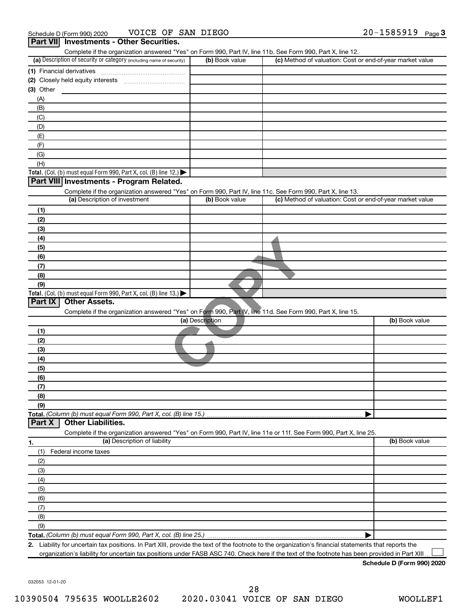|                                                                                                                   |                 | Complete if the organization answered "Yes" on Form 990, Part IV, line 11b. See Form 990, Part X, line 12. |
|-------------------------------------------------------------------------------------------------------------------|-----------------|------------------------------------------------------------------------------------------------------------|
| (a) Description of security or category (including name of security)                                              | (b) Book value  | (c) Method of valuation: Cost or end-of-year market value                                                  |
|                                                                                                                   |                 |                                                                                                            |
|                                                                                                                   |                 |                                                                                                            |
| $(3)$ Other                                                                                                       |                 |                                                                                                            |
| (A)                                                                                                               |                 |                                                                                                            |
| (B)                                                                                                               |                 |                                                                                                            |
| (C)                                                                                                               |                 |                                                                                                            |
| (D)                                                                                                               |                 |                                                                                                            |
| (E)<br>(F)                                                                                                        |                 |                                                                                                            |
| (G)                                                                                                               |                 |                                                                                                            |
| (H)                                                                                                               |                 |                                                                                                            |
| Total. (Col. (b) must equal Form 990, Part X, col. (B) line 12.)                                                  |                 |                                                                                                            |
| Part VIII Investments - Program Related.                                                                          |                 |                                                                                                            |
| Complete if the organization answered "Yes" on Form 990, Part IV, line 11c. See Form 990, Part X, line 13.        |                 |                                                                                                            |
| (a) Description of investment                                                                                     | (b) Book value  | (c) Method of valuation: Cost or end-of-year market value                                                  |
| (1)                                                                                                               |                 |                                                                                                            |
| (2)                                                                                                               |                 |                                                                                                            |
| (3)                                                                                                               |                 |                                                                                                            |
| (4)                                                                                                               |                 |                                                                                                            |
| (5)                                                                                                               |                 |                                                                                                            |
| (6)                                                                                                               |                 |                                                                                                            |
| (7)                                                                                                               |                 |                                                                                                            |
| (8)                                                                                                               |                 |                                                                                                            |
| (9)                                                                                                               |                 |                                                                                                            |
| Total. (Col. (b) must equal Form 990, Part X, col. (B) line 13.)                                                  |                 |                                                                                                            |
| Part IX<br><b>Other Assets.</b>                                                                                   |                 |                                                                                                            |
| Complete if the organization answered "Yes" on Form 990, Part IV, line 11d. See Form 990, Part X, line 15.        |                 |                                                                                                            |
|                                                                                                                   | (a) Description | (b) Book value                                                                                             |
| (1)                                                                                                               |                 |                                                                                                            |
| (2)                                                                                                               |                 |                                                                                                            |
|                                                                                                                   |                 |                                                                                                            |
| (3)                                                                                                               |                 |                                                                                                            |
| (4)                                                                                                               |                 |                                                                                                            |
| (5)                                                                                                               |                 |                                                                                                            |
| (6)                                                                                                               |                 |                                                                                                            |
| (7)                                                                                                               |                 |                                                                                                            |
| (8)                                                                                                               |                 |                                                                                                            |
| (9)                                                                                                               |                 |                                                                                                            |
|                                                                                                                   |                 | ▶                                                                                                          |
| Total. (Column (b) must equal Form 990, Part X, col. (B) line 15.)<br><b>Other Liabilities.</b><br>Part X         |                 |                                                                                                            |
| Complete if the organization answered "Yes" on Form 990, Part IV, line 11e or 11f. See Form 990, Part X, line 25. |                 |                                                                                                            |
| (a) Description of liability                                                                                      |                 | (b) Book value                                                                                             |
| (1)<br>Federal income taxes                                                                                       |                 |                                                                                                            |
| (2)                                                                                                               |                 |                                                                                                            |
| (3)                                                                                                               |                 |                                                                                                            |
| (4)                                                                                                               |                 |                                                                                                            |
| (5)                                                                                                               |                 |                                                                                                            |
| (6)                                                                                                               |                 |                                                                                                            |
| 1.<br>(7)                                                                                                         |                 |                                                                                                            |
| (8)                                                                                                               |                 |                                                                                                            |
| (9)                                                                                                               |                 |                                                                                                            |

organization's liability for uncertain tax positions under FASB ASC 740. Check here if the text of the footnote has been provided in Part XIII...

**Schedule D (Form 990) 2020**

032053 12-01-20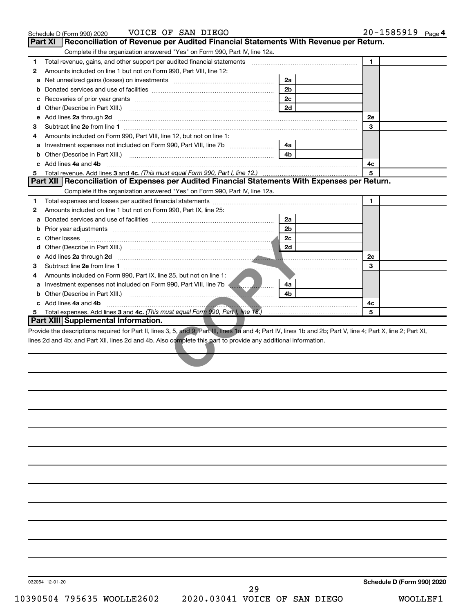|   | VOICE OF SAN DIEGO<br>Schedule D (Form 990) 2020                                                                                                                                                                                    |                | $20 - 1585919$ Page 4 |  |
|---|-------------------------------------------------------------------------------------------------------------------------------------------------------------------------------------------------------------------------------------|----------------|-----------------------|--|
|   | Reconciliation of Revenue per Audited Financial Statements With Revenue per Return.<br><b>Part XI</b>                                                                                                                               |                |                       |  |
|   | Complete if the organization answered "Yes" on Form 990, Part IV, line 12a.                                                                                                                                                         |                |                       |  |
| 1 | Total revenue, gains, and other support per audited financial statements [[[[[[[[[[[[[[[[[[[[[[[]]]]]]]]]]]]]                                                                                                                       |                | 1                     |  |
| 2 | Amounts included on line 1 but not on Form 990, Part VIII, line 12:                                                                                                                                                                 |                |                       |  |
| a |                                                                                                                                                                                                                                     | 2a             |                       |  |
| b |                                                                                                                                                                                                                                     | 2 <sub>b</sub> |                       |  |
| с |                                                                                                                                                                                                                                     | 2c             |                       |  |
| d |                                                                                                                                                                                                                                     | 2d             |                       |  |
| e | Add lines 2a through 2d                                                                                                                                                                                                             |                | 2е                    |  |
| З |                                                                                                                                                                                                                                     |                | 3                     |  |
| 4 | Amounts included on Form 990, Part VIII, line 12, but not on line 1:                                                                                                                                                                |                |                       |  |
| а |                                                                                                                                                                                                                                     | 4a             |                       |  |
| b |                                                                                                                                                                                                                                     | 4 <sub>h</sub> |                       |  |
|   | Add lines 4a and 4b                                                                                                                                                                                                                 |                | 4с                    |  |
| 5 |                                                                                                                                                                                                                                     |                | 5                     |  |
|   | Part XII   Reconciliation of Expenses per Audited Financial Statements With Expenses per Return.                                                                                                                                    |                |                       |  |
|   | Complete if the organization answered "Yes" on Form 990, Part IV, line 12a.                                                                                                                                                         |                |                       |  |
| 1 |                                                                                                                                                                                                                                     |                | $\blacksquare$        |  |
| 2 | Amounts included on line 1 but not on Form 990, Part IX, line 25:                                                                                                                                                                   |                |                       |  |
| a |                                                                                                                                                                                                                                     | 2a             |                       |  |
| b |                                                                                                                                                                                                                                     | 2 <sub>b</sub> |                       |  |
|   |                                                                                                                                                                                                                                     | 2c             |                       |  |
|   |                                                                                                                                                                                                                                     |                |                       |  |
|   | e Add lines 2a through 2d <b>must be a constructed as a constructed by the construction</b> of the construction of the construction of the construction of the construction of the construction of the construction of the construc |                | 2e                    |  |
| З |                                                                                                                                                                                                                                     |                | 3                     |  |
| 4 | Amounts included on Form 990, Part IX, line 25, but not on line 1:                                                                                                                                                                  |                |                       |  |
| a | Investment expenses not included on Form 990, Part VIII, line 7b <b>Allena, Marson</b> , 2001.                                                                                                                                      | 4a             |                       |  |
|   |                                                                                                                                                                                                                                     | 4b             |                       |  |
|   | c Add lines 4a and 4b                                                                                                                                                                                                               |                | 4с                    |  |
| 5 |                                                                                                                                                                                                                                     |                | 5                     |  |
|   | Part XIII Supplemental Information.                                                                                                                                                                                                 |                |                       |  |
|   | Provide the descriptions required for Part II, lines 3, 5, and 9; Part III, lines 1a and 4; Part IV, lines 1b and 2b; Part V, line 4; Part X, line 2; Part XI,                                                                      |                |                       |  |
|   | lines 2d and 4b; and Part XII, lines 2d and 4b. Also complete this part to provide any additional information.                                                                                                                      |                |                       |  |
|   |                                                                                                                                                                                                                                     |                |                       |  |
|   |                                                                                                                                                                                                                                     |                |                       |  |
|   |                                                                                                                                                                                                                                     |                |                       |  |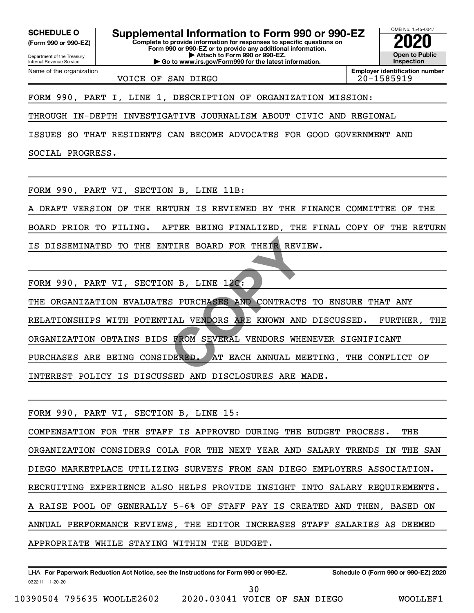**(Form 990 or 990-EZ)**

Name of the organization

**Complete to provide information for responses to specific questions on SCHEDULE O Supplemental Information to Form 990 or 990-EZ 2020**<br>(Form 990 or 990-EZ) Complete to provide information for responses to specific questions on

Department of the Treasury Internal Revenue Service **Form 990 or 990-EZ or to provide any additional information. | Attach to Form 990 or 990-EZ.**

**| Go to www.irs.gov/Form990 for the latest information.**

VOICE OF SAN DIEGO
and the contract of 20-1585919

**Inspection Employer identification number**

OMB No. 1545-0047

**Open to Public**

FORM 990, PART I, LINE 1, DESCRIPTION OF ORGANIZATION MISSION:

THROUGH IN-DEPTH INVESTIGATIVE JOURNALISM ABOUT CIVIC AND REGIONAL

ISSUES SO THAT RESIDENTS CAN BECOME ADVOCATES FOR GOOD GOVERNMENT AND

SOCIAL PROGRESS.

FORM 990, PART VI, SECTION B, LINE 11B:

A DRAFT VERSION OF THE RETURN IS REVIEWED BY THE FINANCE COMMITTEE OF THE

BOARD PRIOR TO FILING. AFTER BEING FINALIZED, THE FINAL COPY OF THE RETURN

IS DISSEMINATED TO THE ENTIRE BOARD FOR THEIR REVIEW.

FORM 990, PART VI, SECTION B, LINE 12C:

THE ORGANIZATION EVALUATES PURCHASES AND CONTRACTS TO ENSURE THAT ANY RELATIONSHIPS WITH POTENTIAL VENDORS ARE KNOWN AND DISCUSSED. FURTHER, THE ORGANIZATION OBTAINS BIDS FROM SEVERAL VENDORS WHENEVER SIGNIFICANT PURCHASES ARE BEING CONSIDERED. AT EACH ANNUAL MEETING, THE CONFLICT OF INTEREST POLICY IS DISCUSSED AND DISCLOSURES ARE MADE. TIRE BOARD FOR THEIR REVI<br>
N B, LINE 12C:<br>
S PURCHASES AND CONTRACTS<br>
IAL VENDORS ARE KNOWN AND<br>
FROM SEVERAL VENDORS WHE<br>
DERED. AT EACH ANNUAL ME

FORM 990, PART VI, SECTION B, LINE 15:

COMPENSATION FOR THE STAFF IS APPROVED DURING THE BUDGET PROCESS. THE ORGANIZATION CONSIDERS COLA FOR THE NEXT YEAR AND SALARY TRENDS IN THE SAN DIEGO MARKETPLACE UTILIZING SURVEYS FROM SAN DIEGO EMPLOYERS ASSOCIATION. RECRUITING EXPERIENCE ALSO HELPS PROVIDE INSIGHT INTO SALARY REQUIREMENTS. A RAISE POOL OF GENERALLY 5-6% OF STAFF PAY IS CREATED AND THEN, BASED ON ANNUAL PERFORMANCE REVIEWS, THE EDITOR INCREASES STAFF SALARIES AS DEEMED APPROPRIATE WHILE STAYING WITHIN THE BUDGET.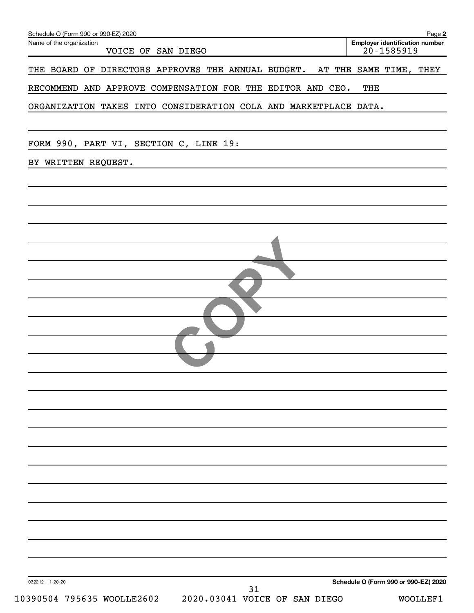| Name of the organization<br>VOICE OF SAN DIEGO                            | Employer identification number<br>20-1585919 |
|---------------------------------------------------------------------------|----------------------------------------------|
|                                                                           |                                              |
| THE BOARD OF DIRECTORS APPROVES THE ANNUAL BUDGET. AT THE SAME TIME, THEY |                                              |
| RECOMMEND AND APPROVE COMPENSATION FOR THE EDITOR AND CEO.                | THE                                          |
| ORGANIZATION TAKES INTO CONSIDERATION COLA AND MARKETPLACE DATA.          |                                              |
|                                                                           |                                              |
| FORM 990, PART VI, SECTION C, LINE 19:                                    |                                              |
|                                                                           |                                              |
| BY WRITTEN REQUEST.                                                       |                                              |
|                                                                           |                                              |
|                                                                           |                                              |
|                                                                           |                                              |
|                                                                           |                                              |
|                                                                           |                                              |
|                                                                           |                                              |
|                                                                           |                                              |
|                                                                           |                                              |
|                                                                           |                                              |
|                                                                           |                                              |
|                                                                           |                                              |
|                                                                           |                                              |
|                                                                           |                                              |
|                                                                           |                                              |
|                                                                           |                                              |
|                                                                           |                                              |
|                                                                           |                                              |
|                                                                           |                                              |
|                                                                           |                                              |
|                                                                           |                                              |
|                                                                           |                                              |
|                                                                           |                                              |
|                                                                           |                                              |
|                                                                           |                                              |
|                                                                           |                                              |
|                                                                           |                                              |
|                                                                           |                                              |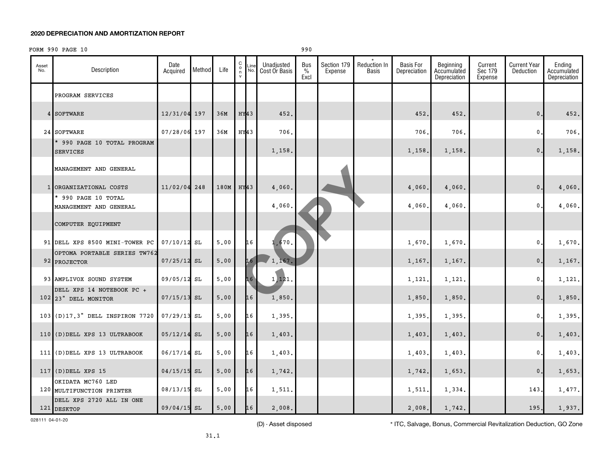FORM 990 PAGE 10 990

| Asset<br>No. | Description                                       | Date<br>Acquired | Method | Life                   | $\begin{matrix} 0 \\ 0 \\ n \end{matrix}$<br>$\mathsf{v}$ | Line<br>No. | Unadjusted<br>Cost Or Basis | Bus<br>$\%$<br>Excl | Section 179<br>Expense | Reduction In<br><b>Basis</b> | <b>Basis For</b><br>Depreciation | Beginning<br>Accumulated<br>Depreciation | Current<br>Sec 179<br>Expense | Current Year<br>Deduction | Ending<br>Accumulated<br>Depreciation |
|--------------|---------------------------------------------------|------------------|--------|------------------------|-----------------------------------------------------------|-------------|-----------------------------|---------------------|------------------------|------------------------------|----------------------------------|------------------------------------------|-------------------------------|---------------------------|---------------------------------------|
|              | PROGRAM SERVICES                                  |                  |        |                        |                                                           |             |                             |                     |                        |                              |                                  |                                          |                               |                           |                                       |
|              | 4 SOFTWARE                                        | 12/31/04 197     |        | 36M                    | HY <sub>43</sub>                                          |             | 452.                        |                     |                        |                              | 452.                             | 452.                                     |                               | $\mathbf{0}$ .            | 452.                                  |
|              | 24 SOFTWARE                                       | 07/28/06 197     |        | 36M                    | HY43                                                      |             | 706.                        |                     |                        |                              | 706                              | 706.                                     |                               | $\mathbf 0$ .             | 706.                                  |
|              | * 990 PAGE 10 TOTAL PROGRAM<br><b>SERVICES</b>    |                  |        |                        |                                                           |             | 1,158.                      |                     |                        |                              | 1,158.                           | 1,158.                                   |                               | $0$ .                     | 1,158.                                |
|              | MANAGEMENT AND GENERAL                            |                  |        |                        |                                                           |             |                             |                     |                        |                              |                                  |                                          |                               |                           |                                       |
|              | 1 ORGANIZATIONAL COSTS                            | 11/02/04 248     |        | 180M                   | $HY$ 43                                                   |             | 4,060.                      |                     |                        |                              | 4,060                            | 4,060.                                   |                               | $\mathsf{0}$ .            | 4,060.                                |
|              | * 990 PAGE 10 TOTAL<br>MANAGEMENT AND GENERAL     |                  |        |                        |                                                           |             | 4,060                       |                     |                        |                              | 4,060                            | 4,060.                                   |                               | $\mathbf{0}$ .            | 4,060.                                |
|              | COMPUTER EQUIPMENT                                |                  |        |                        |                                                           |             |                             |                     |                        |                              |                                  |                                          |                               |                           |                                       |
|              | 91 DELL XPS 8500 MINI-TOWER PC                    | $07/10/12$ SL    |        | 5.00                   |                                                           | 16          | 1,670.                      |                     |                        |                              | 1,670                            | 1,670.                                   |                               | $\mathbf{0}$ .            | 1,670.                                |
|              | OPTOMA PORTABLE SERIES TW762<br>92 PROJECTOR      | $07/25/12$ SL    |        | 5.00                   |                                                           | 16          | 1,167.                      |                     |                        |                              | 1,167.                           | 1,167.                                   |                               | $\mathbf{0}$ .            | 1,167.                                |
|              | 93 AMPLIVOX SOUND SYSTEM                          | 09/05/12 SL      |        | ${\bf 5}$ , ${\bf 00}$ |                                                           | 16          | 1,121.                      |                     |                        |                              | 1,121.                           | 1,121.                                   |                               | $\mathbf{0}$ .            | 1,121.                                |
|              | DELL XPS 14 NOTEBOOK PC +<br>102 23" DELL MONITOR | $07/15/13$ SL    |        | 5.00                   |                                                           | 16          | 1,850.                      |                     |                        |                              | 1,850.                           | 1,850.                                   |                               | $\mathsf{0}$ .            | 1,850.                                |
|              | 103 (D)17.3" DELL INSPIRON 7720                   | 07/29/13 SL      |        | 5.00                   |                                                           | 16          | 1,395.                      |                     |                        |                              | 1,395.                           | 1,395.                                   |                               | $\mathbf{0}$ .            | 1,395.                                |
|              | 110 (D) DELL XPS 13 ULTRABOOK                     | $05/12/14$ SL    |        | 5.00                   |                                                           | 16          | 1,403.                      |                     |                        |                              | 1,403                            | 1,403.                                   |                               | $\mathbf{0}$ .            | 1,403.                                |
|              | 111 (D) DELL XPS 13 ULTRABOOK                     | 06/17/14         | SL     | 5.00                   |                                                           | 16          | 1,403.                      |                     |                        |                              | 1,403                            | 1,403.                                   |                               | $\mathbf{0}$ .            | 1,403.                                |
|              | $117$ (D) DELL XPS 15                             | $04/15/15$ SL    |        | 5,00                   |                                                           | 16          | 1,742.                      |                     |                        |                              | 1,742                            | 1,653.                                   |                               | $\mathbf{0}$ .            | 1,653.                                |
|              | OKIDATA MC760 LED<br>120 MULTIFUNCTION PRINTER    | 08/13/15 SL      |        | 5.00                   |                                                           | 16          | 1,511.                      |                     |                        |                              | 1,511.                           | 1,334.                                   |                               | 143.                      | 1,477.                                |
|              | DELL XPS 2720 ALL IN ONE<br>121 DESKTOP           | 09/04/15 SL      |        | 5.00                   |                                                           | 16          | 2,008.                      |                     |                        |                              | 2,008.                           | 1,742.                                   |                               | 195.                      | 1,937.                                |

028111 04-01-20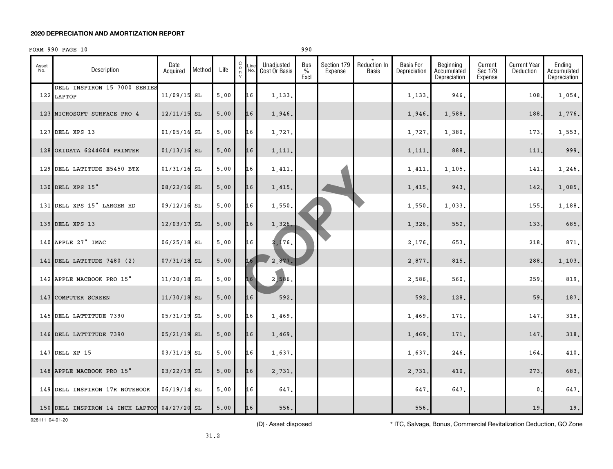## FORM 990 PAGE 10 990

| Asset<br>No. | Description                                  | Date<br>Acquired | Method | Life | $\begin{matrix} 0 \\ 0 \\ n \end{matrix}$ | Line<br>No. | Unadjusted<br>Cost Or Basis | Bus<br>$\%$<br>Excl | Section 179<br>Expense | Reduction In<br>Basis | <b>Basis For</b><br>Depreciation | Beginning<br>Accumulated<br>Depreciation | Current<br>Sec 179<br>Expense | <b>Current Year</b><br>Deduction | Ending<br>Accumulated<br>Depreciation |
|--------------|----------------------------------------------|------------------|--------|------|-------------------------------------------|-------------|-----------------------------|---------------------|------------------------|-----------------------|----------------------------------|------------------------------------------|-------------------------------|----------------------------------|---------------------------------------|
|              | DELL INSPIRON 15 7000 SERIES<br>122 LAPTOP   | $11/09/15$ SL    |        | 5.00 |                                           | 16          | 1,133.                      |                     |                        |                       | 1,133                            | 946.                                     |                               | 108                              | 1,054.                                |
|              | 123 MICROSOFT SURFACE PRO 4                  | $12/11/15$ SL    |        | 5.00 |                                           | 16          | 1,946.                      |                     |                        |                       | 1,946,                           | 1,588.                                   |                               | 188.                             | 1,776.                                |
|              | 127 DELL XPS 13                              | $01/05/16$ SL    |        | 5.00 |                                           | 16          | 1,727.                      |                     |                        |                       | 1,727                            | 1,380.                                   |                               | 173                              | 1,553.                                |
|              | 128 OKIDATA 6244604 PRINTER                  | $01/13/16$ SL    |        | 5,00 |                                           | 16          | 1,111.                      |                     |                        |                       | 1,111                            | 888.                                     |                               | 111                              | 999.                                  |
|              | 129 DELL LATITUDE E5450 BTX                  | $01/31/16$ SL    |        | 5,00 |                                           | 16          | 1,411.                      |                     |                        |                       | 1,411                            | 1,105.                                   |                               | 141                              | 1,246.                                |
|              | 130 DELL XPS 15"                             | $08/22/16$ SL    |        | 5.00 |                                           | 16          | 1,415.                      |                     |                        |                       | 1,415                            | 943.                                     |                               | 142.                             | 1,085.                                |
|              | 131 DELL XPS 15" LARGER HD                   | $09/12/16$ SL    |        | 5,00 |                                           | 16          | 1,550.                      |                     |                        |                       | 1,550                            | 1,033.                                   |                               | 155,                             | 1,188.                                |
|              | 139 DELL XPS 13                              | $12/03/17$ SL    |        | 5.00 |                                           | 16          | 1,326.                      |                     |                        |                       | 1,326.                           | 552.                                     |                               | 133                              | 685.                                  |
|              | 140 APPLE 27" IMAC                           | $06/25/18$ SL    |        | 5,00 |                                           | 16          | 2,176.                      |                     |                        |                       | 2,176                            | 653.                                     |                               | 218                              | 871.                                  |
|              | 141 DELL LATITUDE 7480 (2)                   | $07/31/18$ SL    |        | 5.00 |                                           | 16          | 2,877.                      |                     |                        |                       | 2,877                            | 815.                                     |                               | 288                              | 1,103.                                |
|              | 142 APPLE MACBOOK PRO 15"                    | $11/30/18$ SL    |        | 5,00 |                                           | 16          | 2,586.                      |                     |                        |                       | 2,586                            | 560.                                     |                               | 259                              | 819.                                  |
|              | 143 COMPUTER SCREEN                          | $11/30/18$ SL    |        | 5,00 |                                           | 16          | 592.                        |                     |                        |                       | 592                              | 128.                                     |                               | 59                               | 187.                                  |
|              | 145 DELL LATTITUDE 7390                      | 05/31/19 SL      |        | 5.00 |                                           | 16          | 1,469.                      |                     |                        |                       | 1,469                            | 171.                                     |                               | 147                              | 318.                                  |
|              | 146 DELL LATTITUDE 7390                      | $05/21/19$ SL    |        | 5.00 |                                           | 16          | 1,469.                      |                     |                        |                       | 1,469                            | 171.                                     |                               | 147                              | 318.                                  |
|              | 147 DELL XP 15                               | 03/31/19 SL      |        | 5,00 |                                           | 16          | 1,637.                      |                     |                        |                       | 1,637                            | 246.                                     |                               | 164                              | 410.                                  |
|              | 148 APPLE MACBOOK PRO 15"                    | $03/22/19$ SL    |        | 5.00 |                                           | 16          | 2,731.                      |                     |                        |                       | 2,731.                           | 410.                                     |                               | 273                              | 683.                                  |
|              | 149 DELL INSPIRON 17R NOTEBOOK               | $06/19/14$ SL    |        | 5,00 |                                           | 16          | 647.                        |                     |                        |                       | 647                              | 647.                                     |                               | 0                                | 647.                                  |
|              | 150 DELL INSPIRON 14 INCH LAPTOP 04/27/20 SL |                  |        | 5,00 |                                           | 16          | 556.                        |                     |                        |                       | 556.                             |                                          |                               | 19.                              | 19.                                   |

028111 04-01-20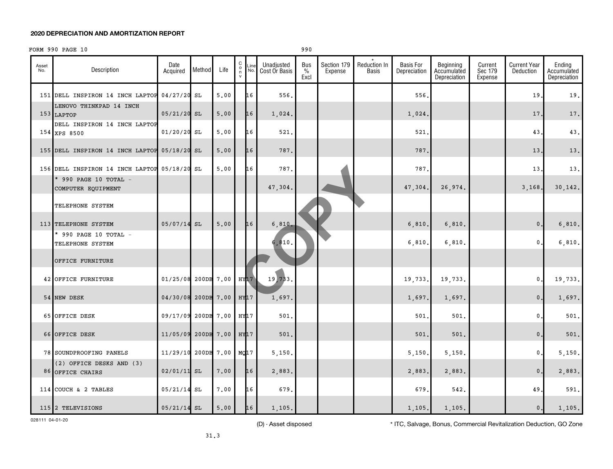## FORM 990 PAGE 10 990

| Asset<br>No. | Description                                  | Date<br>Acquired    | Method     | Life       | $\begin{matrix} C \\ 0 \\ n \end{matrix}$<br>$\mathsf{v}$ | Line<br>No. | Unadjusted<br>Cost Or Basis | Bus<br>$\%$<br>Excl | Section 179<br>Expense | Reduction In<br>Basis | <b>Basis For</b><br>Depreciation | Beginning<br>Accumulated<br>Depreciation | Current<br>Sec 179<br>Expense | <b>Current Year</b><br>Deduction | Ending<br>Accumulated<br>Depreciation |
|--------------|----------------------------------------------|---------------------|------------|------------|-----------------------------------------------------------|-------------|-----------------------------|---------------------|------------------------|-----------------------|----------------------------------|------------------------------------------|-------------------------------|----------------------------------|---------------------------------------|
|              | 151 DELL INSPIRON 14 INCH LAPTOP             | $04/27/20$ SL       |            | 5,00       |                                                           | 16          | 556.                        |                     |                        |                       | 556                              |                                          |                               | 19                               | 19.                                   |
|              | LENOVO THINKPAD 14 INCH<br>153 LAPTOP        | $05/21/20$ SL       |            | 5.00       |                                                           | 16          | 1,024.                      |                     |                        |                       | 1,024.                           |                                          |                               | 17                               | 17.                                   |
|              | DELL INSPIRON 14 INCH LAPTOP<br>154 XPS 8500 | $01/20/20$ SL       |            | 5.00       |                                                           | 16          | 521,                        |                     |                        |                       | 521                              |                                          |                               | 43                               | 43.                                   |
|              | 155 DELL INSPIRON 14 INCH LAPTOP 05/18/20 SL |                     |            | 5.00       |                                                           | 16          | 787.                        |                     |                        |                       | 787                              |                                          |                               | 13                               | 13.                                   |
|              | 156 DELL INSPIRON 14 INCH LAPTOP 05/18/20 SL |                     |            | 5,00       |                                                           | 16          | 787.                        |                     |                        |                       | 787.                             |                                          |                               | 13                               | 13.                                   |
|              | * 990 PAGE 10 TOTAL -<br>COMPUTER EQUIPMENT  |                     |            |            |                                                           |             | 47,304.                     |                     |                        |                       | 47,304                           | 26,974.                                  |                               | 3,168.                           | 30, 142.                              |
|              | TELEPHONE SYSTEM                             |                     |            |            |                                                           |             |                             |                     |                        |                       |                                  |                                          |                               |                                  |                                       |
|              | 113 TELEPHONE SYSTEM                         | $05/07/14$ SL       |            | 5.00       |                                                           | 16          | 6,810                       |                     |                        |                       | 6,810                            | 6,810.                                   |                               | $\mathbf{0}$ .                   | 6,810.                                |
|              | * 990 PAGE 10 TOTAL -<br>TELEPHONE SYSTEM    |                     |            |            |                                                           |             | 6,810.                      |                     |                        |                       | 6,810                            | 6,810.                                   |                               | $\mathbf{0}$                     | 6,810.                                |
|              | OFFICE FURNITURE                             |                     |            |            |                                                           |             |                             |                     |                        |                       |                                  |                                          |                               |                                  |                                       |
|              | 42 OFFICE FURNITURE                          | 01/25/08 200DB 7.00 |            |            | HY <sub>17</sub>                                          |             | 19,733.                     |                     |                        |                       | 19,733                           | 19,733.                                  |                               | $\mathbf{0}$                     | 19,733.                               |
|              | 54 NEW DESK                                  | 04/30/08 200DB 7.00 |            |            | $HY$ 17                                                   |             | 1,697.                      |                     |                        |                       | 1,697                            | 1,697.                                   |                               | $\mathbf{0}$                     | 1,697.                                |
|              | 65 OFFICE DESK                               | 09/17/09 200DB 7.00 |            |            | HY17                                                      |             | 501.                        |                     |                        |                       | 501                              | 501.                                     |                               | $\mathbf{0}$                     | 501.                                  |
|              | 66 OFFICE DESK                               | 11/05/09            |            | 200DB 7.00 | HY17                                                      |             | 501.                        |                     |                        |                       | 501.                             | 501.                                     |                               | $\mathbf{0}$                     | 501.                                  |
|              | 78 SOUNDPROOFING PANELS                      | 11/29/10            | 200DB 7.00 |            | MQ17                                                      |             | 5,150.                      |                     |                        |                       | 5,150                            | 5,150.                                   |                               | $\mathbf 0$ .                    | 5,150.                                |
|              | (2) OFFICE DESKS AND (3)<br>86 OFFICE CHAIRS | $02/01/11$ SL       |            | 7.00       |                                                           | 16          | 2,883.                      |                     |                        |                       | 2,883                            | 2,883.                                   |                               | $\mathbf{0}$                     | 2,883.                                |
|              | 114 COUCH & 2 TABLES                         | $05/21/14$ SL       |            | 7.00       |                                                           | 16          | 679.                        |                     |                        |                       | 679                              | 542.                                     |                               | 49                               | 591.                                  |
|              | 115 2 TELEVISIONS                            | $05/21/14$ SL       |            | 5.00       |                                                           | 16          | 1,105.                      |                     |                        |                       | 1,105.                           | 1,105.                                   |                               | $\mathbf{0}$ .                   | 1,105.                                |

028111 04-01-20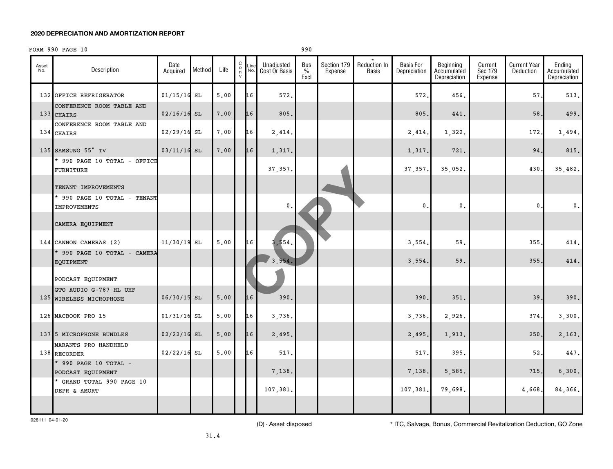## FORM 990 PAGE 10 990

| Asset<br>No. | Description                                       | Date<br>Acquired | Method | Life | $\begin{matrix} C \\ 0 \\ n \end{matrix}$<br>$\mathsf{v}$ | Line<br>No. | Unadjusted<br>Cost Or Basis | Bus<br>$\%$<br>Excl | Section 179<br>Expense | Reduction In<br><b>Basis</b> | <b>Basis For</b><br>Depreciation | Beginning<br>Accumulated<br>Depreciation | Current<br>Sec 179<br>Expense | <b>Current Year</b><br>Deduction | Ending<br>Accumulated<br>Depreciation |
|--------------|---------------------------------------------------|------------------|--------|------|-----------------------------------------------------------|-------------|-----------------------------|---------------------|------------------------|------------------------------|----------------------------------|------------------------------------------|-------------------------------|----------------------------------|---------------------------------------|
|              | 132 OFFICE REFRIGERATOR                           | $01/15/16$ SL    |        | 5.00 |                                                           | 16          | 572.                        |                     |                        |                              | 572.                             | 456.                                     |                               | 57.                              | 513.                                  |
|              | CONFERENCE ROOM TABLE AND<br>133 CHAIRS           | $02/16/16$ SL    |        | 7.00 |                                                           | 16          | 805.                        |                     |                        |                              | 805                              | 441.                                     |                               | 58                               | 499.                                  |
|              | CONFERENCE ROOM TABLE AND<br>134 CHAIRS           | $02/29/16$ SL    |        | 7.00 |                                                           | 16          | 2,414.                      |                     |                        |                              | 2,414                            | 1,322.                                   |                               | 172.                             | 1,494.                                |
|              | 135 SAMSUNG 55" TV                                | $03/11/16$ SL    |        | 7.00 |                                                           | 16          | 1,317.                      |                     |                        |                              | 1,317                            | 721.                                     |                               | 94.                              | 815.                                  |
|              | * 990 PAGE 10 TOTAL - OFFICE<br>FURNITURE         |                  |        |      |                                                           |             | 37, 357.                    |                     |                        |                              | 37, 357.                         | 35,052.                                  |                               | 430.                             | 35,482.                               |
|              | TENANT IMPROVEMENTS                               |                  |        |      |                                                           |             |                             |                     |                        |                              |                                  |                                          |                               |                                  |                                       |
|              | * 990 PAGE 10 TOTAL - TENANT<br>IMPROVEMENTS      |                  |        |      |                                                           |             | $\mathbf{0}$ .              |                     |                        |                              | $\mathbf{0}$ .                   | $\mathbf{0}$ .                           |                               | $\mathbf{0}$                     | $\mathbf{0}$ .                        |
|              | CAMERA EQUIPMENT                                  |                  |        |      |                                                           |             |                             |                     |                        |                              |                                  |                                          |                               |                                  |                                       |
|              | 144 CANNON CAMERAS (2)                            | 11/30/19         | SL     | 5.00 |                                                           | 16          | 3,554                       |                     |                        |                              | 3,554                            | 59.                                      |                               | 355                              | 414.                                  |
|              | * 990 PAGE 10 TOTAL - CAMERA<br><b>EQUIPMENT</b>  |                  |        |      |                                                           |             | 3.554.                      |                     |                        |                              | 3,554                            | 59.                                      |                               | 355                              | 414.                                  |
|              | PODCAST EQUIPMENT                                 |                  |        |      |                                                           |             |                             |                     |                        |                              |                                  |                                          |                               |                                  |                                       |
|              | GTO AUDIO G-787 HL UHF<br>125 WIRELESS MICROPHONE | 06/30/15 SL      |        | 5.00 |                                                           | 16          | 390.                        |                     |                        |                              | 390                              | 351.                                     |                               | 39                               | 390.                                  |
|              | 126 MACBOOK PRO 15                                | $01/31/16$ SL    |        | 5.00 |                                                           | 16          | 3,736.                      |                     |                        |                              | 3,736.                           | 2,926.                                   |                               | 374.                             | 3,300.                                |
|              | 137 5 MICROPHONE BUNDLES                          | $02/22/16$ SL    |        | 5.00 |                                                           | 16          | 2,495.                      |                     |                        |                              | 2,495                            | 1,913.                                   |                               | 250.                             | 2,163.                                |
|              | MARANTS PRO HANDHELD<br>138 RECORDER              | 02/22/16         | SL     | 5.00 |                                                           | 16          | 517.                        |                     |                        |                              | 517                              | 395.                                     |                               | 52                               | 447.                                  |
|              | * 990 PAGE 10 TOTAL -<br>PODCAST EQUIPMENT        |                  |        |      |                                                           |             | 7,138.                      |                     |                        |                              | 7,138                            | 5,585.                                   |                               | 715.                             | 6,300.                                |
|              | * GRAND TOTAL 990 PAGE 10<br>DEPR & AMORT         |                  |        |      |                                                           |             | 107,381.                    |                     |                        |                              | 107,381,                         | 79,698.                                  |                               | 4,668,                           | 84,366.                               |
|              |                                                   |                  |        |      |                                                           |             |                             |                     |                        |                              |                                  |                                          |                               |                                  |                                       |

028111 04-01-20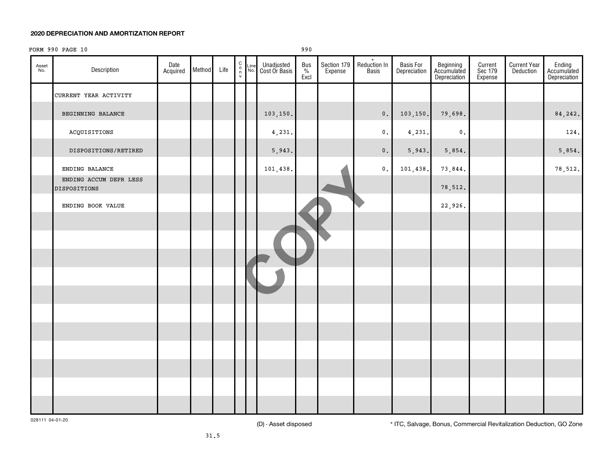## FORM 990 PAGE 10 990

| Asset<br>No. | Description                            | Date<br>Acquired | Method | Life | $\begin{matrix} 0 \\ 0 \\ n \end{matrix}$ | $\frac{\text{Line}}{\text{No.}}$ | Unadjusted<br>Cost Or Basis | Bus<br>%<br>Excl | Section 179<br>Expense | $\star$<br>Reduction In<br>Basis | Basis For<br>Depreciation | Beginning<br>Accumulated<br>Depreciation | Current<br>Sec 179<br>Expense | <b>Current Year</b><br>Deduction | Ending<br>Accumulated<br>Depreciation |
|--------------|----------------------------------------|------------------|--------|------|-------------------------------------------|----------------------------------|-----------------------------|------------------|------------------------|----------------------------------|---------------------------|------------------------------------------|-------------------------------|----------------------------------|---------------------------------------|
|              | CURRENT YEAR ACTIVITY                  |                  |        |      |                                           |                                  |                             |                  |                        |                                  |                           |                                          |                               |                                  |                                       |
|              | BEGINNING BALANCE                      |                  |        |      |                                           |                                  | 103,150.                    |                  |                        | $\mathbf 0$ .                    | 103,150.                  | 79,698.                                  |                               |                                  | 84,242.                               |
|              | ACQUISITIONS                           |                  |        |      |                                           |                                  | 4,231.                      |                  |                        | $\mathfrak o$ .                  | 4,231.                    | $\mathfrak o$ .                          |                               |                                  | 124.                                  |
|              | DISPOSITIONS/RETIRED                   |                  |        |      |                                           |                                  | 5,943.                      |                  |                        | $\mathbf 0$ .                    | 5,943.                    | 5,854.                                   |                               |                                  | 5,854.                                |
|              | ENDING BALANCE                         |                  |        |      |                                           |                                  | 101,438.                    |                  |                        | $\mathbf 0$ .                    | 101,438.                  | 73,844.                                  |                               |                                  | 78,512.                               |
|              | ENDING ACCUM DEPR LESS<br>DISPOSITIONS |                  |        |      |                                           |                                  |                             |                  |                        |                                  |                           | 78,512.                                  |                               |                                  |                                       |
|              | ENDING BOOK VALUE                      |                  |        |      |                                           |                                  |                             |                  |                        |                                  |                           | 22,926.                                  |                               |                                  |                                       |
|              |                                        |                  |        |      |                                           |                                  |                             |                  |                        |                                  |                           |                                          |                               |                                  |                                       |
|              |                                        |                  |        |      |                                           |                                  |                             |                  |                        |                                  |                           |                                          |                               |                                  |                                       |
|              |                                        |                  |        |      |                                           |                                  |                             |                  |                        |                                  |                           |                                          |                               |                                  |                                       |
|              |                                        |                  |        |      |                                           |                                  |                             |                  |                        |                                  |                           |                                          |                               |                                  |                                       |
|              |                                        |                  |        |      |                                           |                                  |                             |                  |                        |                                  |                           |                                          |                               |                                  |                                       |
|              |                                        |                  |        |      |                                           |                                  |                             |                  |                        |                                  |                           |                                          |                               |                                  |                                       |
|              |                                        |                  |        |      |                                           |                                  |                             |                  |                        |                                  |                           |                                          |                               |                                  |                                       |
|              |                                        |                  |        |      |                                           |                                  |                             |                  |                        |                                  |                           |                                          |                               |                                  |                                       |
|              |                                        |                  |        |      |                                           |                                  |                             |                  |                        |                                  |                           |                                          |                               |                                  |                                       |
|              |                                        |                  |        |      |                                           |                                  |                             |                  |                        |                                  |                           |                                          |                               |                                  |                                       |
|              |                                        |                  |        |      |                                           |                                  |                             |                  |                        |                                  |                           |                                          |                               |                                  |                                       |

028111 04-01-20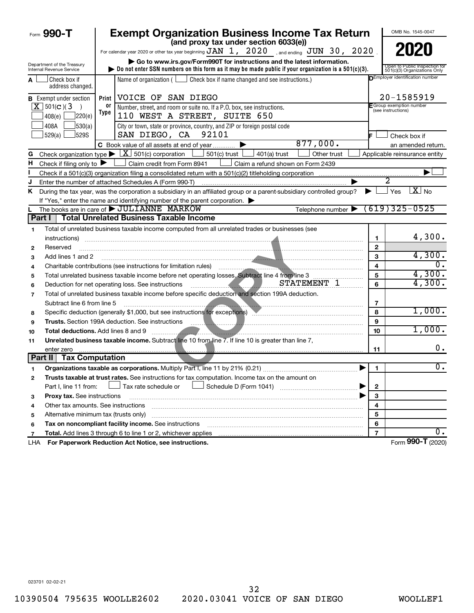|              | Form 990-T                                             |      | <b>Exempt Organization Business Income Tax Return</b><br>(and proxy tax under section 6033(e))                                                                                                                                                                                                                                                                                                 |                         | OMB No. 1545-0047                                             |
|--------------|--------------------------------------------------------|------|------------------------------------------------------------------------------------------------------------------------------------------------------------------------------------------------------------------------------------------------------------------------------------------------------------------------------------------------------------------------------------------------|-------------------------|---------------------------------------------------------------|
|              |                                                        |      | For calendar year 2020 or other tax year beginning $JAN$ $1$ , $2020$ , and ending $JUN$ $30$ , $2020$                                                                                                                                                                                                                                                                                         |                         | 2020                                                          |
|              |                                                        |      |                                                                                                                                                                                                                                                                                                                                                                                                |                         |                                                               |
|              | Department of the Treasury<br>Internal Revenue Service |      | Go to www.irs.gov/Form990T for instructions and the latest information.<br>bo not enter SSN numbers on this form as it may be made public if your organization is a $501(c)(3)$ .                                                                                                                                                                                                              |                         | Open to Public Inspection for<br>501(c)(3) Organizations Only |
| A            | l Check box if                                         |      | Name of organization ( $\Box$ Check box if name changed and see instructions.)                                                                                                                                                                                                                                                                                                                 |                         | <b>DEmployer identification number</b>                        |
|              | address changed.                                       |      |                                                                                                                                                                                                                                                                                                                                                                                                |                         |                                                               |
|              | <b>B</b> Exempt under section                          |      | Print   VOICE OF SAN DIEGO                                                                                                                                                                                                                                                                                                                                                                     |                         | 20-1585919                                                    |
|              | $\overline{X}$ 501(c)(3)<br>$\rightarrow$              | 0ľ   | Number, street, and room or suite no. If a P.O. box, see instructions.                                                                                                                                                                                                                                                                                                                         |                         | F Group exemption number<br>(see instructions)                |
|              | 220(e)<br>408(e)                                       | Type | 110 WEST A STREET, SUITE 650                                                                                                                                                                                                                                                                                                                                                                   |                         |                                                               |
|              | 408A<br>530(a)                                         |      | City or town, state or province, country, and ZIP or foreign postal code                                                                                                                                                                                                                                                                                                                       |                         |                                                               |
|              | 529(a)<br>J529S                                        |      | SAN DIEGO, CA 92101                                                                                                                                                                                                                                                                                                                                                                            | IF.                     | Check box if                                                  |
|              |                                                        |      | 877,000.<br>C Book value of all assets at end of year                                                                                                                                                                                                                                                                                                                                          |                         | an amended return.                                            |
| G            |                                                        |      | Check organization type $\blacktriangleright$ $\lfloor \underline{X} \rfloor$ 501(c) corporation $\lfloor \underline{\hspace{.1cm}} \rfloor$<br>501(c) trust $\lfloor$<br>Other trust<br>$401(a)$ trust                                                                                                                                                                                        |                         | Applicable reinsurance entity                                 |
| н            | Check if filing only to $\blacktriangleright$          |      | Claim credit from Form 8941<br>Claim a refund shown on Form 2439                                                                                                                                                                                                                                                                                                                               |                         |                                                               |
|              |                                                        |      |                                                                                                                                                                                                                                                                                                                                                                                                |                         |                                                               |
| J            |                                                        |      | Enter the number of attached Schedules A (Form 990-T)                                                                                                                                                                                                                                                                                                                                          |                         |                                                               |
| Κ            |                                                        |      | During the tax year, was the corporation a subsidiary in an affiliated group or a parent-subsidiary controlled group?                                                                                                                                                                                                                                                                          | ▶                       | $\overline{X}$ No<br>Yes                                      |
|              |                                                        |      | If "Yes," enter the name and identifying number of the parent corporation.                                                                                                                                                                                                                                                                                                                     |                         |                                                               |
|              |                                                        |      | Telephone number $\triangleright$ (619) 325-0525<br>The books are in care of <b>&gt; JULIANNE</b> MARKOW<br>Part I   Total Unrelated Business Taxable Income                                                                                                                                                                                                                                   |                         |                                                               |
|              |                                                        |      |                                                                                                                                                                                                                                                                                                                                                                                                |                         |                                                               |
| 1            |                                                        |      | Total of unrelated business taxable income computed from all unrelated trades or businesses (see                                                                                                                                                                                                                                                                                               |                         | 4,300.                                                        |
|              | instructions)                                          |      |                                                                                                                                                                                                                                                                                                                                                                                                | 1                       |                                                               |
| $\mathbf{2}$ | Reserved                                               |      |                                                                                                                                                                                                                                                                                                                                                                                                | $\mathbf{2}$<br>3       | 4,300.                                                        |
| 3            | Add lines 1 and 2                                      |      |                                                                                                                                                                                                                                                                                                                                                                                                | $\overline{\mathbf{4}}$ | 0.                                                            |
| 4            |                                                        |      | Charitable contributions (see instructions for limitation rules)                                                                                                                                                                                                                                                                                                                               | 5                       | 4,300.                                                        |
| 5            |                                                        |      | Total unrelated business taxable income before net operating losses. Subtract line 4 from line 3<br>STATEMENT 1                                                                                                                                                                                                                                                                                | 6                       | 4,300.                                                        |
| 6            |                                                        |      | <u> El Branche de la Branche de la Branche de la Branche de la Branche de la Branche de la Branche de la Branche de la Branche de la Branche de la Branche de la Branche de la Branche de la Branche de la Branche de la Branche</u><br>Deduction for net operating loss. See instructions<br>Total of unrelated business taxable income before specific deduction and section 199A deduction. |                         |                                                               |
| 7            | Subtract line 6 from line 5                            |      |                                                                                                                                                                                                                                                                                                                                                                                                | 7                       |                                                               |
| 8            |                                                        |      | Specific deduction (generally \$1,000, but see instructions for exceptions) Marting Martin Martin Martin Martin                                                                                                                                                                                                                                                                                | 8                       | 1,000.                                                        |
| 9            |                                                        |      | <b>Trusts.</b> Section 199A deduction. See instructions                                                                                                                                                                                                                                                                                                                                        | 9                       |                                                               |
| 10           | <b>Total deductions.</b> Add lines 8 and 9             |      |                                                                                                                                                                                                                                                                                                                                                                                                | 10                      | 1,000.                                                        |
| 11           |                                                        |      | Unrelated business taxable income. Subtract line 10 from line 7. If line 10 is greater than line 7,                                                                                                                                                                                                                                                                                            |                         |                                                               |
|              | enter zero                                             |      |                                                                                                                                                                                                                                                                                                                                                                                                | 11                      | 0.                                                            |
|              | Part II   Tax Computation                              |      |                                                                                                                                                                                                                                                                                                                                                                                                |                         |                                                               |
|              |                                                        |      | Organizations taxable as corporations. Multiply Part I, line 11 by 21% (0.21)                                                                                                                                                                                                                                                                                                                  | $\mathbf{1}$            | 0.                                                            |
| 2            |                                                        |      | Trusts taxable at trust rates. See instructions for tax computation. Income tax on the amount on                                                                                                                                                                                                                                                                                               |                         |                                                               |
|              | Part I, line 11 from:                                  |      | Tax rate schedule or                                                                                                                                                                                                                                                                                                                                                                           | 2                       |                                                               |
| з            | Proxy tax. See instructions                            |      |                                                                                                                                                                                                                                                                                                                                                                                                | 3                       |                                                               |
| 4            | Other tax amounts. See instructions                    |      |                                                                                                                                                                                                                                                                                                                                                                                                | 4                       |                                                               |
| 5            | Alternative minimum tax (trusts only)                  |      |                                                                                                                                                                                                                                                                                                                                                                                                | 5                       |                                                               |
| 6            |                                                        |      | Tax on noncompliant facility income. See instructions                                                                                                                                                                                                                                                                                                                                          | 6                       |                                                               |
| 7            |                                                        |      | Total. Add lines 3 through 6 to line 1 or 2, whichever applies                                                                                                                                                                                                                                                                                                                                 | $\overline{\mathbf{r}}$ | 0.                                                            |
| LHA          |                                                        |      | For Paperwork Reduction Act Notice, see instructions.                                                                                                                                                                                                                                                                                                                                          |                         | Form 990-T (2020)                                             |

023701 02-02-21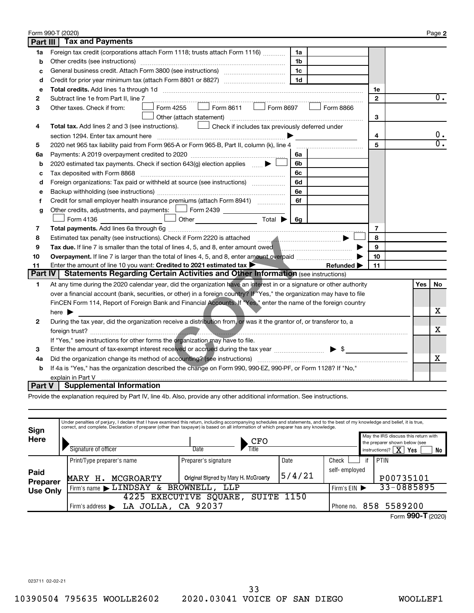|                 | Form 990-T (2020)                                                                                                       |                |     | Page 2           |
|-----------------|-------------------------------------------------------------------------------------------------------------------------|----------------|-----|------------------|
| <b>Part III</b> | <b>Tax and Payments</b>                                                                                                 |                |     |                  |
| 1a              | Foreign tax credit (corporations attach Form 1118; trusts attach Form 1116)<br>1a                                       |                |     |                  |
| b               | Other credits (see instructions)<br>1b                                                                                  |                |     |                  |
| c               | 1c                                                                                                                      |                |     |                  |
| d               | 1 <sub>d</sub>                                                                                                          |                |     |                  |
| e               |                                                                                                                         | 1e             |     |                  |
| 2               | Subtract line 1e from Part II, line 7                                                                                   | $\mathbf{2}$   |     | $0$ .            |
| з               | $\mathsf{Form}$ 8611 $\Box$ Form 8697<br>Form 4255<br>Form 8866<br>Other taxes. Check if from:                          |                |     |                  |
|                 | Other (attach statement)                                                                                                | 3              |     |                  |
| 4               | $\Box$ Check if includes tax previously deferred under<br>Total tax. Add lines 2 and 3 (see instructions).              |                |     |                  |
|                 | section 1294. Enter tax amount here                                                                                     | 4              |     | 0.               |
| 5               | 2020 net 965 tax liability paid from Form 965-A or Form 965-B, Part II, column (k), line 4                              | 5              |     | $\overline{0}$ . |
| 6a              | 6a                                                                                                                      |                |     |                  |
| b               | 2020 estimated tax payments. Check if section 643(g) election applies $\Box$<br>6b                                      |                |     |                  |
| c               | 6с                                                                                                                      |                |     |                  |
| d               | Foreign organizations: Tax paid or withheld at source (see instructions)<br>6d                                          |                |     |                  |
| e               | 6e                                                                                                                      |                |     |                  |
| f               | 6f<br>Credit for small employer health insurance premiums (attach Form 8941)                                            |                |     |                  |
| g               | Other credits, adjustments, and payments: $\Box$ Form 2439 $\Box$                                                       |                |     |                  |
|                 | Form 4136                                                                                                               |                |     |                  |
| 7               |                                                                                                                         | $\overline{7}$ |     |                  |
| 8               | Estimated tax penalty (see instructions). Check if Form 2220 is attached manufactured manufactured with the set         | 8              |     |                  |
| 9               | Tax due. If line 7 is smaller than the total of lines 4, 5, and 8, enter amount owed                                    | 9              |     |                  |
| 10              |                                                                                                                         | 10             |     |                  |
| 11              | Enter the amount of line 10 you want: Credited to 2021 estimated tax<br>Refunded $\blacktriangleright$                  | 11             |     |                  |
| <b>Part IV</b>  | <b>Statements Regarding Certain Activities and Other Information (see instructions)</b>                                 |                |     |                  |
| 1               | At any time during the 2020 calendar year, did the organization have an interest in or a signature or other authority   |                | Yes | No.              |
|                 | over a financial account (bank, securities, or other) in a foreign country? If "Yes," the organization may have to file |                |     |                  |
|                 | FinCEN Form 114, Report of Foreign Bank and Financial Accounts. If "Yes," enter the name of the foreign country         |                |     |                  |
|                 | here $\blacktriangleright$                                                                                              |                |     | x.               |
| 2               | During the tax year, did the organization receive a distribution from, or was it the grantor of, or transferor to, a    |                |     |                  |
|                 |                                                                                                                         |                |     | х                |
|                 | If "Yes," see instructions for other forms the organization may have to file.                                           |                |     |                  |
| 3               | Enter the amount of tax-exempt interest received or accrued during the tax year <i></i> > \$                            |                |     |                  |
| 4a              |                                                                                                                         |                |     | X                |
| b               | If 4a is "Yes," has the organization described the change on Form 990, 990-EZ, 990-PF, or Form 1128? If "No,"           |                |     |                  |
|                 | explain in Part V                                                                                                       |                |     |                  |
| Part V          | <b>Supplemental Information</b>                                                                                         |                |     |                  |

Provide the explanation required by Part IV, line 4b. Also, provide any other additional information. See instructions.

| Sign                    |                                                                       | Under penalties of perjury, I declare that I have examined this return, including accompanying schedules and statements, and to the best of my knowledge and belief, it is true,<br>correct, and complete. Declaration of preparer (other than taxpayer) is based on all information of which preparer has any knowledge. |               |            |           |                                                                                                                           |  |  |  |
|-------------------------|-----------------------------------------------------------------------|---------------------------------------------------------------------------------------------------------------------------------------------------------------------------------------------------------------------------------------------------------------------------------------------------------------------------|---------------|------------|-----------|---------------------------------------------------------------------------------------------------------------------------|--|--|--|
| Here                    | Signature of officer                                                  | CFO<br>$T$ itle<br>Date                                                                                                                                                                                                                                                                                                   |               |            |           | May the IRS discuss this return with<br>the preparer shown below (see<br>instructions)? $\boxed{\mathbf{X}}$<br>Yes<br>No |  |  |  |
|                         | Print/Type preparer's name                                            | Preparer's signature                                                                                                                                                                                                                                                                                                      | Date          | Check      |           | <b>PTIN</b>                                                                                                               |  |  |  |
| Paid<br><b>Preparer</b> | MCGROARTY<br><b>MARY</b><br>н.                                        | Original Signed by Mary H. McGroarty                                                                                                                                                                                                                                                                                      | self-employed |            | P00735101 |                                                                                                                           |  |  |  |
| <b>Use Only</b>         | BROWNELL,<br>Firm's name $\blacktriangleright$ $\text{LINDSAY}$<br>&. | Firm's $EIN$                                                                                                                                                                                                                                                                                                              |               | 33-0885895 |           |                                                                                                                           |  |  |  |
|                         |                                                                       | 1150<br>4225 EXECUTIVE<br>SQUARE<br>SUITE                                                                                                                                                                                                                                                                                 |               |            |           |                                                                                                                           |  |  |  |
|                         | Firm's address $\blacktriangleright$                                  | LA JOLLA, CA 92037                                                                                                                                                                                                                                                                                                        |               |            |           |                                                                                                                           |  |  |  |
|                         | . Phone no.                                                           |                                                                                                                                                                                                                                                                                                                           |               |            |           | 858 5589200<br>$\sim$ $\sim$                                                                                              |  |  |  |

Form 990-T (2020)

023711 02-02-21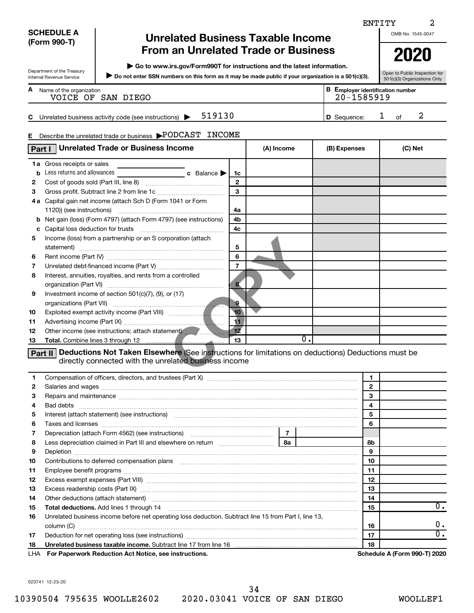|        |                                      |                                                                                                                                                                                                                                |                         |                |                |              | ENTITY       | 2                                       |
|--------|--------------------------------------|--------------------------------------------------------------------------------------------------------------------------------------------------------------------------------------------------------------------------------|-------------------------|----------------|----------------|--------------|--------------|-----------------------------------------|
|        | <b>SCHEDULE A</b>                    |                                                                                                                                                                                                                                |                         |                |                |              |              | OMB No. 1545-0047                       |
|        | (Form 990-T)                         | <b>Unrelated Business Taxable Income</b>                                                                                                                                                                                       |                         |                |                |              |              |                                         |
|        |                                      | <b>From an Unrelated Trade or Business</b>                                                                                                                                                                                     |                         |                |                |              |              | 2020                                    |
|        |                                      | Go to www.irs.gov/Form990T for instructions and the latest information.                                                                                                                                                        |                         |                |                |              |              |                                         |
|        | Department of the Treasury           | Do not enter SSN numbers on this form as it may be made public if your organization is a 501(c)(3).                                                                                                                            |                         |                |                |              |              | Open to Public Inspection for           |
|        | Internal Revenue Service             |                                                                                                                                                                                                                                |                         |                |                |              |              | 501(c)(3) Organizations Only            |
|        | <b>A</b> Name of the organization    | VOICE OF SAN DIEGO                                                                                                                                                                                                             |                         |                |                | 20-1585919   |              | <b>B</b> Employer identification number |
|        |                                      |                                                                                                                                                                                                                                |                         |                |                |              |              |                                         |
|        |                                      | 519130<br>C Unrelated business activity code (see instructions) $\blacktriangleright$                                                                                                                                          |                         |                |                | D Sequence:  |              | 2<br>1<br>of                            |
|        |                                      |                                                                                                                                                                                                                                |                         |                |                |              |              |                                         |
| Е.     |                                      | Describe the unrelated trade or business >PODCAST INCOME                                                                                                                                                                       |                         |                |                |              |              |                                         |
|        |                                      | Unrelated Trade or Business Income                                                                                                                                                                                             |                         | (A) Income     |                |              |              | (C) Net                                 |
| Part I |                                      |                                                                                                                                                                                                                                |                         |                |                | (B) Expenses |              |                                         |
|        | 1a Gross receipts or sales           |                                                                                                                                                                                                                                |                         |                |                |              |              |                                         |
|        | <b>b</b> Less returns and allowances | <b>c</b> Balance                                                                                                                                                                                                               | 1c                      |                |                |              |              |                                         |
| 2      |                                      |                                                                                                                                                                                                                                | $\mathbf{2}$            |                |                |              |              |                                         |
| З      |                                      |                                                                                                                                                                                                                                | 3                       |                |                |              |              |                                         |
|        |                                      | 4a Capital gain net income (attach Sch D (Form 1041 or Form                                                                                                                                                                    |                         |                |                |              |              |                                         |
|        |                                      |                                                                                                                                                                                                                                | 4a                      |                |                |              |              |                                         |
|        |                                      | <b>b</b> Net gain (loss) (Form 4797) (attach Form 4797) (see instructions)                                                                                                                                                     | 4b                      |                |                |              |              |                                         |
|        |                                      |                                                                                                                                                                                                                                | 4c                      |                |                |              |              |                                         |
| 5      |                                      | Income (loss) from a partnership or an S corporation (attach                                                                                                                                                                   |                         |                |                |              |              |                                         |
|        |                                      |                                                                                                                                                                                                                                | 5                       |                |                |              |              |                                         |
| 6      |                                      |                                                                                                                                                                                                                                | 6                       |                |                |              |              |                                         |
| 7      |                                      |                                                                                                                                                                                                                                | $\overline{7}$          |                |                |              |              |                                         |
| 8      |                                      | Interest, annuities, royalties, and rents from a controlled                                                                                                                                                                    |                         |                |                |              |              |                                         |
|        |                                      |                                                                                                                                                                                                                                | $\overline{\mathbf{g}}$ |                |                |              |              |                                         |
| 9      |                                      | Investment income of section 501(c)(7), (9), or (17)                                                                                                                                                                           |                         |                |                |              |              |                                         |
|        |                                      |                                                                                                                                                                                                                                | $\overline{9}$          |                |                |              |              |                                         |
| 10     |                                      |                                                                                                                                                                                                                                | 10                      |                |                |              |              |                                         |
| 11     |                                      |                                                                                                                                                                                                                                | 11                      |                |                |              |              |                                         |
| 12     |                                      | Other income (see instructions; attach statement)                                                                                                                                                                              | 12 <sup>2</sup>         |                |                |              |              |                                         |
| 13     |                                      |                                                                                                                                                                                                                                | 13                      |                | $\mathbf{0}$ . |              |              |                                         |
|        |                                      | <b>Part II</b> Deductions Not Taken Elsewhere (See instructions for limitations on deductions) Deductions must be                                                                                                              |                         |                |                |              |              |                                         |
|        |                                      | directly connected with the unrelated business income                                                                                                                                                                          |                         |                |                |              |              |                                         |
|        |                                      |                                                                                                                                                                                                                                |                         |                |                |              |              |                                         |
| 1      |                                      |                                                                                                                                                                                                                                |                         |                |                |              | 1            |                                         |
| 2      |                                      |                                                                                                                                                                                                                                |                         |                |                |              | $\mathbf{2}$ |                                         |
| 3      |                                      |                                                                                                                                                                                                                                |                         |                |                |              | 3            |                                         |
| 4      |                                      |                                                                                                                                                                                                                                |                         |                |                |              | 4            |                                         |
| 5      |                                      | Interest (attach statement) (see instructions) material content at the content of the content of the content of the content of the content of the content of the content of the content of the content of the content of the c |                         |                |                |              | 5            |                                         |
| 6      |                                      |                                                                                                                                                                                                                                |                         |                |                |              | 6            |                                         |
| 7      |                                      | Depreciation (attach Form 4562) (see instructions) maturities and contain the precision of                                                                                                                                     |                         | $\overline{7}$ |                |              |              |                                         |
| 8      |                                      |                                                                                                                                                                                                                                |                         |                |                |              | 8b           |                                         |
| 9      |                                      |                                                                                                                                                                                                                                |                         |                |                |              | 9            |                                         |
| 10     |                                      | Contributions to deferred compensation plans [11] matter contracts and the contributions to deferred compensation plans                                                                                                        |                         |                |                |              | 10           |                                         |
| 11     |                                      |                                                                                                                                                                                                                                |                         |                |                |              | 11           |                                         |
| 12     |                                      |                                                                                                                                                                                                                                |                         |                |                |              | 12           |                                         |
| 13     |                                      |                                                                                                                                                                                                                                |                         |                |                |              | 13           |                                         |
| 14     |                                      | Other deductions (attach statement) manufactured and continuum contract at a statement of the contract of the                                                                                                                  |                         |                |                |              | 14           |                                         |
| 15     |                                      |                                                                                                                                                                                                                                |                         |                |                |              | 15           | 0.                                      |
| 16     |                                      | Unrelated business income before net operating loss deduction. Subtract line 15 from Part I, line 13,                                                                                                                          |                         |                |                |              |              |                                         |
|        |                                      |                                                                                                                                                                                                                                |                         |                |                |              | 16           | υ.                                      |
| 17     |                                      |                                                                                                                                                                                                                                |                         |                |                |              | 17           | $\overline{0}$ .                        |
| 18     |                                      | Unrelated business taxable income. Subtract line 17 from line 16 [11] contains an increase the state of the state of the state of the state of the state of the state of the state of the state of the state of the state of t |                         |                |                |              | 18           |                                         |
| LHA    |                                      | For Paperwork Reduction Act Notice, see instructions.                                                                                                                                                                          |                         |                |                |              |              | Schedule A (Form 990-T) 2020            |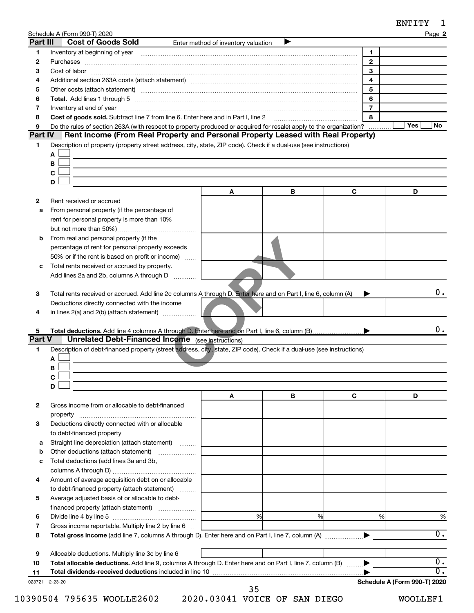| ENTITY |  |
|--------|--|
|--------|--|

|                 | Schedule A (Form 990-T) 2020                                                                                                                                                                                                                                                                                                                                                                                                                                                 |                                     |   |                | <b>ENIII</b><br>Page 2       |
|-----------------|------------------------------------------------------------------------------------------------------------------------------------------------------------------------------------------------------------------------------------------------------------------------------------------------------------------------------------------------------------------------------------------------------------------------------------------------------------------------------|-------------------------------------|---|----------------|------------------------------|
| Part III        | <b>Cost of Goods Sold</b>                                                                                                                                                                                                                                                                                                                                                                                                                                                    | Enter method of inventory valuation | ▶ |                |                              |
| 1               | Inventory at beginning of year encouragement and the control of year and the control of year entries and the control of the control of the control of the control of the control of the control of the control of the control                                                                                                                                                                                                                                                |                                     |   | 1              |                              |
| 2               |                                                                                                                                                                                                                                                                                                                                                                                                                                                                              |                                     |   | $\mathbf{2}$   |                              |
| 3               |                                                                                                                                                                                                                                                                                                                                                                                                                                                                              |                                     |   | 3              |                              |
| 4               | Additional section 263A costs (attach statement) material content content and section 263A costs (attach statement)                                                                                                                                                                                                                                                                                                                                                          |                                     |   | $\overline{4}$ |                              |
| 5               |                                                                                                                                                                                                                                                                                                                                                                                                                                                                              |                                     |   | 5              |                              |
| 6               | Total. Add lines 1 through 5 [111] manual contract contract and the manual contract and the manual contract of                                                                                                                                                                                                                                                                                                                                                               |                                     |   | 6              |                              |
| 7               | Inventory at end of year<br>$\begin{minipage}{0.5\textwidth} \begin{tabular}{ l l l } \hline \multicolumn{1}{ l l l } \hline \multicolumn{1}{ l l } \hline \multicolumn{1}{ l } \multicolumn{1}{ l } \hline \multicolumn{1}{ l } \multicolumn{1}{ l } \multicolumn{1}{ l } \hline \multicolumn{1}{ l } \multicolumn{1}{ l } \multicolumn{1}{ l } \hline \multicolumn{1}{ l } \multicolumn{1}{ l } \hline \multicolumn{1}{ l } \multicolumn{1}{ l } \hline \multicolumn{1}{ $ |                                     |   | $\overline{7}$ |                              |
| 8               | Cost of goods sold. Subtract line 7 from line 6. Enter here and in Part I, line 2                                                                                                                                                                                                                                                                                                                                                                                            |                                     |   | 8              | Yes<br>No                    |
| 9<br>Part IV    | Do the rules of section 263A (with respect to property produced or acquired for resale) apply to the organization?<br>Rent Income (From Real Property and Personal Property Leased with Real Property)                                                                                                                                                                                                                                                                       |                                     |   |                |                              |
| 1               | Description of property (property street address, city, state, ZIP code). Check if a dual-use (see instructions)                                                                                                                                                                                                                                                                                                                                                             |                                     |   |                |                              |
|                 | A                                                                                                                                                                                                                                                                                                                                                                                                                                                                            |                                     |   |                |                              |
|                 | В                                                                                                                                                                                                                                                                                                                                                                                                                                                                            |                                     |   |                |                              |
|                 | $\mathbf c$                                                                                                                                                                                                                                                                                                                                                                                                                                                                  |                                     |   |                |                              |
|                 | D                                                                                                                                                                                                                                                                                                                                                                                                                                                                            |                                     |   |                |                              |
|                 |                                                                                                                                                                                                                                                                                                                                                                                                                                                                              | A                                   | В | C              | D                            |
| 2               | Rent received or accrued                                                                                                                                                                                                                                                                                                                                                                                                                                                     |                                     |   |                |                              |
| a               | From personal property (if the percentage of                                                                                                                                                                                                                                                                                                                                                                                                                                 |                                     |   |                |                              |
|                 | rent for personal property is more than 10%                                                                                                                                                                                                                                                                                                                                                                                                                                  |                                     |   |                |                              |
|                 |                                                                                                                                                                                                                                                                                                                                                                                                                                                                              |                                     |   |                |                              |
| b               | From real and personal property (if the                                                                                                                                                                                                                                                                                                                                                                                                                                      |                                     |   |                |                              |
|                 | percentage of rent for personal property exceeds                                                                                                                                                                                                                                                                                                                                                                                                                             |                                     |   |                |                              |
|                 | 50% or if the rent is based on profit or income)                                                                                                                                                                                                                                                                                                                                                                                                                             |                                     |   |                |                              |
| c               | Total rents received or accrued by property.                                                                                                                                                                                                                                                                                                                                                                                                                                 |                                     |   |                |                              |
|                 | Add lines 2a and 2b, columns A through D                                                                                                                                                                                                                                                                                                                                                                                                                                     |                                     |   |                |                              |
|                 |                                                                                                                                                                                                                                                                                                                                                                                                                                                                              |                                     |   |                | 0.                           |
| 3               | Total rents received or accrued. Add line 2c columns A through D. Enter here and on Part I, line 6, column (A)<br>Deductions directly connected with the income                                                                                                                                                                                                                                                                                                              |                                     |   |                |                              |
| 4               |                                                                                                                                                                                                                                                                                                                                                                                                                                                                              |                                     |   |                |                              |
|                 |                                                                                                                                                                                                                                                                                                                                                                                                                                                                              |                                     |   |                |                              |
| 5               |                                                                                                                                                                                                                                                                                                                                                                                                                                                                              |                                     |   |                | 0.                           |
| Part V          | <b>Unrelated Debt-Financed Income</b> (see instructions)                                                                                                                                                                                                                                                                                                                                                                                                                     |                                     |   |                |                              |
| 1               | Description of debt-financed property (street address, city, state, ZIP code). Check if a dual-use (see instructions)                                                                                                                                                                                                                                                                                                                                                        |                                     |   |                |                              |
|                 | A                                                                                                                                                                                                                                                                                                                                                                                                                                                                            |                                     |   |                |                              |
|                 | в                                                                                                                                                                                                                                                                                                                                                                                                                                                                            |                                     |   |                |                              |
|                 | $\mathbf c$                                                                                                                                                                                                                                                                                                                                                                                                                                                                  |                                     |   |                |                              |
|                 | D                                                                                                                                                                                                                                                                                                                                                                                                                                                                            |                                     |   |                |                              |
|                 |                                                                                                                                                                                                                                                                                                                                                                                                                                                                              | A                                   | В | C              | D                            |
| 2               | Gross income from or allocable to debt-financed                                                                                                                                                                                                                                                                                                                                                                                                                              |                                     |   |                |                              |
|                 | property                                                                                                                                                                                                                                                                                                                                                                                                                                                                     |                                     |   |                |                              |
| 3               | Deductions directly connected with or allocable                                                                                                                                                                                                                                                                                                                                                                                                                              |                                     |   |                |                              |
|                 | to debt-financed property                                                                                                                                                                                                                                                                                                                                                                                                                                                    |                                     |   |                |                              |
| а               | Straight line depreciation (attach statement)                                                                                                                                                                                                                                                                                                                                                                                                                                |                                     |   |                |                              |
| b               | Other deductions (attach statement)                                                                                                                                                                                                                                                                                                                                                                                                                                          |                                     |   |                |                              |
| c               | Total deductions (add lines 3a and 3b,                                                                                                                                                                                                                                                                                                                                                                                                                                       |                                     |   |                |                              |
|                 |                                                                                                                                                                                                                                                                                                                                                                                                                                                                              |                                     |   |                |                              |
| 4               | Amount of average acquisition debt on or allocable                                                                                                                                                                                                                                                                                                                                                                                                                           |                                     |   |                |                              |
|                 | to debt-financed property (attach statement)                                                                                                                                                                                                                                                                                                                                                                                                                                 |                                     |   |                |                              |
| 5               | Average adjusted basis of or allocable to debt-                                                                                                                                                                                                                                                                                                                                                                                                                              |                                     |   |                |                              |
|                 |                                                                                                                                                                                                                                                                                                                                                                                                                                                                              | %                                   | % | %              | %                            |
| 6               |                                                                                                                                                                                                                                                                                                                                                                                                                                                                              |                                     |   |                |                              |
| 7<br>8          | Gross income reportable. Multiply line 2 by line 6                                                                                                                                                                                                                                                                                                                                                                                                                           |                                     |   |                | $\overline{0}$ .             |
|                 |                                                                                                                                                                                                                                                                                                                                                                                                                                                                              |                                     |   |                |                              |
| 9               | Allocable deductions. Multiply line 3c by line 6                                                                                                                                                                                                                                                                                                                                                                                                                             |                                     |   |                |                              |
| 10              | Total allocable deductions. Add line 9, columns A through D. Enter here and on Part I, line 7, column (B) ▶                                                                                                                                                                                                                                                                                                                                                                  |                                     |   |                | $\overline{\mathfrak{0}}$ .  |
| 11              | Total dividends-received deductions included in line 10                                                                                                                                                                                                                                                                                                                                                                                                                      |                                     |   |                | $\overline{0}$ .             |
| 023721 12-23-20 |                                                                                                                                                                                                                                                                                                                                                                                                                                                                              |                                     |   |                | Schedule A (Form 990-T) 2020 |
|                 |                                                                                                                                                                                                                                                                                                                                                                                                                                                                              | 35                                  |   |                |                              |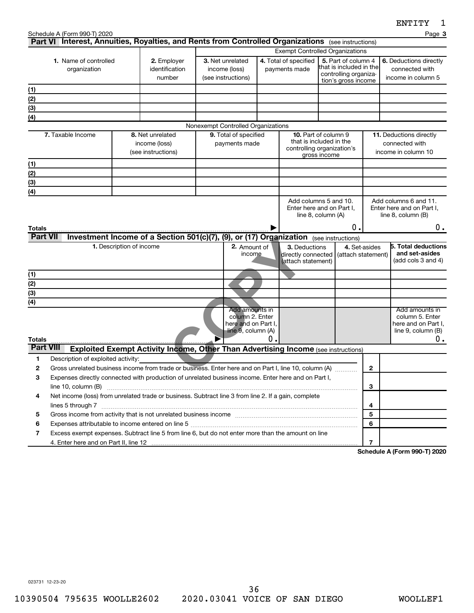|                                       | Schedule A (Form 990-T) 2020<br>Part VI Interest, Annuities, Royalties, and Rents from Controlled Organizations (see instructions) |                                                                                           |                                         |  |                                                                                |    |                                                           |                                                                                                      |                | Page 3                                                                                    |
|---------------------------------------|------------------------------------------------------------------------------------------------------------------------------------|-------------------------------------------------------------------------------------------|-----------------------------------------|--|--------------------------------------------------------------------------------|----|-----------------------------------------------------------|------------------------------------------------------------------------------------------------------|----------------|-------------------------------------------------------------------------------------------|
|                                       |                                                                                                                                    |                                                                                           |                                         |  |                                                                                |    |                                                           | <b>Exempt Controlled Organizations</b>                                                               |                |                                                                                           |
| 1. Name of controlled<br>organization |                                                                                                                                    |                                                                                           | 2. Employer<br>identification<br>number |  | 3. Net unrelated<br>income (loss)<br>(see instructions)                        |    | 4. Total of specified<br>payments made                    | 5. Part of column 4<br>that is included in the<br>controlling organiza-<br>tion's gross income       |                | 6. Deductions directly<br>connected with<br>income in column 5                            |
| (1)                                   |                                                                                                                                    |                                                                                           |                                         |  |                                                                                |    |                                                           |                                                                                                      |                |                                                                                           |
| (2)                                   |                                                                                                                                    |                                                                                           |                                         |  |                                                                                |    |                                                           |                                                                                                      |                |                                                                                           |
| (3)                                   |                                                                                                                                    |                                                                                           |                                         |  |                                                                                |    |                                                           |                                                                                                      |                |                                                                                           |
| (4)                                   |                                                                                                                                    |                                                                                           |                                         |  |                                                                                |    |                                                           |                                                                                                      |                |                                                                                           |
|                                       |                                                                                                                                    |                                                                                           |                                         |  | Nonexempt Controlled Organizations                                             |    |                                                           |                                                                                                      |                |                                                                                           |
|                                       | 7. Taxable Income                                                                                                                  | 8. Net unrelated<br>income (loss)<br>(see instructions)                                   |                                         |  | 9. Total of specified<br>payments made                                         |    |                                                           | <b>10.</b> Part of column 9<br>that is included in the<br>controlling organization's<br>gross income |                | 11. Deductions directly<br>connected with<br>income in column 10                          |
| (1)                                   |                                                                                                                                    |                                                                                           |                                         |  |                                                                                |    |                                                           |                                                                                                      |                |                                                                                           |
| (2)                                   |                                                                                                                                    |                                                                                           |                                         |  |                                                                                |    |                                                           |                                                                                                      |                |                                                                                           |
| (3)                                   |                                                                                                                                    |                                                                                           |                                         |  |                                                                                |    |                                                           |                                                                                                      |                |                                                                                           |
| (4)                                   |                                                                                                                                    |                                                                                           |                                         |  |                                                                                |    |                                                           |                                                                                                      |                |                                                                                           |
|                                       |                                                                                                                                    |                                                                                           |                                         |  |                                                                                |    |                                                           | Add columns 5 and 10.<br>Enter here and on Part I,<br>line 8, column (A)<br>о.                       |                | Add columns 6 and 11.<br>Enter here and on Part I.<br>line 8, column (B)<br>0.            |
| Totals<br><b>Part VII</b>             |                                                                                                                                    | Investment Income of a Section 501(c)(7), (9), or (17) Organization (see instructions)    |                                         |  |                                                                                |    |                                                           |                                                                                                      |                |                                                                                           |
|                                       |                                                                                                                                    | 1. Description of income                                                                  |                                         |  | 2. Amount of<br>income                                                         |    | 3. Deductions<br>directly connected<br>(attach statement) | (attach statement)                                                                                   | 4. Set-asides  | <b>5. Total deductions</b><br>and set-asides<br>(add cols 3 and 4)                        |
| (1)                                   |                                                                                                                                    |                                                                                           |                                         |  |                                                                                |    |                                                           |                                                                                                      |                |                                                                                           |
| (2)                                   |                                                                                                                                    |                                                                                           |                                         |  |                                                                                |    |                                                           |                                                                                                      |                |                                                                                           |
| (3)                                   |                                                                                                                                    |                                                                                           |                                         |  |                                                                                |    |                                                           |                                                                                                      |                |                                                                                           |
| (4)<br><b>Totals</b>                  |                                                                                                                                    |                                                                                           |                                         |  | Add amounts in<br>column 2. Enter<br>here and on Part I,<br>line 9, column (A) | 0. |                                                           |                                                                                                      |                | Add amounts in<br>column 5. Enter<br>here and on Part I,<br>line $9$ , column $(B)$<br>0. |
| <b>Part VIII</b>                      |                                                                                                                                    | <b>Exploited Exempt Activity Income, Other Than Advertising Income (see instructions)</b> |                                         |  |                                                                                |    |                                                           |                                                                                                      |                |                                                                                           |
| 1                                     | Description of exploited activity:                                                                                                 |                                                                                           |                                         |  |                                                                                |    |                                                           |                                                                                                      |                |                                                                                           |
| 2                                     | Gross unrelated business income from trade or business. Enter here and on Part I, line 10, column (A)                              |                                                                                           |                                         |  |                                                                                |    |                                                           |                                                                                                      | $\mathbf{2}$   |                                                                                           |
| З                                     | Expenses directly connected with production of unrelated business income. Enter here and on Part I,                                |                                                                                           |                                         |  |                                                                                |    |                                                           |                                                                                                      |                |                                                                                           |
|                                       | line 10, column (B)                                                                                                                |                                                                                           |                                         |  |                                                                                |    |                                                           |                                                                                                      | 3              |                                                                                           |
| 4                                     | Net income (loss) from unrelated trade or business. Subtract line 3 from line 2. If a gain, complete                               |                                                                                           |                                         |  |                                                                                |    |                                                           |                                                                                                      |                |                                                                                           |
|                                       |                                                                                                                                    |                                                                                           |                                         |  |                                                                                |    |                                                           |                                                                                                      | 4              |                                                                                           |
| 5                                     |                                                                                                                                    |                                                                                           |                                         |  |                                                                                |    |                                                           |                                                                                                      | 5              |                                                                                           |
| 6                                     | Excess exempt expenses. Subtract line 5 from line 6, but do not enter more than the amount on line                                 |                                                                                           |                                         |  |                                                                                |    |                                                           |                                                                                                      | 6              |                                                                                           |
| 7                                     |                                                                                                                                    |                                                                                           |                                         |  |                                                                                |    |                                                           |                                                                                                      | $\overline{7}$ |                                                                                           |
|                                       |                                                                                                                                    |                                                                                           |                                         |  |                                                                                |    |                                                           |                                                                                                      |                |                                                                                           |

**Schedule A (Form 990-T) 2020**

023731 12-23-20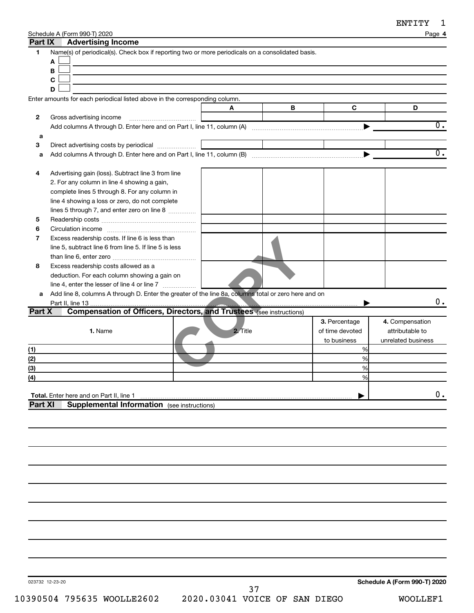| Schedule A (Form 990-T) 2020 |
|------------------------------|
|------------------------------|

|         | Schedule A (Form 990-T) 2020                                                                         |          |   |                 | Page 4             |
|---------|------------------------------------------------------------------------------------------------------|----------|---|-----------------|--------------------|
| Part IX | <b>Advertising Income</b>                                                                            |          |   |                 |                    |
| 1       | Name(s) of periodical(s). Check box if reporting two or more periodicals on a consolidated basis.    |          |   |                 |                    |
|         | A                                                                                                    |          |   |                 |                    |
|         | В                                                                                                    |          |   |                 |                    |
|         | $\mathbf c$                                                                                          |          |   |                 |                    |
|         | D                                                                                                    |          |   |                 |                    |
|         | Enter amounts for each periodical listed above in the corresponding column.                          |          |   |                 |                    |
|         |                                                                                                      | A        | В | C               | D                  |
| 2       | Gross advertising income                                                                             |          |   |                 |                    |
|         |                                                                                                      |          |   |                 | О.                 |
| а       |                                                                                                      |          |   |                 |                    |
| 3       | Direct advertising costs by periodical                                                               |          |   |                 |                    |
| a       |                                                                                                      |          |   |                 | $\overline{0}$ .   |
|         |                                                                                                      |          |   |                 |                    |
|         |                                                                                                      |          |   |                 |                    |
| 4       | Advertising gain (loss). Subtract line 3 from line                                                   |          |   |                 |                    |
|         | 2. For any column in line 4 showing a gain,                                                          |          |   |                 |                    |
|         | complete lines 5 through 8. For any column in                                                        |          |   |                 |                    |
|         | line 4 showing a loss or zero, do not complete                                                       |          |   |                 |                    |
|         | lines 5 through 7, and enter zero on line 8                                                          |          |   |                 |                    |
| 5       |                                                                                                      |          |   |                 |                    |
| 6       |                                                                                                      |          |   |                 |                    |
| 7       | Excess readership costs. If line 6 is less than                                                      |          |   |                 |                    |
|         | line 5, subtract line 6 from line 5. If line 5 is less                                               |          |   |                 |                    |
|         |                                                                                                      |          |   |                 |                    |
| 8       | Excess readership costs allowed as a                                                                 |          |   |                 |                    |
|         | deduction. For each column showing a gain on                                                         |          |   |                 |                    |
|         |                                                                                                      |          |   |                 |                    |
| a       | Add line 8, columns A through D. Enter the greater of the line 8a, columns total or zero here and on |          |   |                 |                    |
|         | Part II, line 13                                                                                     |          |   |                 | О.                 |
| Part X  | <b>Compensation of Officers, Directors, and Trustees (see instructions)</b>                          |          |   |                 |                    |
|         |                                                                                                      |          |   | 3. Percentage   | 4. Compensation    |
|         | 1. Name                                                                                              | 2. Title |   | of time devoted | attributable to    |
|         |                                                                                                      |          |   | to business     | unrelated business |
| (1)     |                                                                                                      |          |   | %               |                    |
| (2)     |                                                                                                      |          |   | %               |                    |
| (3)     |                                                                                                      |          |   | %               |                    |
| (4)     |                                                                                                      |          |   | ℅               |                    |
|         |                                                                                                      |          |   |                 |                    |
|         | Total. Enter here and on Part II, line 1                                                             |          |   |                 | 0.                 |
| Part XI | <b>Supplemental Information</b> (see instructions)                                                   |          |   |                 |                    |
|         |                                                                                                      |          |   |                 |                    |
|         |                                                                                                      |          |   |                 |                    |
|         |                                                                                                      |          |   |                 |                    |
|         |                                                                                                      |          |   |                 |                    |
|         |                                                                                                      |          |   |                 |                    |
|         |                                                                                                      |          |   |                 |                    |
|         |                                                                                                      |          |   |                 |                    |
|         |                                                                                                      |          |   |                 |                    |
|         |                                                                                                      |          |   |                 |                    |
|         |                                                                                                      |          |   |                 |                    |
|         |                                                                                                      |          |   |                 |                    |
|         |                                                                                                      |          |   |                 |                    |
|         |                                                                                                      |          |   |                 |                    |
|         |                                                                                                      |          |   |                 |                    |
|         |                                                                                                      |          |   |                 |                    |
|         |                                                                                                      |          |   |                 |                    |
|         |                                                                                                      |          |   |                 |                    |

023732 12-23-20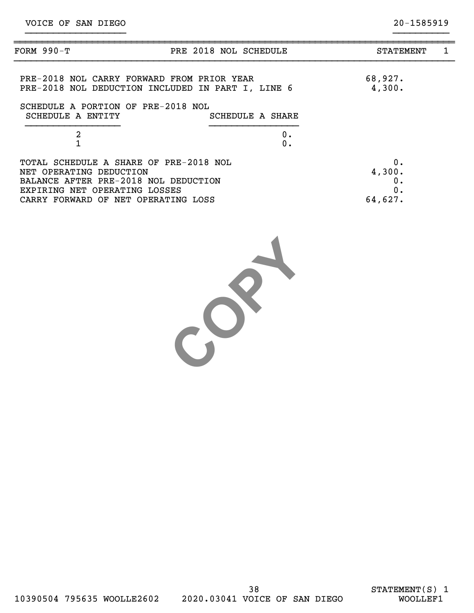| FORM 990-T                                                                                                                                 | PRE 2018 NOL SCHEDULE | <b>STATEMENT</b>         | 1 |
|--------------------------------------------------------------------------------------------------------------------------------------------|-----------------------|--------------------------|---|
| PRE-2018 NOL CARRY FORWARD FROM PRIOR YEAR<br>PRE-2018 NOL DEDUCTION INCLUDED IN PART I, LINE 6                                            |                       | 68,927.<br>4,300.        |   |
| SCHEDULE A PORTION OF PRE-2018 NOL<br>SCHEDULE A ENTITY                                                                                    | SCHEDULE A SHARE      |                          |   |
| $\overline{a}$                                                                                                                             | 0.<br>0.              |                          |   |
| TOTAL SCHEDULE A SHARE OF PRE-2018 NOL<br>NET OPERATING DEDUCTION<br>BALANCE AFTER PRE-2018 NOL DEDUCTION<br>EXPIRING NET OPERATING LOSSES |                       | 0.<br>4,300.<br>0.<br>0. |   |
| CARRY FORWARD OF NET OPERATING LOSS                                                                                                        |                       | 64,627.                  |   |

}}}}}}}}}}}}}}}}}} }}}}}}}}}}

COPY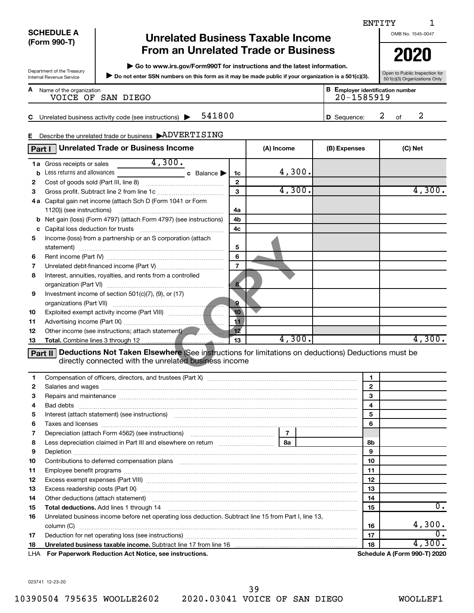|                                                        |                                                                                                                                                                                                                                |              |                                                       | ENTITY<br>1                   |
|--------------------------------------------------------|--------------------------------------------------------------------------------------------------------------------------------------------------------------------------------------------------------------------------------|--------------|-------------------------------------------------------|-------------------------------|
| <b>SCHEDULE A</b>                                      | <b>Unrelated Business Taxable Income</b>                                                                                                                                                                                       |              |                                                       | OMB No. 1545-0047             |
| (Form 990-T)                                           |                                                                                                                                                                                                                                |              |                                                       |                               |
|                                                        | <b>From an Unrelated Trade or Business</b>                                                                                                                                                                                     |              |                                                       | 2020                          |
|                                                        | Go to www.irs.gov/Form990T for instructions and the latest information.                                                                                                                                                        |              |                                                       |                               |
| Department of the Treasury<br>Internal Revenue Service | Do not enter SSN numbers on this form as it may be made public if your organization is a 501(c)(3).                                                                                                                            |              |                                                       | Open to Public Inspection for |
|                                                        |                                                                                                                                                                                                                                |              |                                                       | 501(c)(3) Organizations Only  |
| A Name of the organization                             | VOICE OF SAN DIEGO                                                                                                                                                                                                             |              | <b>B</b> Employer identification number<br>20-1585919 |                               |
|                                                        |                                                                                                                                                                                                                                |              |                                                       |                               |
| C.                                                     | 541800<br>Unrelated business activity code (see instructions)                                                                                                                                                                  |              | D Sequence:                                           | 2<br>2<br>of                  |
|                                                        |                                                                                                                                                                                                                                |              |                                                       |                               |
|                                                        | E Describe the unrelated trade or business ADVERTISING                                                                                                                                                                         |              |                                                       |                               |
| Part I                                                 | <b>Unrelated Trade or Business Income</b>                                                                                                                                                                                      | (A) Income   | (B) Expenses                                          | (C) Net                       |
|                                                        |                                                                                                                                                                                                                                |              |                                                       |                               |
| 1a Gross receipts or sales                             | 4,300.                                                                                                                                                                                                                         |              |                                                       |                               |
| b                                                      | Less returns and allowances<br>c Balance $\blacktriangleright$<br>1c                                                                                                                                                           | 4,300.       |                                                       |                               |
| 2                                                      | $\mathbf{2}$                                                                                                                                                                                                                   | 4,300.       |                                                       | 4,300.                        |
| 3                                                      | 3                                                                                                                                                                                                                              |              |                                                       |                               |
|                                                        | 4a Capital gain net income (attach Sch D (Form 1041 or Form                                                                                                                                                                    |              |                                                       |                               |
|                                                        | 1120)) (see instructions)<br>4a                                                                                                                                                                                                |              |                                                       |                               |
| b                                                      | Net gain (loss) (Form 4797) (attach Form 4797) (see instructions)<br>4b                                                                                                                                                        |              |                                                       |                               |
| c                                                      | 4c                                                                                                                                                                                                                             |              |                                                       |                               |
| 5                                                      | Income (loss) from a partnership or an S corporation (attach<br>5                                                                                                                                                              |              |                                                       |                               |
| 6                                                      | 6                                                                                                                                                                                                                              |              |                                                       |                               |
| 7                                                      | $\overline{7}$                                                                                                                                                                                                                 |              |                                                       |                               |
| 8                                                      | Interest, annuities, royalties, and rents from a controlled                                                                                                                                                                    |              |                                                       |                               |
|                                                        | $\bf{8}$                                                                                                                                                                                                                       |              |                                                       |                               |
| 9                                                      | Investment income of section 501(c)(7), (9), or (17)                                                                                                                                                                           |              |                                                       |                               |
|                                                        | 9                                                                                                                                                                                                                              |              |                                                       |                               |
| 10                                                     | 10                                                                                                                                                                                                                             |              |                                                       |                               |
| 11                                                     | 11                                                                                                                                                                                                                             |              |                                                       |                               |
| 12                                                     | 12<br>Other income (see instructions; attach statement) <b>Constitutions</b>                                                                                                                                                   |              |                                                       |                               |
| 13                                                     | 13                                                                                                                                                                                                                             | 4,300.       |                                                       | 4,300.                        |
|                                                        |                                                                                                                                                                                                                                |              |                                                       |                               |
|                                                        | Part II Deductions Not Taken Elsewhere (See instructions for limitations on deductions) Deductions must be<br>directly connected with the unrelated business income                                                            |              |                                                       |                               |
|                                                        |                                                                                                                                                                                                                                |              |                                                       |                               |
| 1                                                      |                                                                                                                                                                                                                                |              | 1                                                     |                               |
| 2                                                      |                                                                                                                                                                                                                                |              | $\mathbf{2}$                                          |                               |
| 3                                                      | Repairs and maintenance material continuum contract and maintenance material contract and maintenance material                                                                                                                 |              | 3                                                     |                               |
| 4<br>Bad debts                                         |                                                                                                                                                                                                                                |              | 4                                                     |                               |
| 5                                                      | Interest (attach statement) (see instructions) material content in the content of the content of the content of the content of the content of the content of the content of the content of the content of the content of the c |              | 5                                                     |                               |
| 6                                                      | Taxes and licenses <b>with a construction of the construction of the construction of the construction</b>                                                                                                                      |              | 6                                                     |                               |
| 7                                                      | Depreciation (attach Form 4562) (see instructions) manufacture and all preciation (attach Form 4562)                                                                                                                           | $\mathbf{7}$ |                                                       |                               |
| 8                                                      |                                                                                                                                                                                                                                |              | 8b                                                    |                               |
| 9                                                      |                                                                                                                                                                                                                                |              | 9                                                     |                               |
| 10                                                     | Contributions to deferred compensation plans [11] matter contract to deferred compensation plans [11] matter contract to deferred compensation plans [11] matter contract to deferred compensation plans [11] matter contract  |              | 10                                                    |                               |
| 11                                                     |                                                                                                                                                                                                                                |              | 11                                                    |                               |
| 12                                                     |                                                                                                                                                                                                                                |              | 12                                                    |                               |
| 13                                                     | Excess readership costs (Part IX) [11] [2000] [2000] [3000] [3000] [3000] [3000] [3000] [3000] [3000] [3000] [                                                                                                                 |              | 13                                                    |                               |
| 14                                                     | Other deductions (attach statement) manufactured and according of the deductions (attach statement)                                                                                                                            |              | 14                                                    |                               |
| 15                                                     |                                                                                                                                                                                                                                |              | 15                                                    | 0.                            |
| 16                                                     | Unrelated business income before net operating loss deduction. Subtract line 15 from Part I, line 13,                                                                                                                          |              |                                                       | 4,300.                        |
|                                                        |                                                                                                                                                                                                                                |              | 16                                                    | 0.                            |
| 17<br>18                                               |                                                                                                                                                                                                                                |              | 17<br>18                                              | 4,300.                        |
|                                                        |                                                                                                                                                                                                                                |              |                                                       |                               |

**For Paperwork Reduction Act Notice, see instructions. Schedule A (Form 990-T) 2020** LHA

023741 12-23-20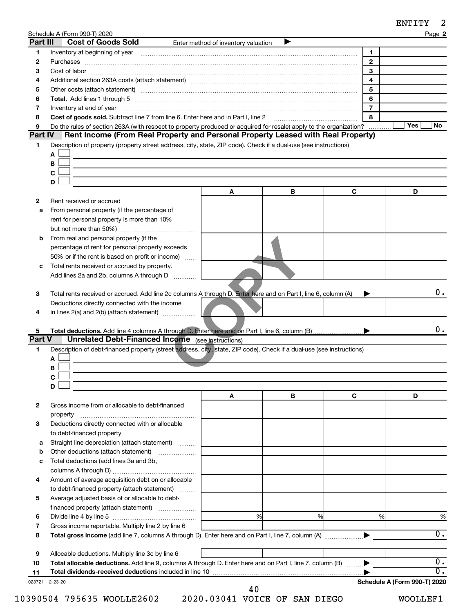| ENTITY |  |
|--------|--|
|--------|--|

| Part III       | Schedule A (Form 990-T) 2020<br><b>Cost of Goods Sold</b>                                                                                                                                                                      | Enter method of inventory valuation |   |                | Page 2                               |
|----------------|--------------------------------------------------------------------------------------------------------------------------------------------------------------------------------------------------------------------------------|-------------------------------------|---|----------------|--------------------------------------|
| 1              | Inventory at beginning of year encouragement and an intervention of the state of year and the state of year and the state of the state of the state of the state of the state of the state of the state of the state of the st |                                     |   | 1              |                                      |
| 2              |                                                                                                                                                                                                                                |                                     |   | $\mathbf{2}$   |                                      |
| 3              |                                                                                                                                                                                                                                |                                     |   | 3              |                                      |
| 4              |                                                                                                                                                                                                                                |                                     |   | 4              |                                      |
| 5              |                                                                                                                                                                                                                                |                                     |   | 5              |                                      |
| 6              |                                                                                                                                                                                                                                |                                     |   | 6              |                                      |
| 7              | Inventory at end of year                                                                                                                                                                                                       |                                     |   | $\overline{7}$ |                                      |
| 8              | Cost of goods sold. Subtract line 7 from line 6. Enter here and in Part I, line 2                                                                                                                                              |                                     |   | 8              |                                      |
| 9              | Do the rules of section 263A (with respect to property produced or acquired for resale) apply to the organization?                                                                                                             |                                     |   |                | Yes<br>No                            |
| <b>Part IV</b> | Rent Income (From Real Property and Personal Property Leased with Real Property)                                                                                                                                               |                                     |   |                |                                      |
| 1              | Description of property (property street address, city, state, ZIP code). Check if a dual-use (see instructions)                                                                                                               |                                     |   |                |                                      |
|                | Α                                                                                                                                                                                                                              |                                     |   |                |                                      |
|                | В                                                                                                                                                                                                                              |                                     |   |                |                                      |
|                | С                                                                                                                                                                                                                              |                                     |   |                |                                      |
|                | D                                                                                                                                                                                                                              |                                     |   |                |                                      |
|                |                                                                                                                                                                                                                                | A                                   | В | С              | D                                    |
| $\mathbf{2}$   | Rent received or accrued                                                                                                                                                                                                       |                                     |   |                |                                      |
| а              | From personal property (if the percentage of                                                                                                                                                                                   |                                     |   |                |                                      |
|                | rent for personal property is more than 10%                                                                                                                                                                                    |                                     |   |                |                                      |
|                |                                                                                                                                                                                                                                |                                     |   |                |                                      |
| b              | From real and personal property (if the                                                                                                                                                                                        |                                     |   |                |                                      |
|                | percentage of rent for personal property exceeds                                                                                                                                                                               |                                     |   |                |                                      |
|                | 50% or if the rent is based on profit or income)                                                                                                                                                                               |                                     |   |                |                                      |
| с              | Total rents received or accrued by property.                                                                                                                                                                                   |                                     |   |                |                                      |
|                | Add lines 2a and 2b, columns A through D                                                                                                                                                                                       |                                     |   |                |                                      |
|                |                                                                                                                                                                                                                                |                                     |   |                |                                      |
|                | Total rents received or accrued. Add line 2c columns A through D. Enter here and on Part I, line 6, column (A)                                                                                                                 |                                     |   |                | 0.                                   |
| 3              |                                                                                                                                                                                                                                |                                     |   |                |                                      |
|                | Deductions directly connected with the income                                                                                                                                                                                  |                                     |   |                |                                      |
| 4              | in lines $2(a)$ and $2(b)$ (attach statement) $\ldots$                                                                                                                                                                         |                                     |   |                |                                      |
|                |                                                                                                                                                                                                                                |                                     |   |                |                                      |
| 5              |                                                                                                                                                                                                                                |                                     |   |                |                                      |
|                | <b>Unrelated Debt-Financed Income</b> (see instructions)                                                                                                                                                                       |                                     |   |                |                                      |
| 1              | Description of debt-financed property (street address, city, state, ZIP code). Check if a dual-use (see instructions)                                                                                                          |                                     |   |                | 0.                                   |
|                | Α                                                                                                                                                                                                                              |                                     |   |                |                                      |
|                | В                                                                                                                                                                                                                              |                                     |   |                |                                      |
| <b>Part V</b>  | C                                                                                                                                                                                                                              |                                     |   |                |                                      |
|                | D                                                                                                                                                                                                                              |                                     |   |                |                                      |
|                |                                                                                                                                                                                                                                | A                                   | В | C              | D                                    |
| 2              | Gross income from or allocable to debt-financed                                                                                                                                                                                |                                     |   |                |                                      |
|                |                                                                                                                                                                                                                                |                                     |   |                |                                      |
| 3              |                                                                                                                                                                                                                                |                                     |   |                |                                      |
|                | Deductions directly connected with or allocable                                                                                                                                                                                |                                     |   |                |                                      |
| а              | to debt-financed property                                                                                                                                                                                                      |                                     |   |                |                                      |
|                | Straight line depreciation (attach statement)                                                                                                                                                                                  |                                     |   |                |                                      |
| b              | Other deductions (attach statement)                                                                                                                                                                                            |                                     |   |                |                                      |
| с              | Total deductions (add lines 3a and 3b,                                                                                                                                                                                         |                                     |   |                |                                      |
|                |                                                                                                                                                                                                                                |                                     |   |                |                                      |
| 4              | Amount of average acquisition debt on or allocable                                                                                                                                                                             |                                     |   |                |                                      |
|                | to debt-financed property (attach statement)                                                                                                                                                                                   |                                     |   |                |                                      |
| 5              | Average adjusted basis of or allocable to debt-                                                                                                                                                                                |                                     |   |                |                                      |
|                | financed property (attach statement)                                                                                                                                                                                           |                                     |   |                |                                      |
| 6              |                                                                                                                                                                                                                                | %                                   | % | %              | %                                    |
| 7              | Gross income reportable. Multiply line 2 by line 6                                                                                                                                                                             |                                     |   |                |                                      |
| 8              |                                                                                                                                                                                                                                |                                     |   |                | $\overline{0}$ .                     |
|                |                                                                                                                                                                                                                                |                                     |   |                |                                      |
| 9              | Allocable deductions. Multiply line 3c by line 6                                                                                                                                                                               |                                     |   |                |                                      |
| 10<br>11       | Total allocable deductions. Add line 9, columns A through D. Enter here and on Part I, line 7, column (B)                                                                                                                      |                                     |   |                | $\overline{0}$ .<br>$\overline{0}$ . |

10390504 795635 WOOLLE2602 2020.03041 VOICE OF SAN DIEGO WOOLLEF1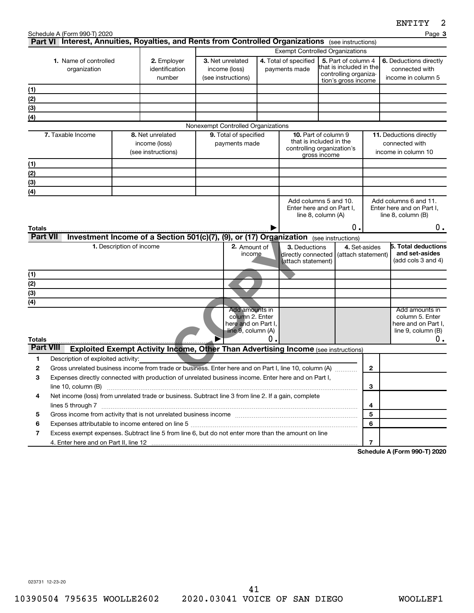|                                              | Schedule A (Form 990-T) 2020                                                                                         |                                         |                                                                                           |  |                                                                                |                                        |                                                                                                                                          |                                                                                     |                                                                         | Page 3                                                                               |
|----------------------------------------------|----------------------------------------------------------------------------------------------------------------------|-----------------------------------------|-------------------------------------------------------------------------------------------|--|--------------------------------------------------------------------------------|----------------------------------------|------------------------------------------------------------------------------------------------------------------------------------------|-------------------------------------------------------------------------------------|-------------------------------------------------------------------------|--------------------------------------------------------------------------------------|
|                                              | Part VI Interest, Annuities, Royalties, and Rents from Controlled Organizations (see instructions)                   |                                         |                                                                                           |  |                                                                                |                                        |                                                                                                                                          |                                                                                     |                                                                         |                                                                                      |
| <b>1.</b> Name of controlled<br>organization |                                                                                                                      | 2. Employer<br>identification<br>number | 3. Net unrelated<br>income (loss)<br>(see instructions)                                   |  |                                                                                | 4. Total of specified<br>payments made | <b>Exempt Controlled Organizations</b><br>5. Part of column 4<br>that is included in the<br>controlling organiza-<br>tion's gross income |                                                                                     | 6. Deductions directly<br>connected with<br>income in column 5          |                                                                                      |
| (1)                                          |                                                                                                                      |                                         |                                                                                           |  |                                                                                |                                        |                                                                                                                                          |                                                                                     |                                                                         |                                                                                      |
| (2)                                          |                                                                                                                      |                                         |                                                                                           |  |                                                                                |                                        |                                                                                                                                          |                                                                                     |                                                                         |                                                                                      |
| (3)                                          |                                                                                                                      |                                         |                                                                                           |  |                                                                                |                                        |                                                                                                                                          |                                                                                     |                                                                         |                                                                                      |
| (4)                                          |                                                                                                                      |                                         |                                                                                           |  |                                                                                |                                        |                                                                                                                                          |                                                                                     |                                                                         |                                                                                      |
|                                              |                                                                                                                      |                                         |                                                                                           |  | Nonexempt Controlled Organizations                                             |                                        |                                                                                                                                          |                                                                                     |                                                                         |                                                                                      |
| 7. Taxable Income                            |                                                                                                                      |                                         | 8. Net unrelated<br>income (loss)<br>(see instructions)                                   |  | 9. Total of specified<br>payments made                                         |                                        | <b>10.</b> Part of column 9<br>that is included in the<br>controlling organization's<br>gross income                                     |                                                                                     | <b>11.</b> Deductions directly<br>connected with<br>income in column 10 |                                                                                      |
| (1)                                          |                                                                                                                      |                                         |                                                                                           |  |                                                                                |                                        |                                                                                                                                          |                                                                                     |                                                                         |                                                                                      |
| (2)                                          |                                                                                                                      |                                         |                                                                                           |  |                                                                                |                                        |                                                                                                                                          |                                                                                     |                                                                         |                                                                                      |
| (3)                                          |                                                                                                                      |                                         |                                                                                           |  |                                                                                |                                        |                                                                                                                                          |                                                                                     |                                                                         |                                                                                      |
| (4)                                          |                                                                                                                      |                                         |                                                                                           |  |                                                                                |                                        |                                                                                                                                          |                                                                                     |                                                                         |                                                                                      |
| Totals                                       |                                                                                                                      |                                         |                                                                                           |  |                                                                                |                                        |                                                                                                                                          | Add columns 5 and 10.<br>Enter here and on Part I.<br>line $8$ , column $(A)$<br>0. |                                                                         | Add columns 6 and 11.<br>Enter here and on Part I.<br>line $8$ , column $(B)$<br>0.  |
| <b>Part VII</b>                              |                                                                                                                      |                                         | <b>Investment Income of a Section 501(c)(7),</b>                                          |  |                                                                                |                                        |                                                                                                                                          | (9), or (17) Organization (see instructions)                                        |                                                                         |                                                                                      |
|                                              |                                                                                                                      | 1. Description of income                |                                                                                           |  | 2. Amount of<br>income                                                         |                                        | 3. Deductions<br>directly connected<br>(attach statement)                                                                                | (attach statement)                                                                  | 4. Set-asides                                                           | <b>5. Total deductions</b><br>and set-asides<br>(add cols 3 and 4)                   |
| (1)                                          |                                                                                                                      |                                         |                                                                                           |  |                                                                                |                                        |                                                                                                                                          |                                                                                     |                                                                         |                                                                                      |
| (2)                                          |                                                                                                                      |                                         |                                                                                           |  |                                                                                |                                        |                                                                                                                                          |                                                                                     |                                                                         |                                                                                      |
| (3)                                          |                                                                                                                      |                                         |                                                                                           |  |                                                                                |                                        |                                                                                                                                          |                                                                                     |                                                                         |                                                                                      |
| (4)<br><b>Totals</b>                         |                                                                                                                      |                                         |                                                                                           |  | Add amounts in<br>column 2. Enter<br>here and on Part I,<br>line 9, column (A) | 0                                      |                                                                                                                                          |                                                                                     |                                                                         | Add amounts in<br>column 5. Enter<br>here and on Part I,<br>line 9, column (B)<br>0. |
| <b>Part VIII</b>                             |                                                                                                                      |                                         | <b>Exploited Exempt Activity Income, Other Than Advertising Income (see instructions)</b> |  |                                                                                |                                        |                                                                                                                                          |                                                                                     |                                                                         |                                                                                      |
| 1                                            | Description of exploited activity:                                                                                   |                                         |                                                                                           |  |                                                                                |                                        |                                                                                                                                          |                                                                                     |                                                                         |                                                                                      |
| $\mathbf{2}$                                 | Gross unrelated business income from trade or business. Enter here and on Part I, line 10, column (A)                |                                         |                                                                                           |  |                                                                                |                                        |                                                                                                                                          |                                                                                     | $\mathbf{2}$                                                            |                                                                                      |
| З                                            | Expenses directly connected with production of unrelated business income. Enter here and on Part I,                  |                                         |                                                                                           |  |                                                                                |                                        |                                                                                                                                          |                                                                                     |                                                                         |                                                                                      |
|                                              |                                                                                                                      |                                         |                                                                                           |  |                                                                                |                                        |                                                                                                                                          |                                                                                     | 3                                                                       |                                                                                      |
|                                              | Net income (loss) from unrelated trade or business. Subtract line 3 from line 2. If a gain, complete<br>4            |                                         |                                                                                           |  |                                                                                |                                        |                                                                                                                                          |                                                                                     |                                                                         |                                                                                      |
|                                              | lines 5 through 7 www.assemblance.com/news/community/intervention-community-community-community-community-community- |                                         |                                                                                           |  |                                                                                |                                        |                                                                                                                                          |                                                                                     | 4                                                                       |                                                                                      |
| 5                                            |                                                                                                                      |                                         |                                                                                           |  |                                                                                |                                        |                                                                                                                                          | 5                                                                                   |                                                                         |                                                                                      |
| 6                                            |                                                                                                                      |                                         |                                                                                           |  |                                                                                |                                        |                                                                                                                                          |                                                                                     | 6                                                                       |                                                                                      |
| 7                                            | Excess exempt expenses. Subtract line 5 from line 6, but do not enter more than the amount on line                   |                                         |                                                                                           |  |                                                                                |                                        |                                                                                                                                          |                                                                                     | 7                                                                       |                                                                                      |
|                                              |                                                                                                                      |                                         |                                                                                           |  |                                                                                |                                        |                                                                                                                                          |                                                                                     |                                                                         |                                                                                      |

**Schedule A (Form 990-T) 2020**

023731 12-23-20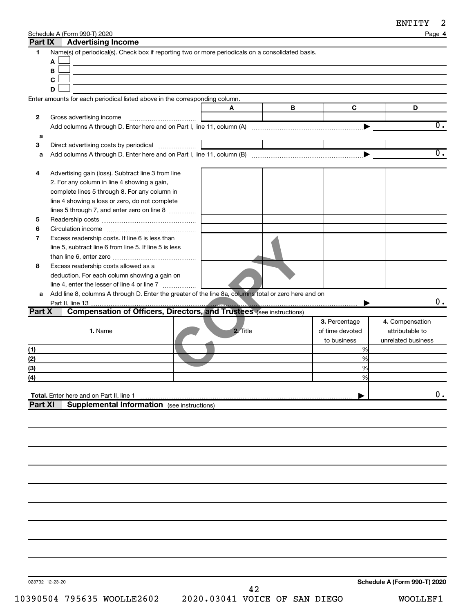**4**

Schedule A (Form 990-T) 2020 Page

| Part IX      | <b>Advertising Income</b>                                                                            |          |   |                 |                    |
|--------------|------------------------------------------------------------------------------------------------------|----------|---|-----------------|--------------------|
| 1            | Name(s) of periodical(s). Check box if reporting two or more periodicals on a consolidated basis.    |          |   |                 |                    |
|              | Α                                                                                                    |          |   |                 |                    |
|              | В                                                                                                    |          |   |                 |                    |
|              | C                                                                                                    |          |   |                 |                    |
|              | D                                                                                                    |          |   |                 |                    |
|              | Enter amounts for each periodical listed above in the corresponding column.                          |          |   |                 |                    |
|              |                                                                                                      |          |   |                 | D                  |
|              |                                                                                                      | A        | В | C               |                    |
| $\mathbf{2}$ | Gross advertising income                                                                             |          |   |                 | $\overline{0}$ .   |
|              |                                                                                                      |          |   |                 |                    |
| а            |                                                                                                      |          |   |                 |                    |
| 3            |                                                                                                      |          |   |                 |                    |
| а            |                                                                                                      |          |   |                 | $\overline{0}$ .   |
|              |                                                                                                      |          |   |                 |                    |
| 4            | Advertising gain (loss). Subtract line 3 from line                                                   |          |   |                 |                    |
|              | 2. For any column in line 4 showing a gain,                                                          |          |   |                 |                    |
|              | complete lines 5 through 8. For any column in                                                        |          |   |                 |                    |
|              | line 4 showing a loss or zero, do not complete                                                       |          |   |                 |                    |
|              | lines 5 through 7, and enter zero on line 8                                                          |          |   |                 |                    |
| 5            |                                                                                                      |          |   |                 |                    |
| 6            |                                                                                                      |          |   |                 |                    |
| 7            | Excess readership costs. If line 6 is less than                                                      |          |   |                 |                    |
|              | line 5, subtract line 6 from line 5. If line 5 is less                                               |          |   |                 |                    |
|              |                                                                                                      |          |   |                 |                    |
| 8            | Excess readership costs allowed as a                                                                 |          |   |                 |                    |
|              | deduction. For each column showing a gain on                                                         |          |   |                 |                    |
|              | line 4, enter the lesser of line 4 or line 7                                                         |          |   |                 |                    |
| a            | Add line 8, columns A through D. Enter the greater of the line 8a, columns total or zero here and on |          |   |                 |                    |
|              |                                                                                                      |          |   |                 | 0.                 |
| Part X       | <b>Compensation of Officers, Directors, and Trustees (see instructions)</b>                          |          |   |                 |                    |
|              |                                                                                                      |          |   | 3. Percentage   | 4. Compensation    |
|              | 1. Name                                                                                              | 2. Title |   | of time devoted | attributable to    |
|              |                                                                                                      |          |   | to business     | unrelated business |
| (1)          |                                                                                                      |          |   | %               |                    |
| (2)          |                                                                                                      |          |   | %               |                    |
| (3)          |                                                                                                      |          |   | %               |                    |
| (4)          |                                                                                                      |          |   | %               |                    |
|              |                                                                                                      |          |   |                 |                    |
|              | Total. Enter here and on Part II, line 1                                                             |          |   |                 | 0.                 |
| Part XI      | <b>Supplemental Information</b> (see instructions)                                                   |          |   |                 |                    |
|              |                                                                                                      |          |   |                 |                    |
|              |                                                                                                      |          |   |                 |                    |
|              |                                                                                                      |          |   |                 |                    |
|              |                                                                                                      |          |   |                 |                    |
|              |                                                                                                      |          |   |                 |                    |
|              |                                                                                                      |          |   |                 |                    |
|              |                                                                                                      |          |   |                 |                    |
|              |                                                                                                      |          |   |                 |                    |
|              |                                                                                                      |          |   |                 |                    |
|              |                                                                                                      |          |   |                 |                    |
|              |                                                                                                      |          |   |                 |                    |
|              |                                                                                                      |          |   |                 |                    |
|              |                                                                                                      |          |   |                 |                    |
|              |                                                                                                      |          |   |                 |                    |
|              |                                                                                                      |          |   |                 |                    |
|              |                                                                                                      |          |   |                 |                    |

023732 12-23-20